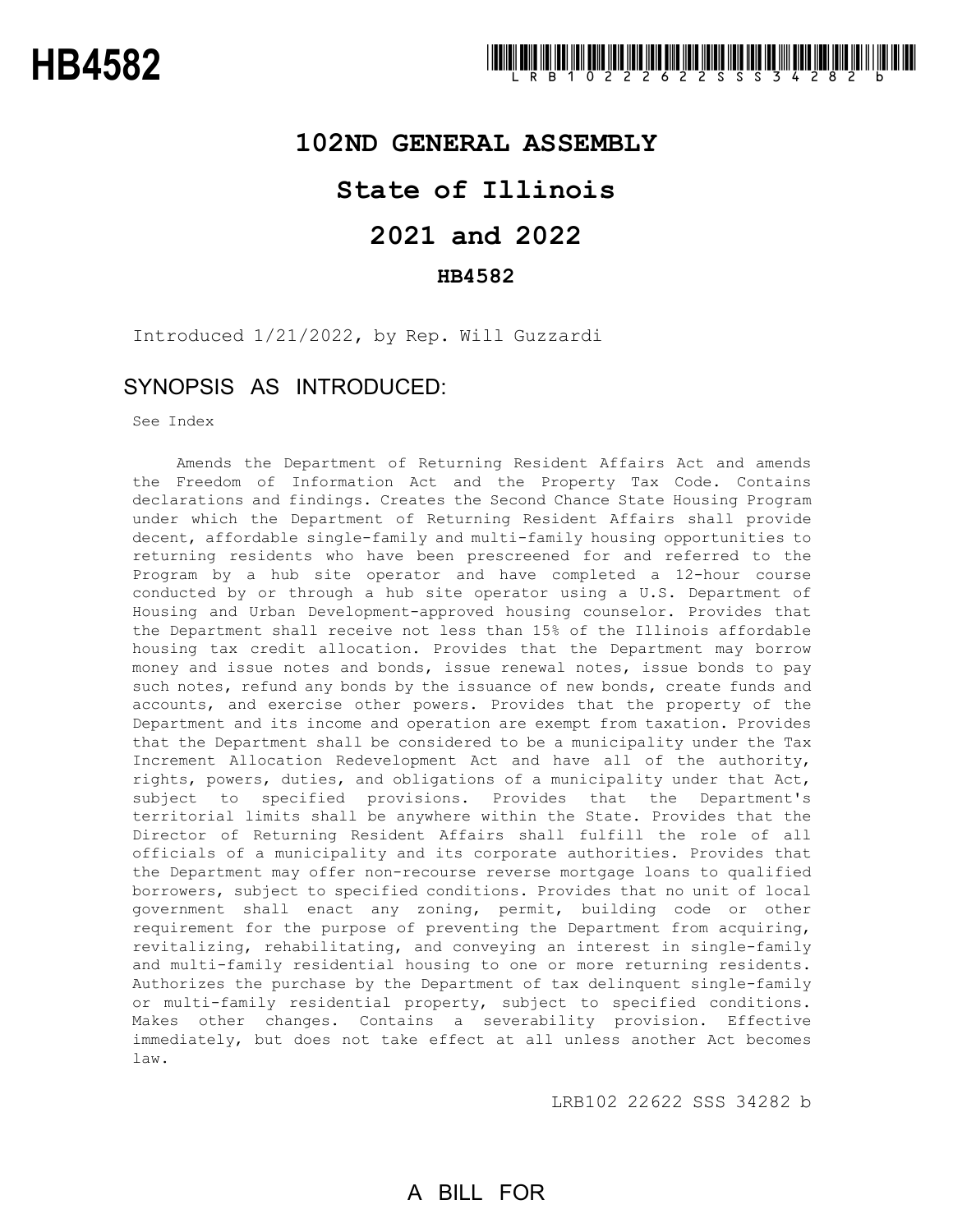### **102ND GENERAL ASSEMBLY**

## **State of Illinois**

# **2021 and 2022**

#### **HB4582**

Introduced 1/21/2022, by Rep. Will Guzzardi

### SYNOPSIS AS INTRODUCED:

See Index

Amends the Department of Returning Resident Affairs Act and amends the Freedom of Information Act and the Property Tax Code. Contains declarations and findings. Creates the Second Chance State Housing Program under which the Department of Returning Resident Affairs shall provide decent, affordable single-family and multi-family housing opportunities to returning residents who have been prescreened for and referred to the Program by a hub site operator and have completed a 12-hour course conducted by or through a hub site operator using a U.S. Department of Housing and Urban Development-approved housing counselor. Provides that the Department shall receive not less than 15% of the Illinois affordable housing tax credit allocation. Provides that the Department may borrow money and issue notes and bonds, issue renewal notes, issue bonds to pay such notes, refund any bonds by the issuance of new bonds, create funds and accounts, and exercise other powers. Provides that the property of the Department and its income and operation are exempt from taxation. Provides that the Department shall be considered to be a municipality under the Tax Increment Allocation Redevelopment Act and have all of the authority, rights, powers, duties, and obligations of a municipality under that Act, subject to specified provisions. Provides that the Department's territorial limits shall be anywhere within the State. Provides that the Director of Returning Resident Affairs shall fulfill the role of all officials of a municipality and its corporate authorities. Provides that the Department may offer non-recourse reverse mortgage loans to qualified borrowers, subject to specified conditions. Provides that no unit of local government shall enact any zoning, permit, building code or other requirement for the purpose of preventing the Department from acquiring, revitalizing, rehabilitating, and conveying an interest in single-family and multi-family residential housing to one or more returning residents. Authorizes the purchase by the Department of tax delinquent single-family or multi-family residential property, subject to specified conditions. Makes other changes. Contains a severability provision. Effective immediately, but does not take effect at all unless another Act becomes law.

LRB102 22622 SSS 34282 b

## A BILL FOR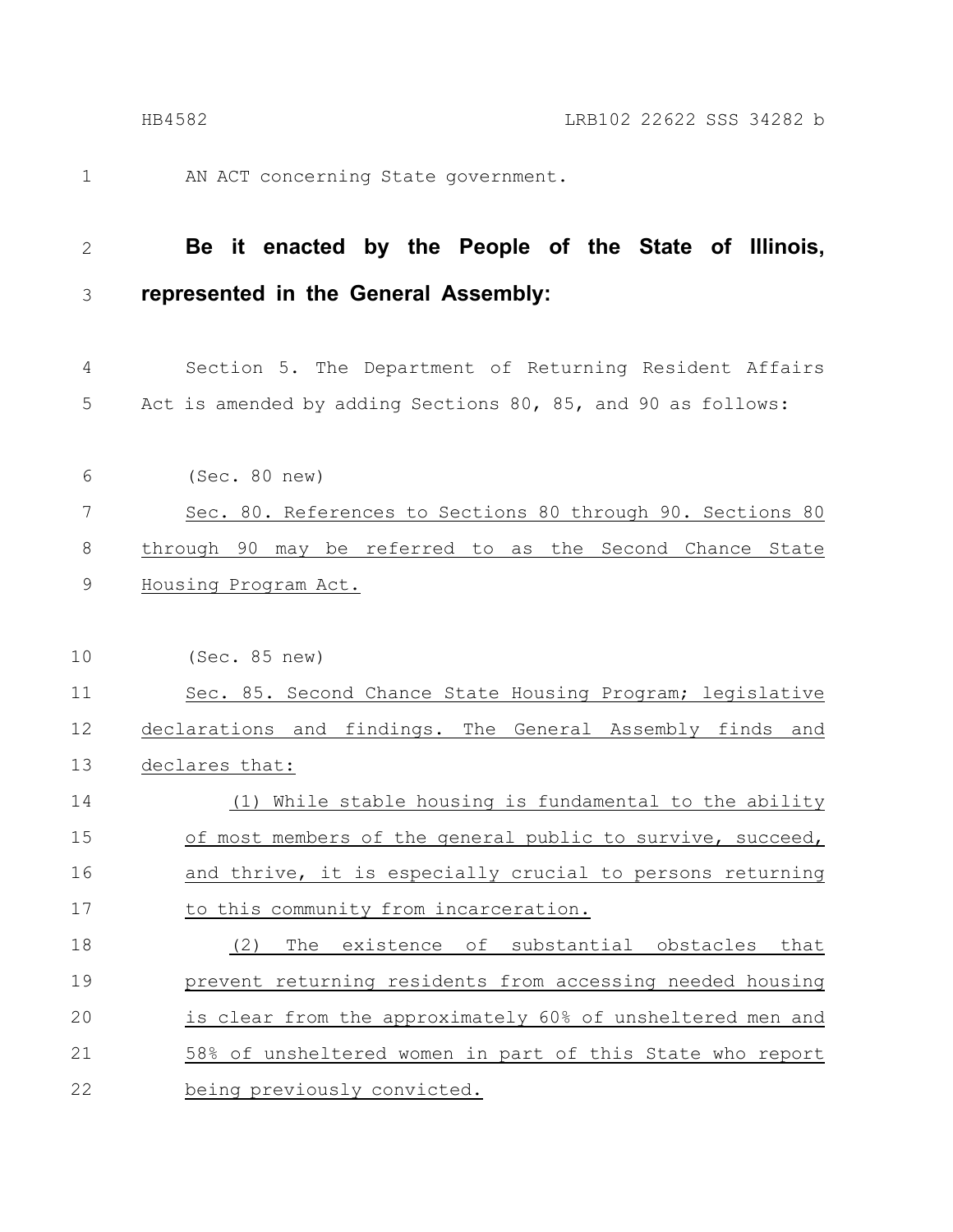AN ACT concerning State government.

1

**Be it enacted by the People of the State of Illinois, represented in the General Assembly:** 2 3

Section 5. The Department of Returning Resident Affairs Act is amended by adding Sections 80, 85, and 90 as follows: 4 5

(Sec. 80 new) Sec. 80. References to Sections 80 through 90. Sections 80 through 90 may be referred to as the Second Chance State Housing Program Act. 6 7 8 9

(Sec. 85 new) Sec. 85. Second Chance State Housing Program; legislative declarations and findings. The General Assembly finds and declares that: (1) While stable housing is fundamental to the ability of most members of the general public to survive, succeed, and thrive, it is especially crucial to persons returning to this community from incarceration. (2) The existence of substantial obstacles that prevent returning residents from accessing needed housing is clear from the approximately 60% of unsheltered men and 58% of unsheltered women in part of this State who report being previously convicted. 10 11 12 13 14 15 16 17 18 19 20 21 22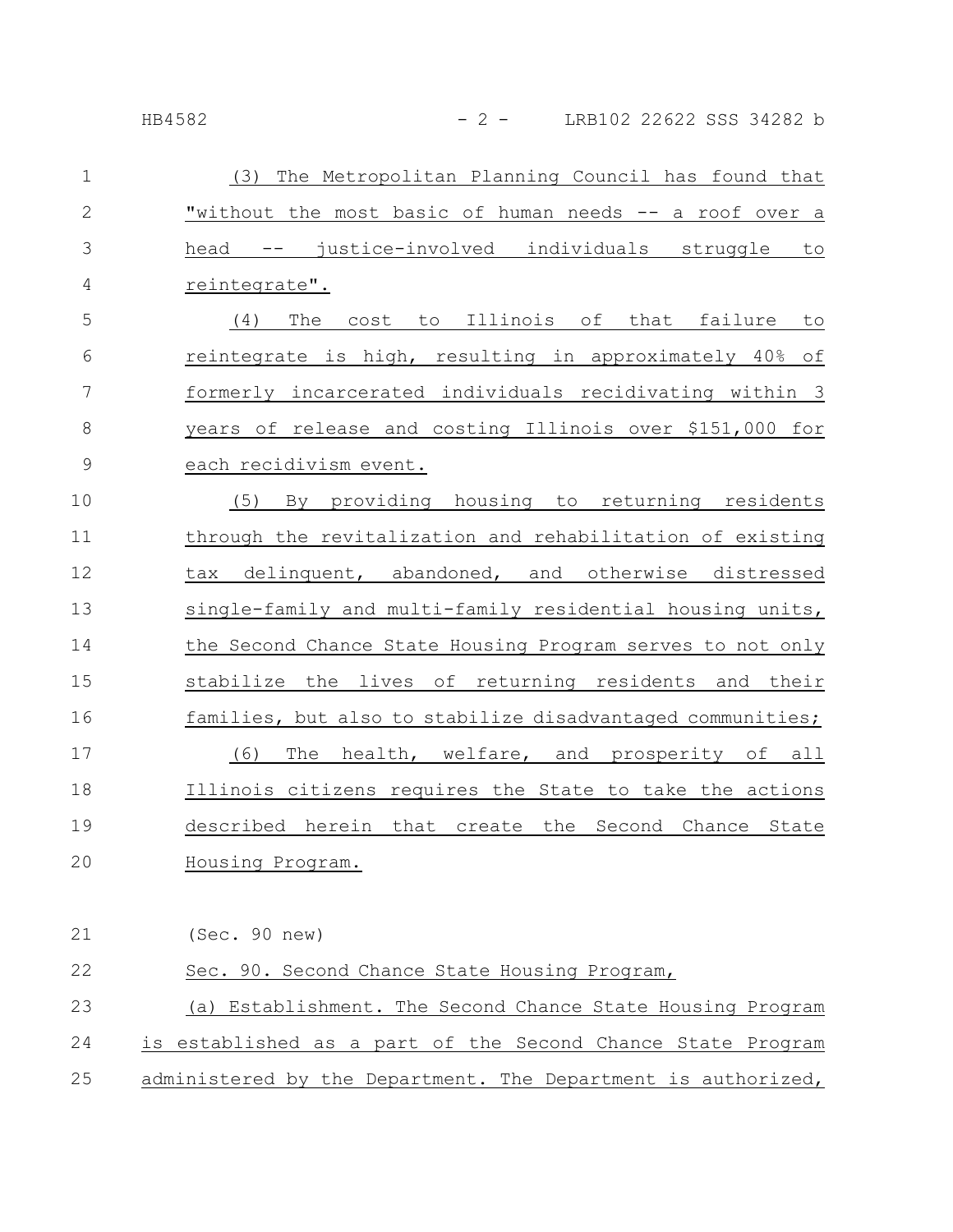### HB4582 - 2 - LRB102 22622 SSS 34282 b

| $\mathbf{1}$   | (3) The Metropolitan Planning Council has found that           |
|----------------|----------------------------------------------------------------|
| $\mathbf{2}$   | "without the most basic of human needs -- a roof over a        |
| 3              | head -- justice-involved individuals struggle<br>to            |
| $\overline{4}$ | reintegrate".                                                  |
| 5              | cost to Illinois of that failure<br>to<br>The<br>(4)           |
| 6              | reintegrate is high, resulting in approximately 40% of         |
| $\overline{7}$ | formerly incarcerated individuals recidivating within 3        |
| $\,8\,$        | years of release and costing Illinois over \$151,000 for       |
| $\mathsf 9$    | each recidivism event.                                         |
| 10             | (5)<br>By providing housing to returning residents             |
| 11             | through the revitalization and rehabilitation of existing      |
| 12             | tax delinquent, abandoned, and otherwise distressed            |
| 13             | single-family and multi-family residential housing units,      |
| 14             | the Second Chance State Housing Program serves to not only     |
| 15             | stabilize the lives of returning residents and their           |
| 16             | families, but also to stabilize disadvantaged communities;     |
| 17             | The<br>health, welfare, and prosperity of all<br>(6)           |
| 18             | Illinois citizens requires the State to take the actions       |
| 19             | described herein that create the Second Chance State           |
| 20             | Housing Program.                                               |
|                |                                                                |
| 21             | (Sec. 90 new)                                                  |
| 22             | Sec. 90. Second Chance State Housing Program,                  |
| 23             | (a) Establishment. The Second Chance State Housing Program     |
| 24             | established as a part of the Second Chance State Program<br>is |
| 25             | administered by the Department. The Department is authorized,  |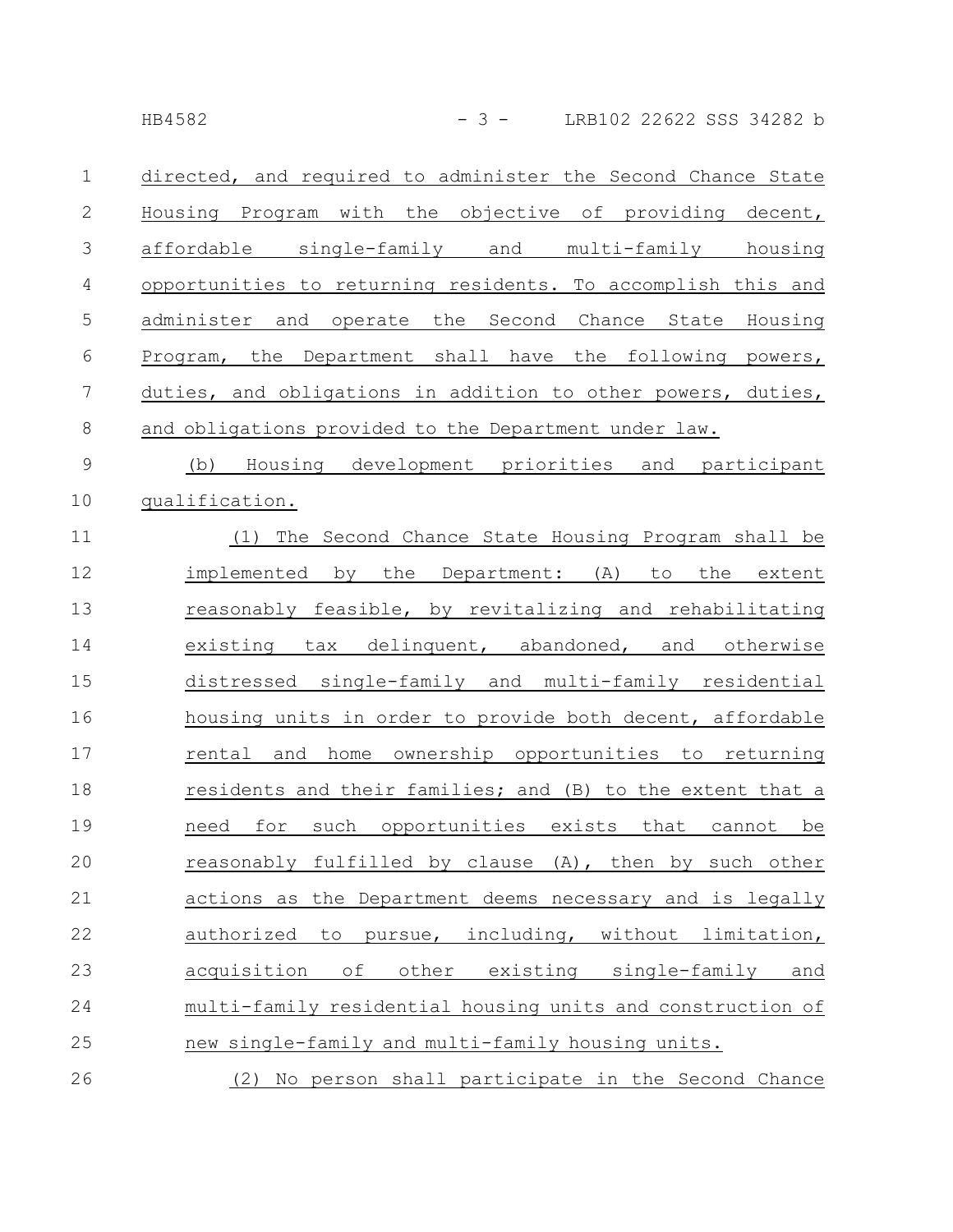|--|

|               | directed, and required to administer the Second Chance State |
|---------------|--------------------------------------------------------------|
| 2             | Housing Program with the objective of providing decent,      |
| $\mathcal{S}$ | affordable single-family and multi-family housing            |
| 4             | opportunities to returning residents. To accomplish this and |
| 5             | administer and operate the Second Chance State Housing       |
| 6             | Program, the Department shall have the following powers,     |
| 7             | duties, and obligations in addition to other powers, duties, |
| 8             | and obligations provided to the Department under law.        |
|               |                                                              |

(b) Housing development priorities and participant qualification. 9 10

(1) The Second Chance State Housing Program shall be implemented by the Department: (A) to the extent reasonably feasible, by revitalizing and rehabilitating existing tax delinquent, abandoned, and otherwise distressed single-family and multi-family residential housing units in order to provide both decent, affordable rental and home ownership opportunities to returning residents and their families; and (B) to the extent that a need for such opportunities exists that cannot be reasonably fulfilled by clause (A), then by such other actions as the Department deems necessary and is legally authorized to pursue, including, without limitation, acquisition of other existing single-family and multi-family residential housing units and construction of new single-family and multi-family housing units. 11 12 13 14 15 16 17 18 19 20 21 22 23 24 25 26

(2) No person shall participate in the Second Chance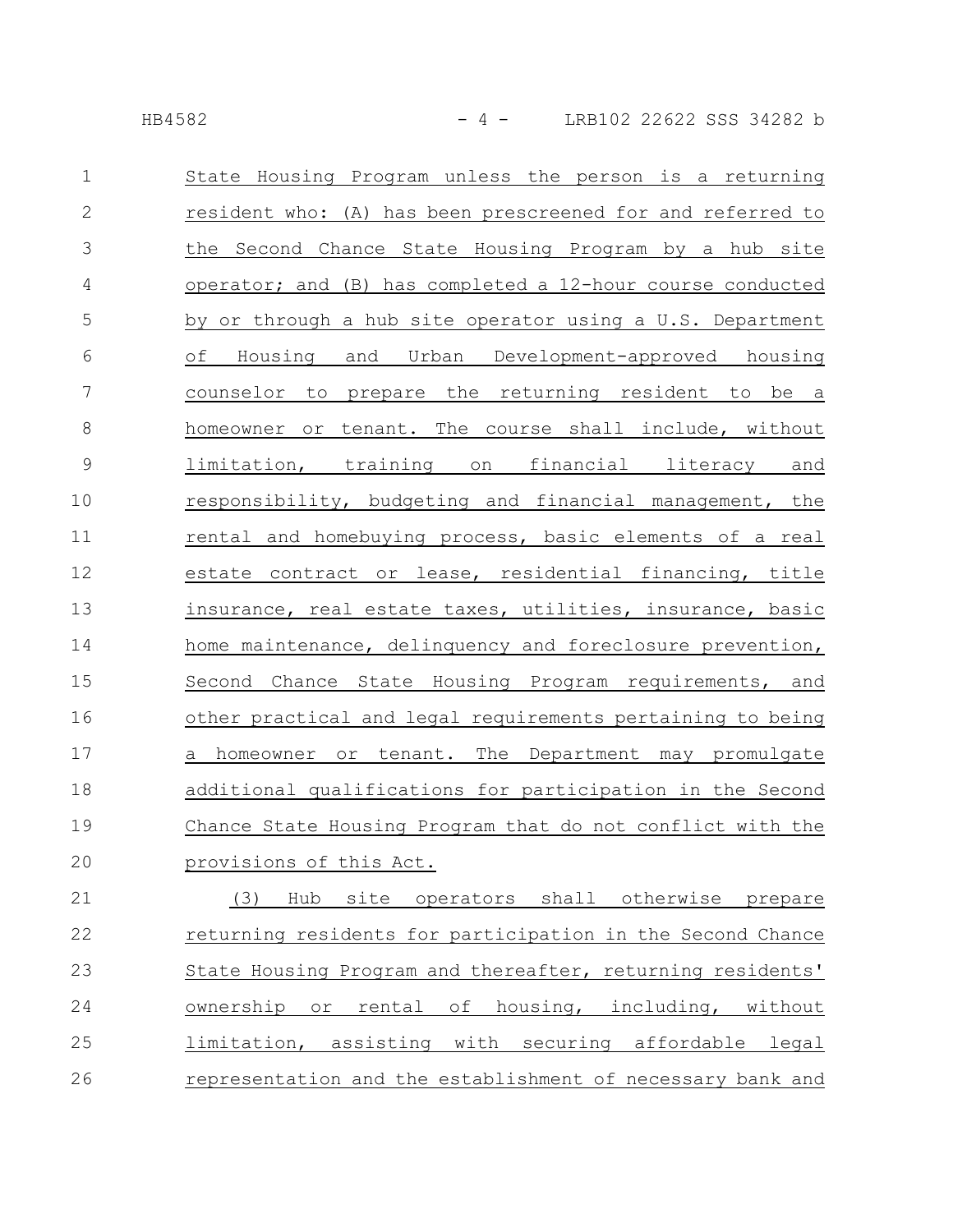| $\mathbf 1$   | State Housing Program unless the person is a returning                   |
|---------------|--------------------------------------------------------------------------|
| $\mathbf{2}$  | resident who: (A) has been prescreened for and referred to               |
| 3             | the Second Chance State Housing Program by a hub site                    |
| 4             | operator; and (B) has completed a 12-hour course conducted               |
| 5             | by or through a hub site operator using a U.S. Department                |
| 6             | of Housing and Urban Development-approved housing                        |
| 7             | counselor to prepare the returning resident to be a                      |
| 8             | homeowner or tenant. The course shall include, without                   |
| $\mathcal{G}$ | limitation, training on financial literacy and                           |
| 10            | responsibility, budgeting and financial management, the                  |
| 11            | rental and homebuying process, basic elements of a real                  |
| 12            | estate contract or lease, residential financing, title                   |
| 13            | insurance, real estate taxes, utilities, insurance, basic                |
| 14            | home maintenance, delinquency and foreclosure prevention,                |
| 15            | Second Chance State Housing Program requirements, and                    |
| 16            | other practical and legal requirements pertaining to being               |
| 17            | a homeowner or tenant. The Department may promulgate                     |
| 18            | additional qualifications for participation in the Second                |
| 19            | Chance State Housing Program that do not conflict with the               |
| 20            | provisions of this Act.                                                  |
| 21            | operators shall otherwise<br>(3)<br>Hub<br>site<br>prepare               |
| 22            | returning residents for participation in the Second Chance               |
| 23            | State Housing Program and thereafter, returning residents'               |
| 24            | housing, including,<br>ownership<br>rental<br>оf<br>without<br>$\circ$ r |
| 25            | limitation, assisting with securing affordable<br>legal                  |

representation and the establishment of necessary bank and 26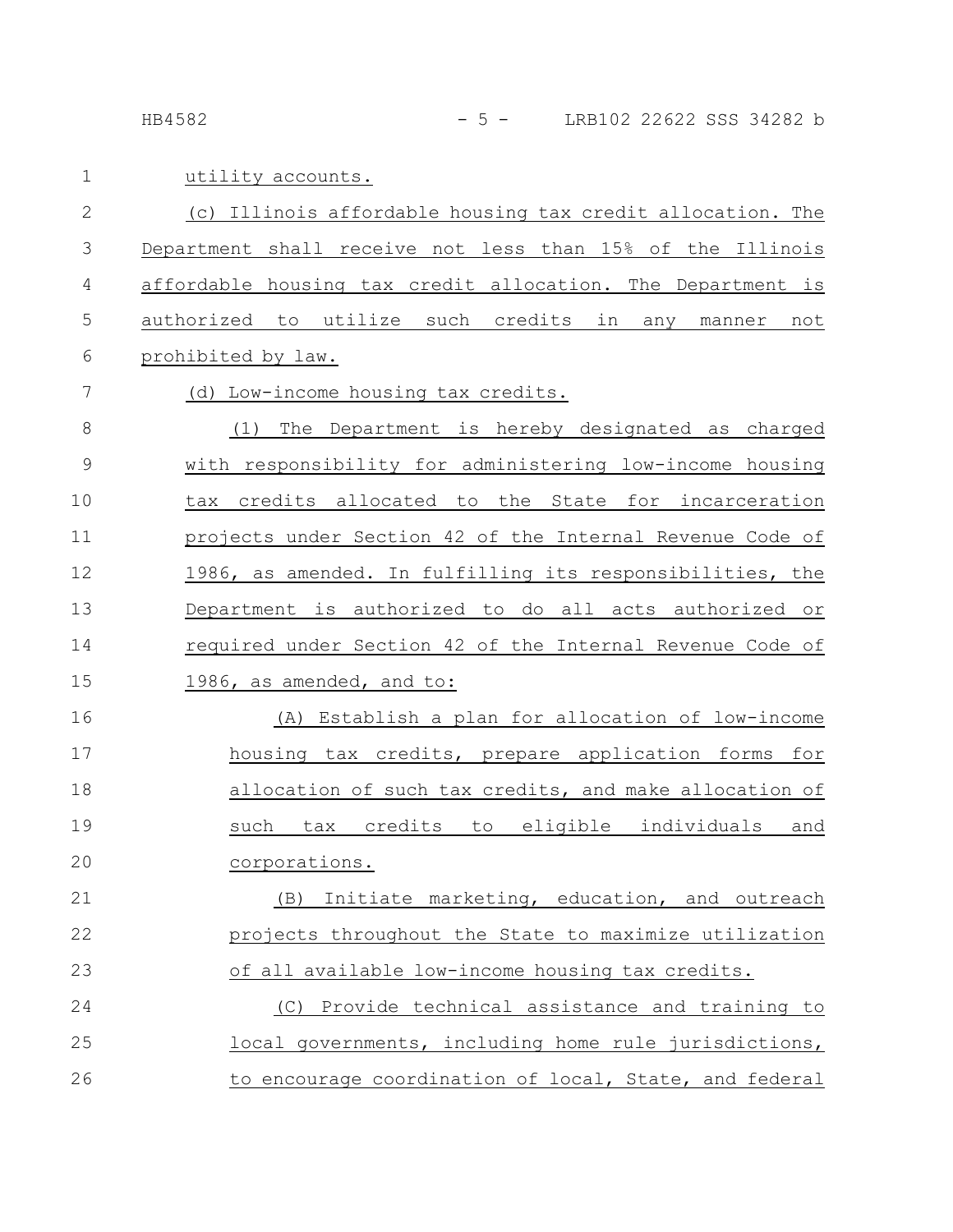HB4582 - 5 - LRB102 22622 SSS 34282 b

7

utility accounts. 1

(c) Illinois affordable housing tax credit allocation. The Department shall receive not less than 15% of the Illinois affordable housing tax credit allocation. The Department is authorized to utilize such credits in any manner not prohibited by law. 2 3 4 5 6

(d) Low-income housing tax credits.

(1) The Department is hereby designated as charged with responsibility for administering low-income housing tax credits allocated to the State for incarceration projects under Section 42 of the Internal Revenue Code of 1986, as amended. In fulfilling its responsibilities, the Department is authorized to do all acts authorized or required under Section 42 of the Internal Revenue Code of 1986, as amended, and to: 8 9 10 11 12 13 14 15

(A) Establish a plan for allocation of low-income housing tax credits, prepare application forms for allocation of such tax credits, and make allocation of such tax credits to eligible individuals and corporations. 16 17 18 19 20

(B) Initiate marketing, education, and outreach projects throughout the State to maximize utilization of all available low-income housing tax credits. (C) Provide technical assistance and training to 21 22 23 24

local governments, including home rule jurisdictions, to encourage coordination of local, State, and federal 25 26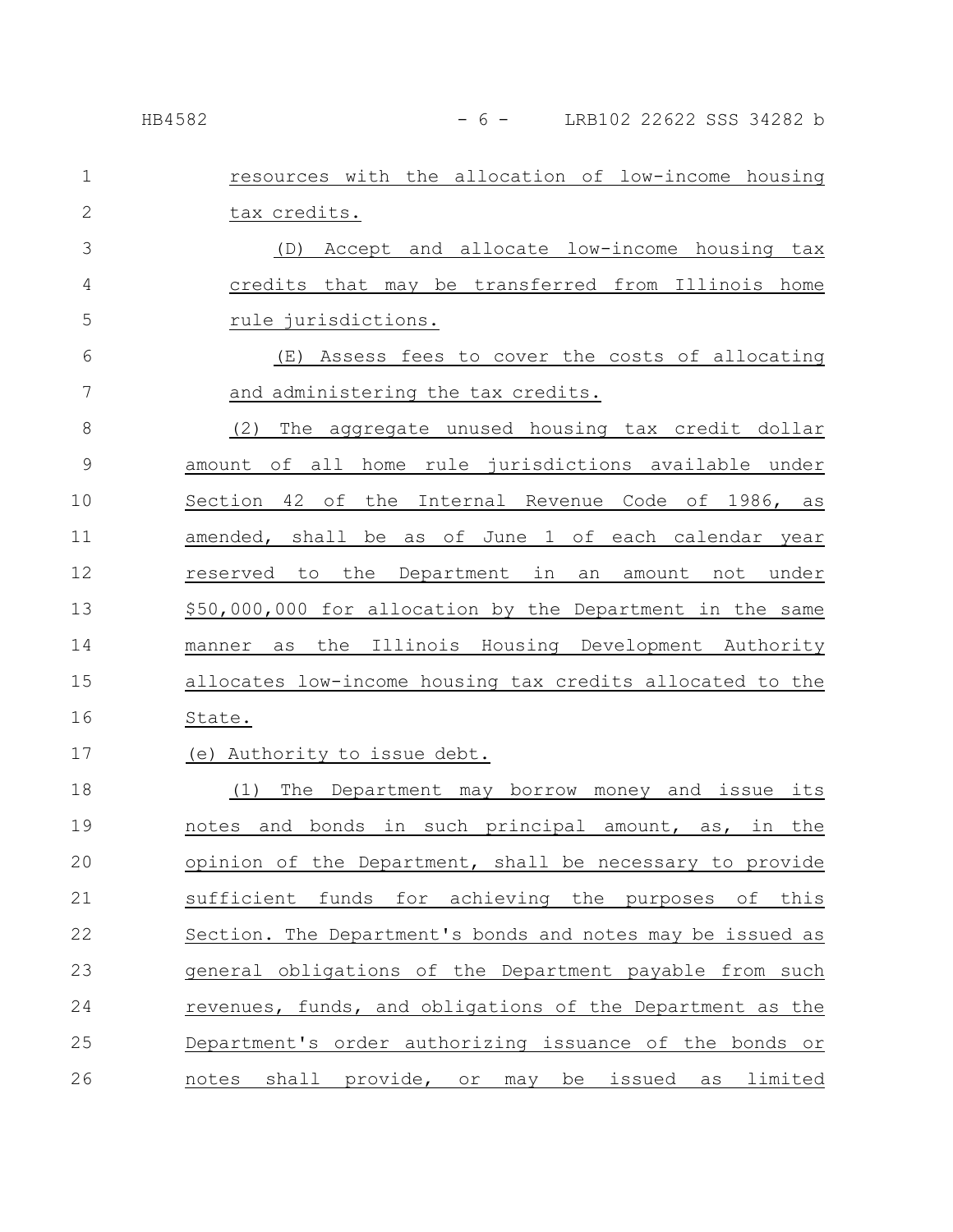| $\mathbf{1}$   | resources with the allocation of low-income housing        |
|----------------|------------------------------------------------------------|
| $\mathbf{2}$   | tax credits.                                               |
| 3              | (D) Accept and allocate low-income housing tax             |
| 4              | credits that may be transferred from Illinois home         |
| 5              | rule jurisdictions.                                        |
| 6              | (E) Assess fees to cover the costs of allocating           |
| $\overline{7}$ | and administering the tax credits.                         |
| 8              | (2)<br>The aggregate unused housing tax credit dollar      |
| $\mathsf 9$    | amount of all home rule jurisdictions available under      |
| 10             | Section 42 of the Internal Revenue Code of 1986, as        |
| 11             | amended, shall be as of June 1 of each calendar year       |
| 12             | the Department in an<br>amount not under<br>reserved to    |
| 13             | \$50,000,000 for allocation by the Department in the same  |
| 14             | the Illinois Housing Development Authority<br>manner<br>as |
| 15             | allocates low-income housing tax credits allocated to the  |
| 16             | State.                                                     |
| 17             | (e) Authority to issue debt.                               |
| 18             | The Department may borrow money and issue its<br>(1)       |
| 19             | notes and bonds in such principal amount, as, in the       |
| 20             | opinion of the Department, shall be necessary to provide   |
| 21             | funds for achieving the purposes of this<br>sufficient     |
| 22             | Section. The Department's bonds and notes may be issued as |
| 23             | general obligations of the Department payable from such    |
| 24             | revenues, funds, and obligations of the Department as the  |
| 25             | Department's order authorizing issuance of the bonds or    |
| 26             | notes shall provide, or may be issued as limited           |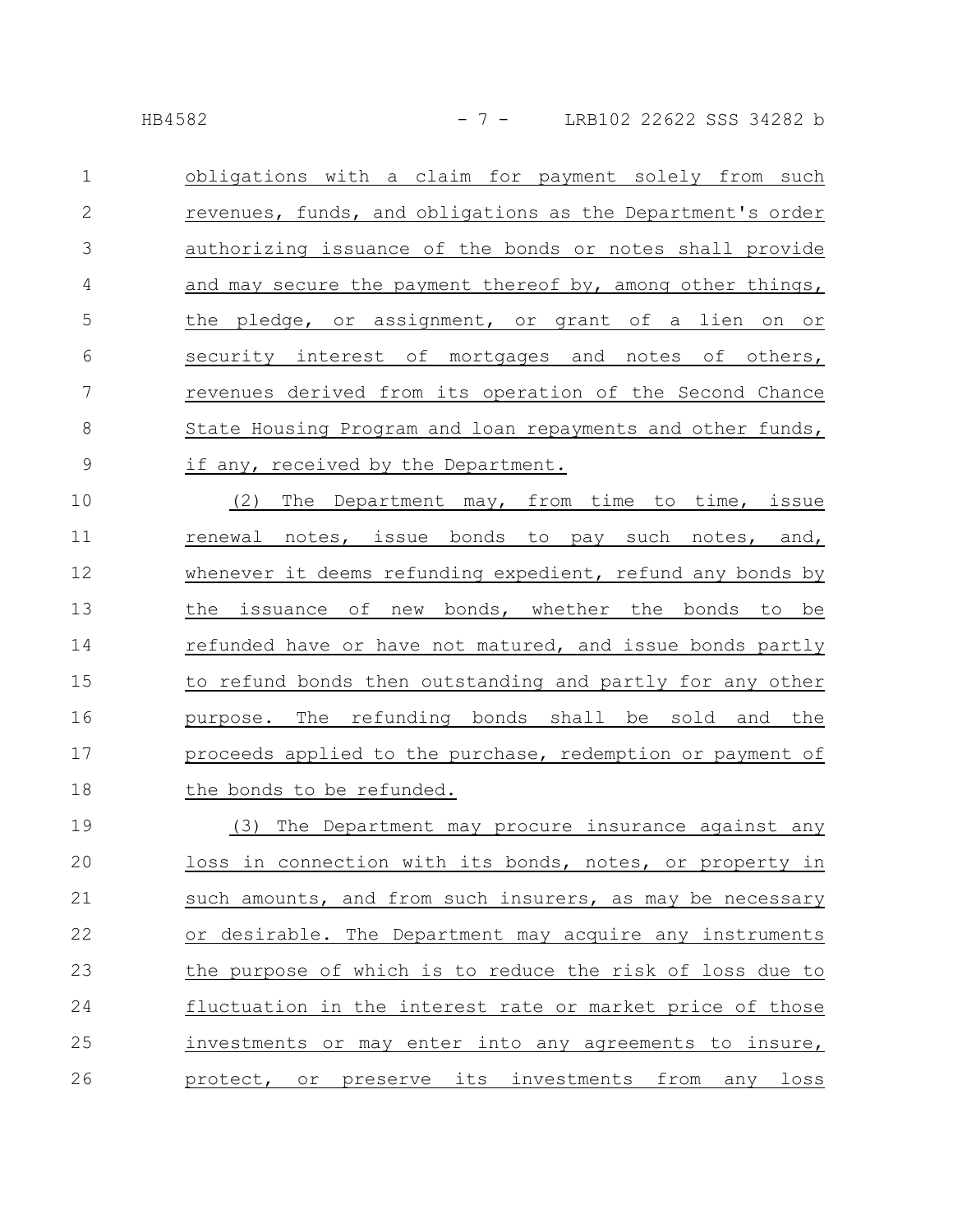obligations with a claim for payment solely from such revenues, funds, and obligations as the Department's order authorizing issuance of the bonds or notes shall provide and may secure the payment thereof by, among other things, the pledge, or assignment, or grant of a lien on or security interest of mortgages and notes of others, revenues derived from its operation of the Second Chance State Housing Program and loan repayments and other funds, if any, received by the Department. 1 2 3 4 5 6 7 8 9

(2) The Department may, from time to time, issue renewal notes, issue bonds to pay such notes, and, whenever it deems refunding expedient, refund any bonds by the issuance of new bonds, whether the bonds to be refunded have or have not matured, and issue bonds partly to refund bonds then outstanding and partly for any other purpose. The refunding bonds shall be sold and the proceeds applied to the purchase, redemption or payment of the bonds to be refunded. 10 11 12 13 14 15 16 17 18

(3) The Department may procure insurance against any loss in connection with its bonds, notes, or property in such amounts, and from such insurers, as may be necessary or desirable. The Department may acquire any instruments the purpose of which is to reduce the risk of loss due to fluctuation in the interest rate or market price of those investments or may enter into any agreements to insure, protect, or preserve its investments from any loss 19 20 21 22 23 24 25 26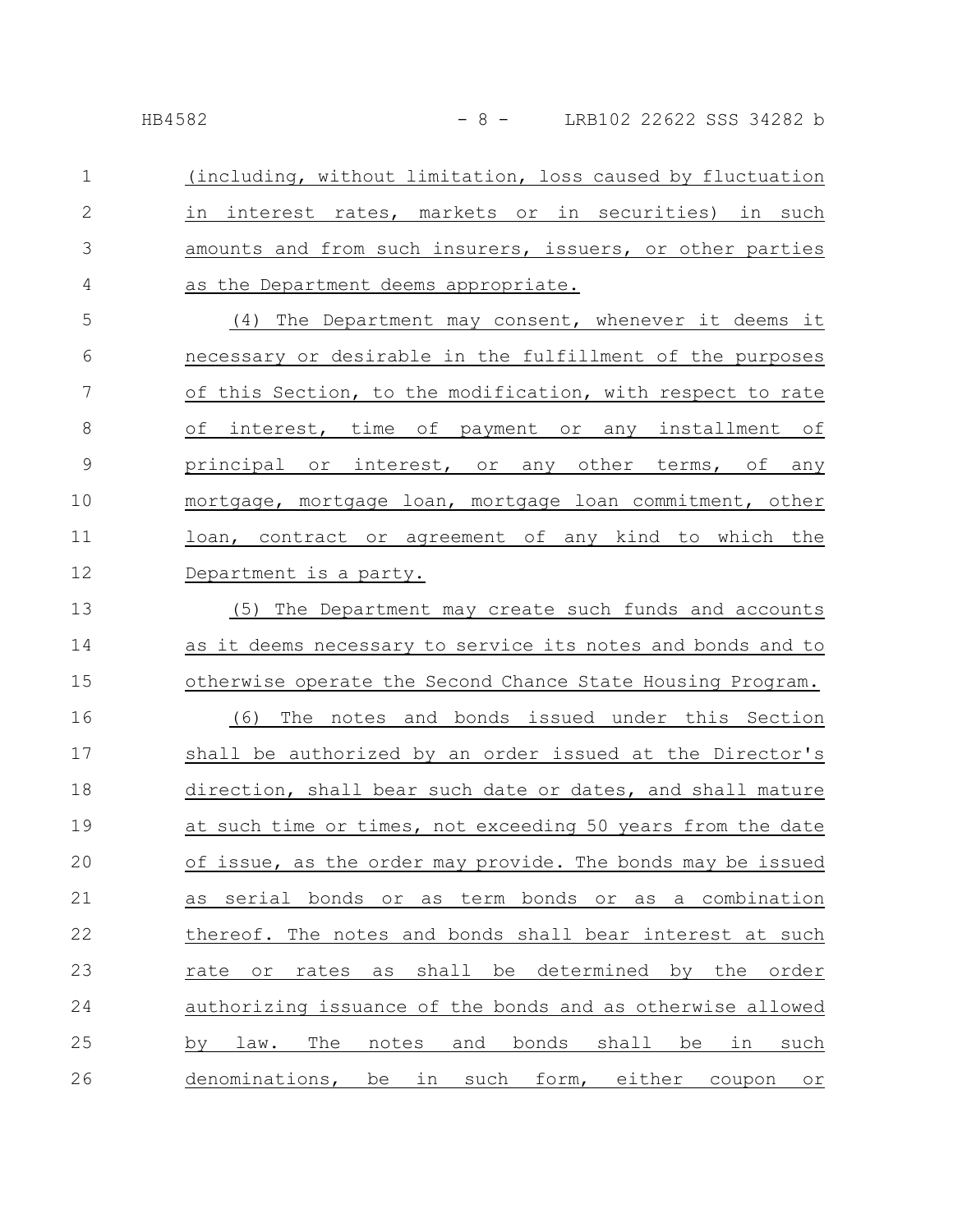(including, without limitation, loss caused by fluctuation in interest rates, markets or in securities) in such amounts and from such insurers, issuers, or other parties as the Department deems appropriate. 1 2 3 4

(4) The Department may consent, whenever it deems it necessary or desirable in the fulfillment of the purposes of this Section, to the modification, with respect to rate of interest, time of payment or any installment of principal or interest, or any other terms, of any mortgage, mortgage loan, mortgage loan commitment, other loan, contract or agreement of any kind to which the Department is a party. 5 6 7 8 9 10 11 12

(5) The Department may create such funds and accounts as it deems necessary to service its notes and bonds and to otherwise operate the Second Chance State Housing Program. (6) The notes and bonds issued under this Section shall be authorized by an order issued at the Director's direction, shall bear such date or dates, and shall mature at such time or times, not exceeding 50 years from the date of issue, as the order may provide. The bonds may be issued as serial bonds or as term bonds or as a combination thereof. The notes and bonds shall bear interest at such rate or rates as shall be determined by the order authorizing issuance of the bonds and as otherwise allowed by law. The notes and bonds shall be in such denominations, be in such form, either coupon or 13 14 15 16 17 18 19 20 21 22 23 24 25 26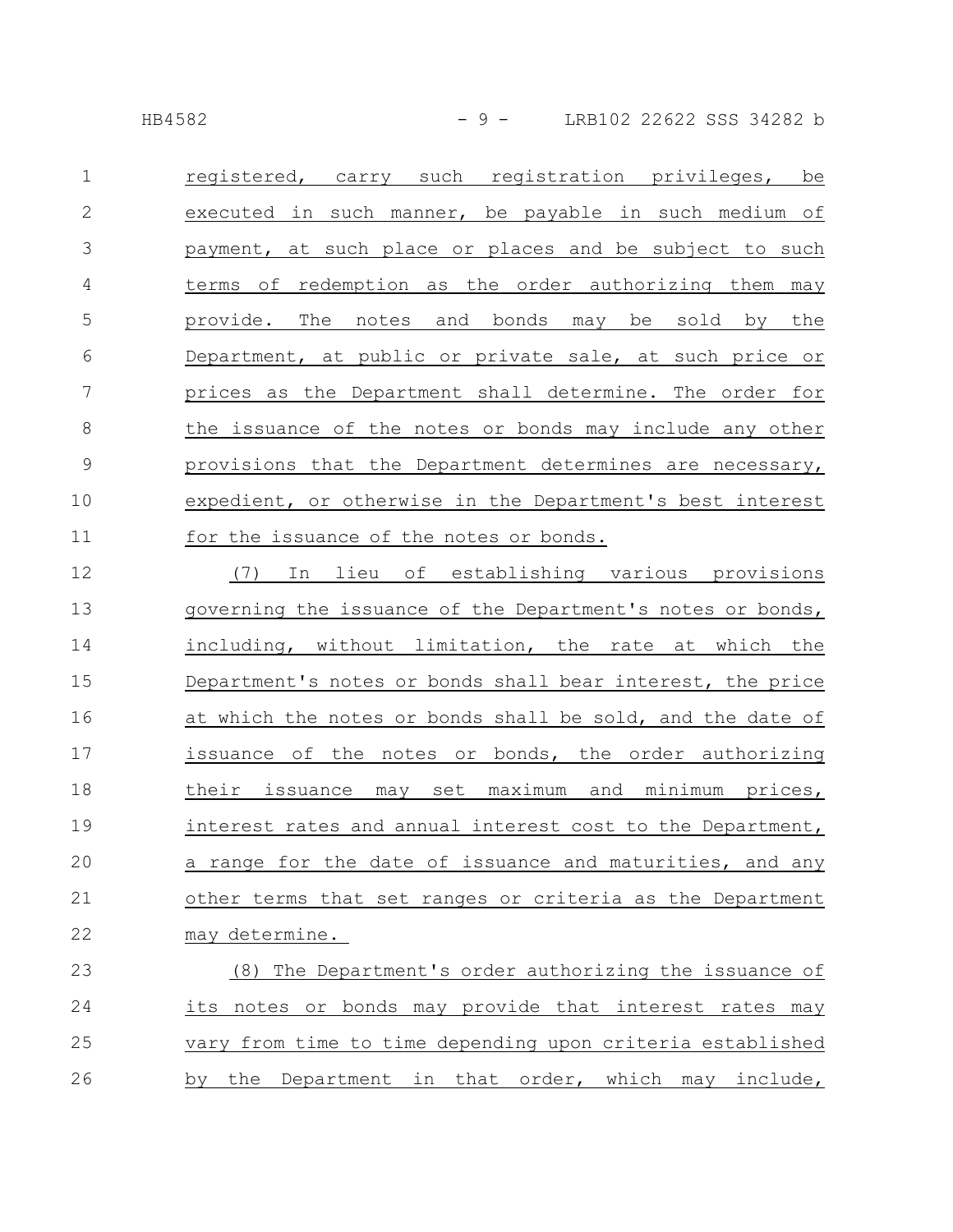registered, carry such registration privileges, be executed in such manner, be payable in such medium of payment, at such place or places and be subject to such terms of redemption as the order authorizing them may provide. The notes and bonds may be sold by the Department, at public or private sale, at such price or prices as the Department shall determine. The order for the issuance of the notes or bonds may include any other provisions that the Department determines are necessary, expedient, or otherwise in the Department's best interest for the issuance of the notes or bonds. 1 2 3 4 5 6 7 8 9 10 11

(7) In lieu of establishing various provisions governing the issuance of the Department's notes or bonds, including, without limitation, the rate at which the Department's notes or bonds shall bear interest, the price at which the notes or bonds shall be sold, and the date of issuance of the notes or bonds, the order authorizing their issuance may set maximum and minimum prices, interest rates and annual interest cost to the Department, a range for the date of issuance and maturities, and any other terms that set ranges or criteria as the Department may determine. 12 13 14 15 16 17 18 19 20 21 22

(8) The Department's order authorizing the issuance of its notes or bonds may provide that interest rates may vary from time to time depending upon criteria established by the Department in that order, which may include, 23 24 25 26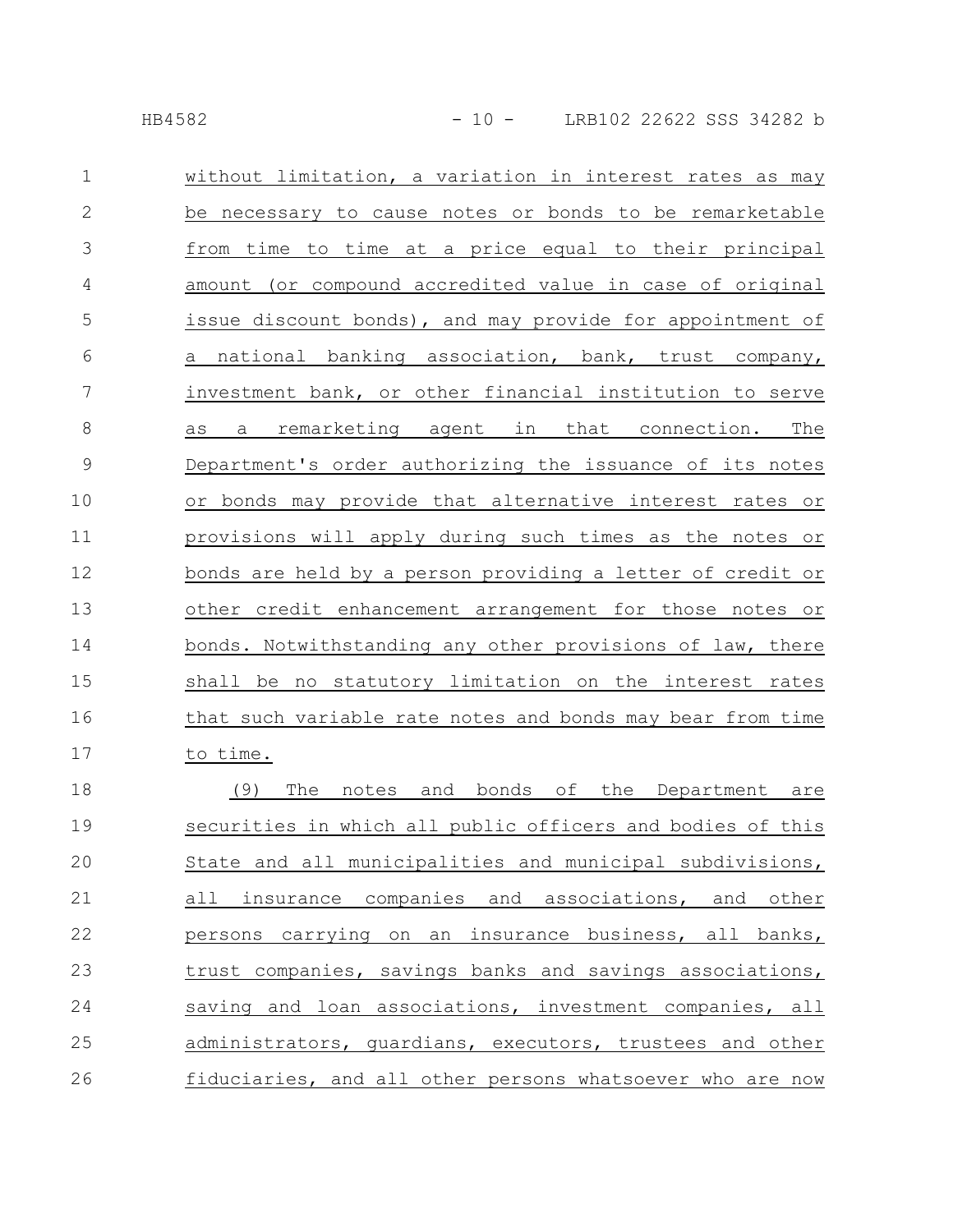| $\mathbf 1$   | without limitation, a variation in interest rates as may   |
|---------------|------------------------------------------------------------|
| $\mathbf{2}$  | be necessary to cause notes or bonds to be remarketable    |
| 3             | from time to time at a price equal to their principal      |
| 4             | amount (or compound accredited value in case of original   |
| 5             | issue discount bonds), and may provide for appointment of  |
| 6             | national banking association, bank, trust company,<br>a    |
| 7             | investment bank, or other financial institution to serve   |
| 8             | a remarketing agent in that connection. The<br>as          |
| $\mathcal{G}$ | Department's order authorizing the issuance of its notes   |
| 10            | or bonds may provide that alternative interest rates or    |
| 11            | provisions will apply during such times as the notes or    |
| 12            | bonds are held by a person providing a letter of credit or |
| 13            | other credit enhancement arrangement for those notes or    |
| 14            | bonds. Notwithstanding any other provisions of law, there  |
| 15            | shall be no statutory limitation on the interest rates     |
| 16            | that such variable rate notes and bonds may bear from time |
| 17            | to time.                                                   |
| 18            | (9)<br>The<br>and bonds of the Department are<br>notes     |
| 19            | securities in which all public officers and bodies of this |
| 20            | State and all municipalities and municipal subdivisions,   |
| 21            | all insurance companies and associations, and other        |
| 22            | persons carrying on an insurance business, all banks,      |
| 23            | trust companies, savings banks and savings associations,   |
| 24            | saving and loan associations, investment companies, all    |
| 25            | administrators, guardians, executors, trustees and other   |
| 26            | fiduciaries, and all other persons whatsoever who are now  |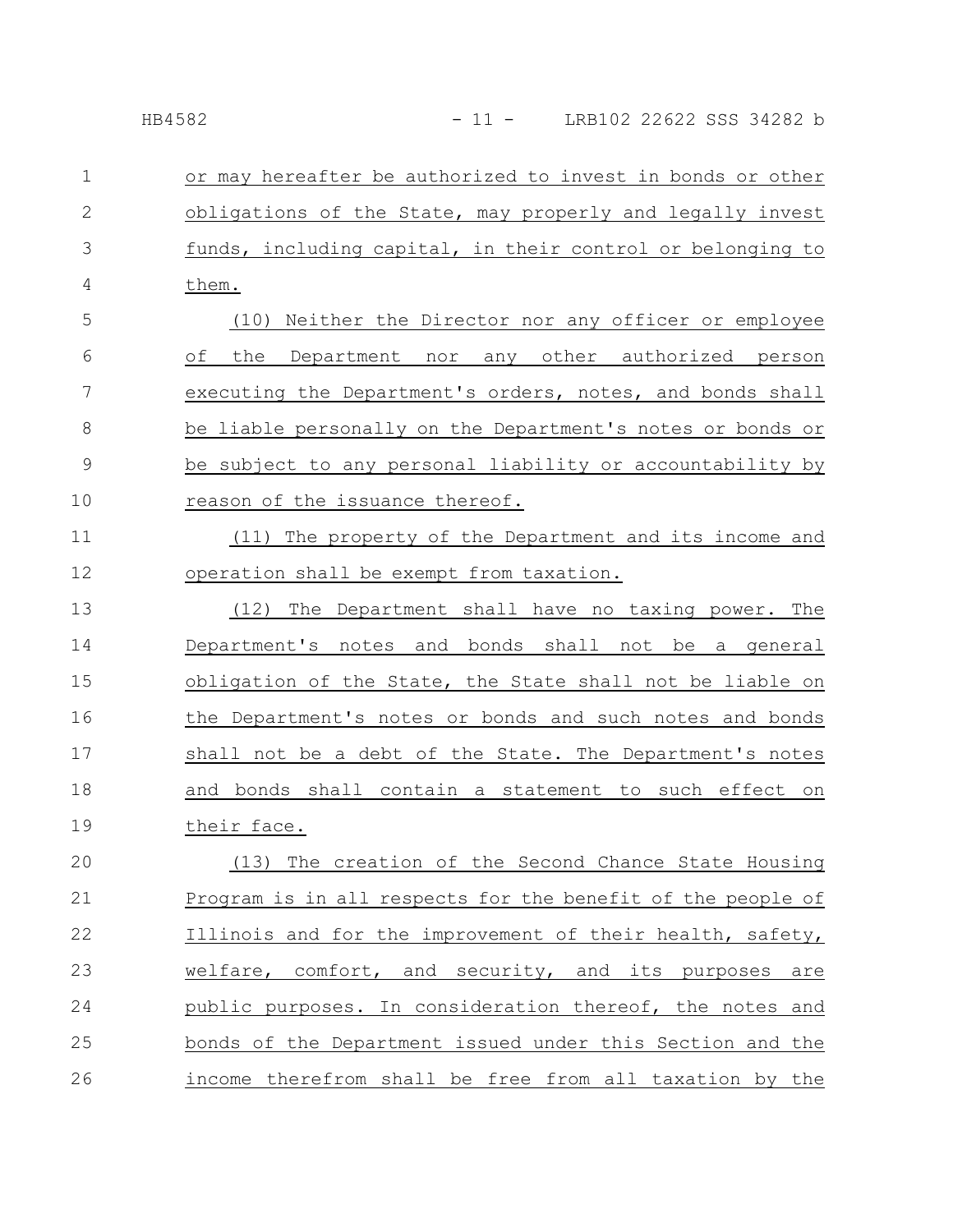or may hereafter be authorized to invest in bonds or other obligations of the State, may properly and legally invest funds, including capital, in their control or belonging to them. 1 2 3 4

(10) Neither the Director nor any officer or employee of the Department nor any other authorized person executing the Department's orders, notes, and bonds shall be liable personally on the Department's notes or bonds or be subject to any personal liability or accountability by reason of the issuance thereof. 5 6 7 8 9 10

(11) The property of the Department and its income and operation shall be exempt from taxation. 11 12

(12) The Department shall have no taxing power. The Department's notes and bonds shall not be a general obligation of the State, the State shall not be liable on the Department's notes or bonds and such notes and bonds shall not be a debt of the State. The Department's notes and bonds shall contain a statement to such effect on their face. 13 14 15 16 17 18 19

(13) The creation of the Second Chance State Housing Program is in all respects for the benefit of the people of Illinois and for the improvement of their health, safety, welfare, comfort, and security, and its purposes are public purposes. In consideration thereof, the notes and bonds of the Department issued under this Section and the income therefrom shall be free from all taxation by the 20 21 22 23 24 25 26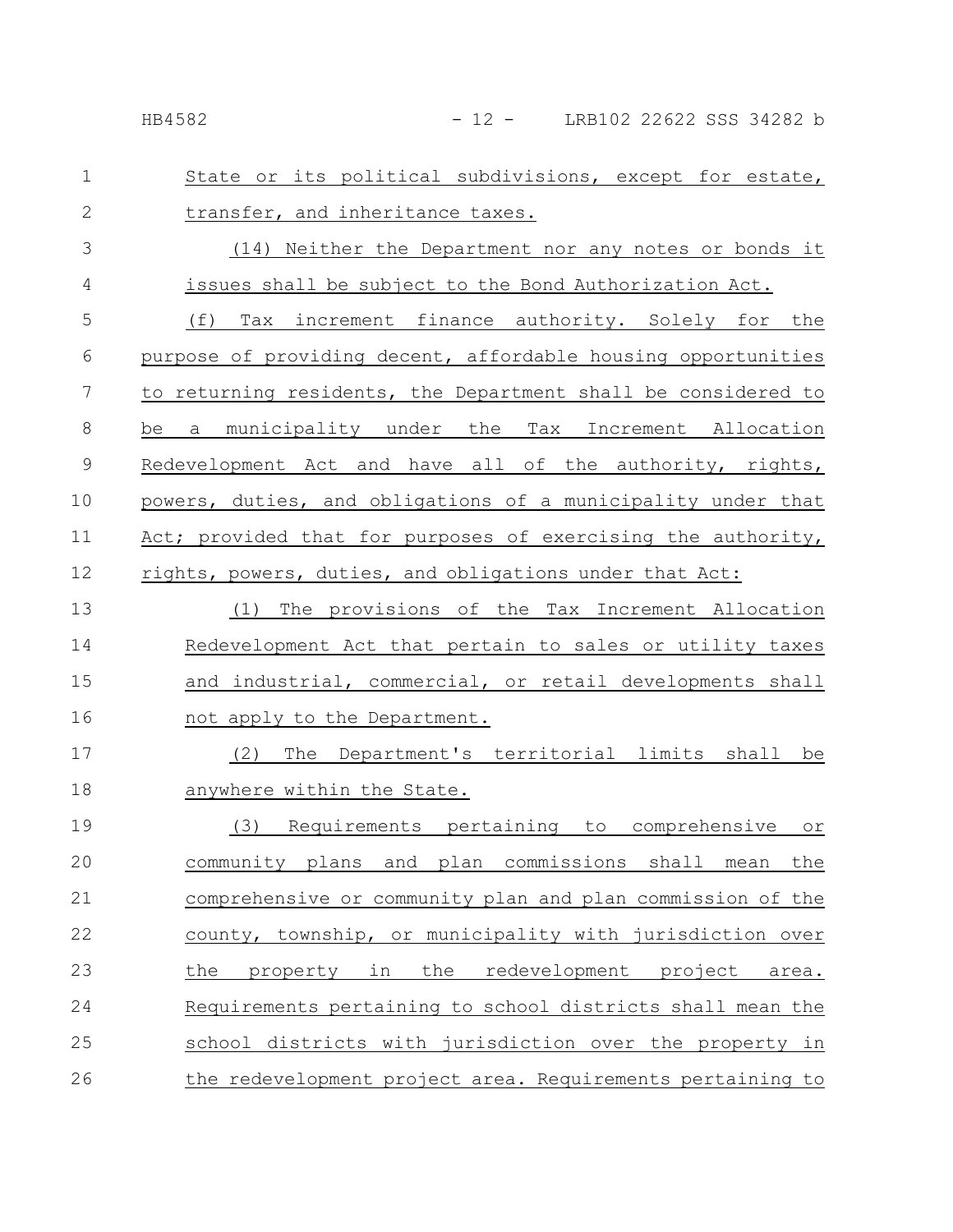| $\mathbf{1}$   | State or its political subdivisions, except for estate,       |
|----------------|---------------------------------------------------------------|
| $\overline{2}$ | transfer, and inheritance taxes.                              |
| 3              | (14) Neither the Department nor any notes or bonds it         |
| $\overline{4}$ | issues shall be subject to the Bond Authorization Act.        |
| 5              | (f)<br>Tax increment finance authority. Solely for the        |
| 6              | purpose of providing decent, affordable housing opportunities |
| 7              | to returning residents, the Department shall be considered to |
| $\,8\,$        | a municipality under the Tax Increment Allocation<br>be       |
| $\mathcal{G}$  | Redevelopment Act and have all of the authority, rights,      |
| 10             | powers, duties, and obligations of a municipality under that  |
| 11             | Act; provided that for purposes of exercising the authority,  |
| 12             | rights, powers, duties, and obligations under that Act:       |
| 13             | (1) The provisions of the Tax Increment Allocation            |
| 14             | Redevelopment Act that pertain to sales or utility taxes      |
| 15             | and industrial, commercial, or retail developments shall      |
| 16             | not apply to the Department.                                  |
| 17             | The Department's territorial limits shall be<br>(2)           |
| 18             | anywhere within the State.                                    |
|                |                                                               |

(3) Requirements pertaining to comprehensive or community plans and plan commissions shall mean the comprehensive or community plan and plan commission of the county, township, or municipality with jurisdiction over the property in the redevelopment project area. Requirements pertaining to school districts shall mean the school districts with jurisdiction over the property in the redevelopment project area. Requirements pertaining to 19 20 21 22 23 24 25 26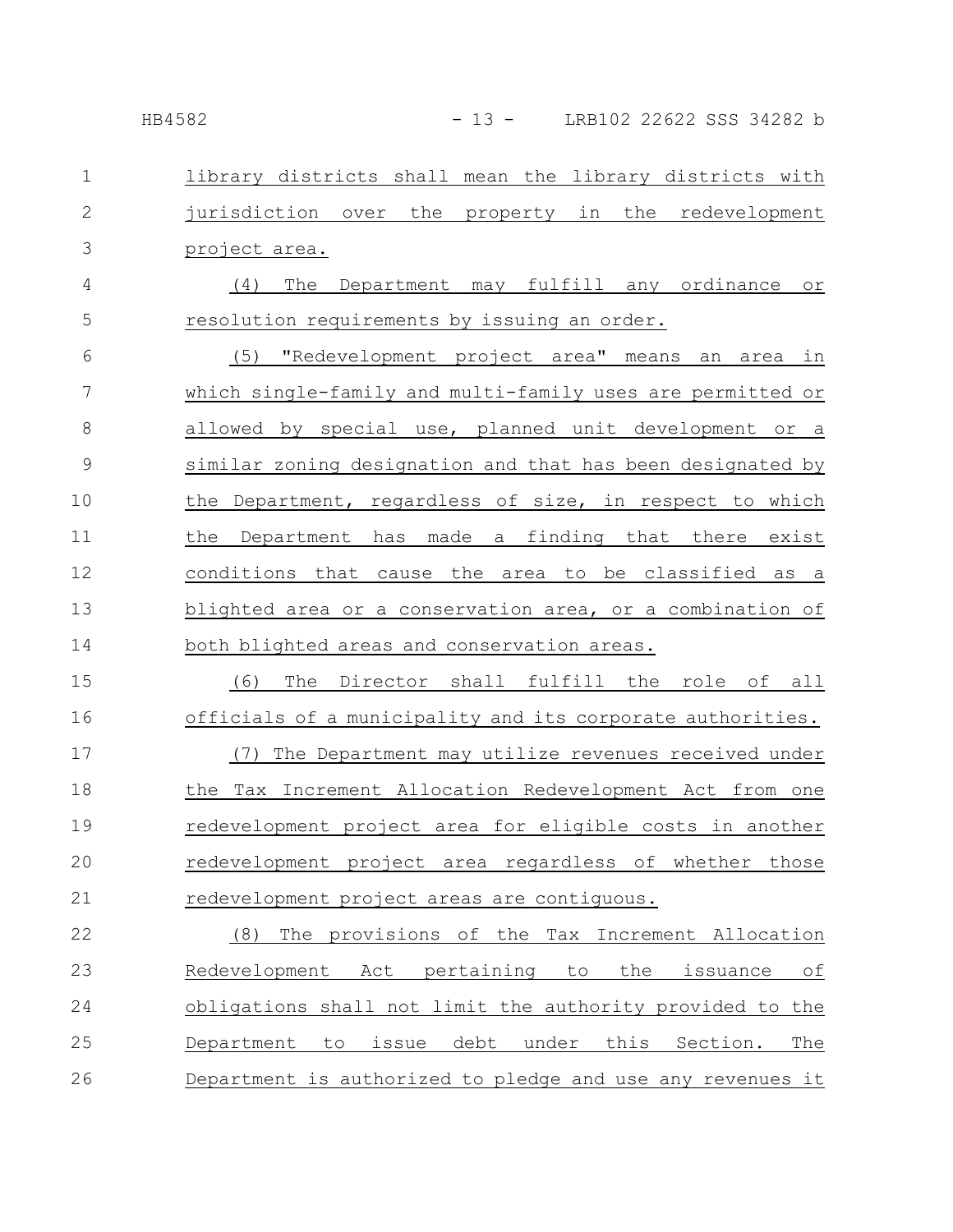| $\mathbf 1$  | library districts shall mean the library districts with                            |
|--------------|------------------------------------------------------------------------------------|
| $\mathbf{2}$ | jurisdiction over the property in the redevelopment                                |
| 3            | project area.                                                                      |
| 4            | The<br>may fulfill any ordinance<br>(4)<br>Department<br>$\circ$ r                 |
| 5            | resolution requirements by issuing an order.                                       |
| 6            | "Redevelopment project area" means<br>(5)<br>an<br>area<br>in                      |
| 7            | which single-family and multi-family uses are permitted or                         |
| 8            | allowed by special use, planned unit development<br>or a                           |
| 9            | similar zoning designation and that has been designated by                         |
| 10           | the Department, regardless of size, in respect to which                            |
| 11           | made<br>finding<br>that there<br>the<br>Department<br>has<br>exist<br>$\mathsf{a}$ |
| 12           | conditions<br>that<br>the<br>be classified<br>to<br>cause<br>area<br>as<br>- a     |
| 13           | blighted area or a conservation area, or a combination of                          |
| 14           | both blighted areas and conservation areas.                                        |
| 15           | The Director shall fulfill the role of all<br>(6)                                  |
| 16           | officials of a municipality and its corporate authorities.                         |
| 17           | The Department may utilize revenues received under<br>(7)                          |
| 18           | the Tax Increment Allocation Redevelopment Act from one                            |
| 19           | redevelopment project area for eligible costs in another                           |
| 20           | redevelopment project area regardless of whether those                             |
| 21           | redevelopment project areas are contiguous.                                        |
| 22           | (8)<br>The provisions of the Tax Increment Allocation                              |
| 23           | Act pertaining<br>the<br>Redevelopment<br>to<br>issuance<br>оf                     |
| 24           | obligations shall not limit the authority provided to the                          |
| 25           | debt under this<br>issue<br>Section.<br>The<br>Department to                       |
| 26           | Department is authorized to pledge and use any revenues it                         |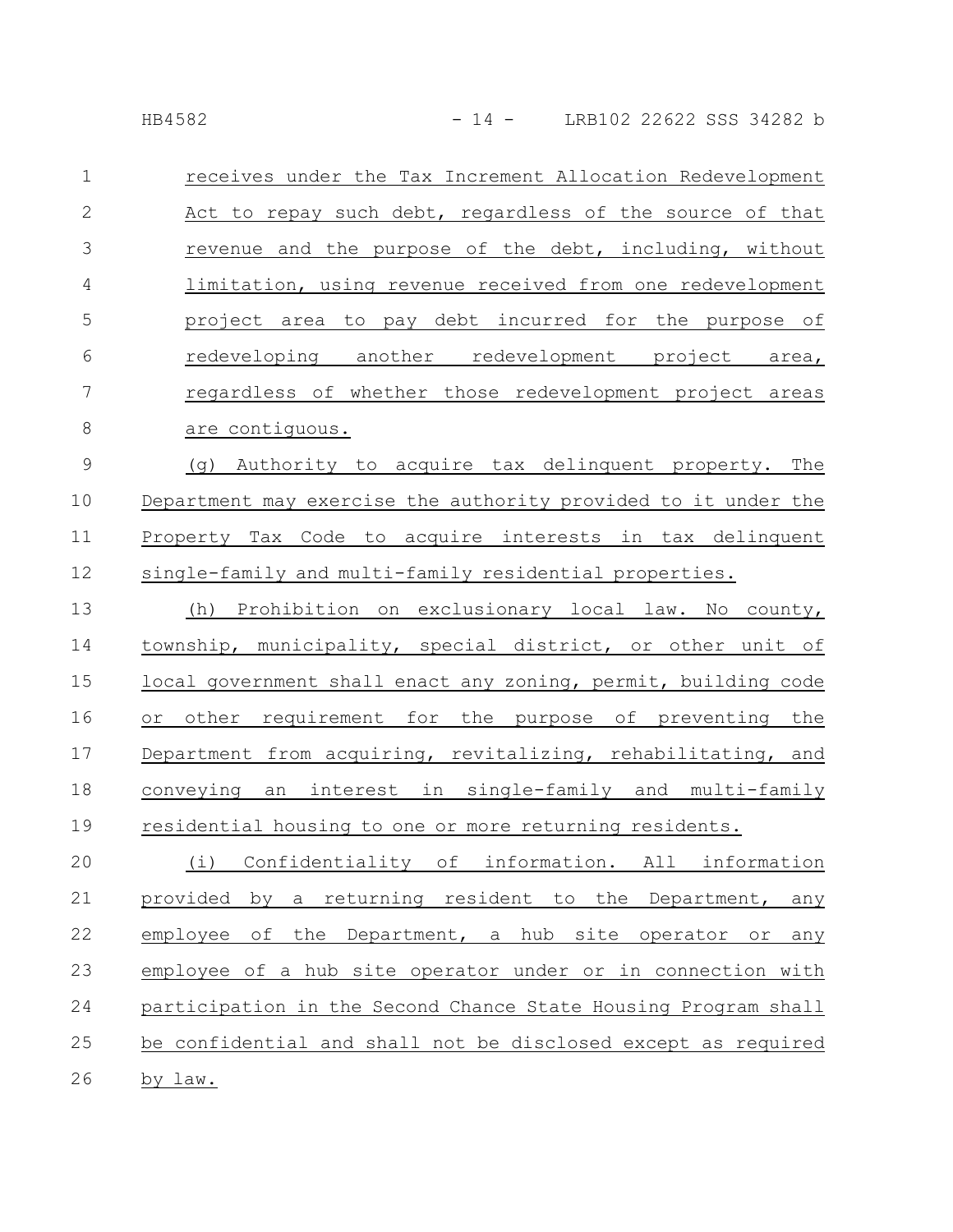|--|--|--|--|--|--|

| $\mathbf{1}$   | receives under the Tax Increment Allocation Redevelopment |
|----------------|-----------------------------------------------------------|
| 2              | Act to repay such debt, regardless of the source of that  |
| 3              | revenue and the purpose of the debt, including, without   |
| $\overline{4}$ | limitation, using revenue received from one redevelopment |
| 5              | project area to pay debt incurred for the purpose of      |
| 6              | redeveloping another redevelopment project area,          |
| 7              | regardless of whether those redevelopment project areas   |
| 8              | are contiquous.                                           |

(g) Authority to acquire tax delinquent property. The Department may exercise the authority provided to it under the Property Tax Code to acquire interests in tax delinquent single-family and multi-family residential properties. 9 10 11 12

(h) Prohibition on exclusionary local law. No county, township, municipality, special district, or other unit of local government shall enact any zoning, permit, building code or other requirement for the purpose of preventing the Department from acquiring, revitalizing, rehabilitating, and conveying an interest in single-family and multi-family residential housing to one or more returning residents. 13 14 15 16 17 18 19

(i) Confidentiality of information. All information provided by a returning resident to the Department, any employee of the Department, a hub site operator or any employee of a hub site operator under or in connection with participation in the Second Chance State Housing Program shall be confidential and shall not be disclosed except as required by law. 20 21 22 23 24 25 26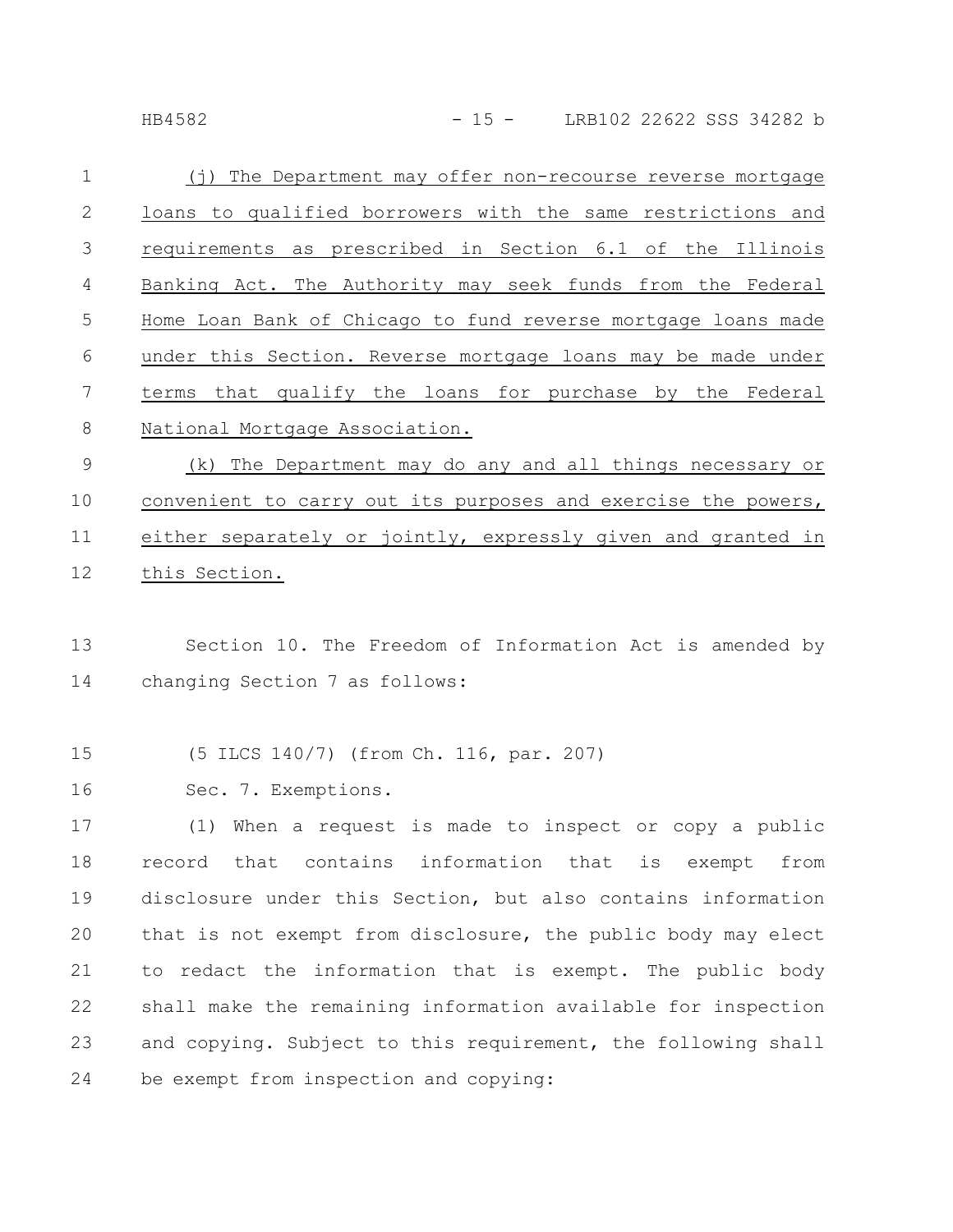| B45. |  | Ζ |
|------|--|---|
|------|--|---|

| $\mathbf{1}$   | (j) The Department may offer non-recourse reverse mortgage    |
|----------------|---------------------------------------------------------------|
| 2              | loans to qualified borrowers with the same restrictions and   |
| $\mathcal{S}$  | requirements as prescribed in Section 6.1 of the Illinois     |
| $\overline{4}$ | Banking Act. The Authority may seek funds from the Federal    |
| 5              | Home Loan Bank of Chicago to fund reverse mortgage loans made |
| 6              | under this Section. Reverse mortgage loans may be made under  |
| 7              | terms that qualify the loans for purchase by the Federal      |
| 8              | National Mortgage Association.                                |
|                |                                                               |

(k) The Department may do any and all things necessary or convenient to carry out its purposes and exercise the powers, either separately or jointly, expressly given and granted in this Section. 9 10 11 12

Section 10. The Freedom of Information Act is amended by changing Section 7 as follows: 13 14

(5 ILCS 140/7) (from Ch. 116, par. 207) 15

Sec. 7. Exemptions. 16

(1) When a request is made to inspect or copy a public record that contains information that is exempt from disclosure under this Section, but also contains information that is not exempt from disclosure, the public body may elect to redact the information that is exempt. The public body shall make the remaining information available for inspection and copying. Subject to this requirement, the following shall be exempt from inspection and copying: 17 18 19 20 21 22 23 24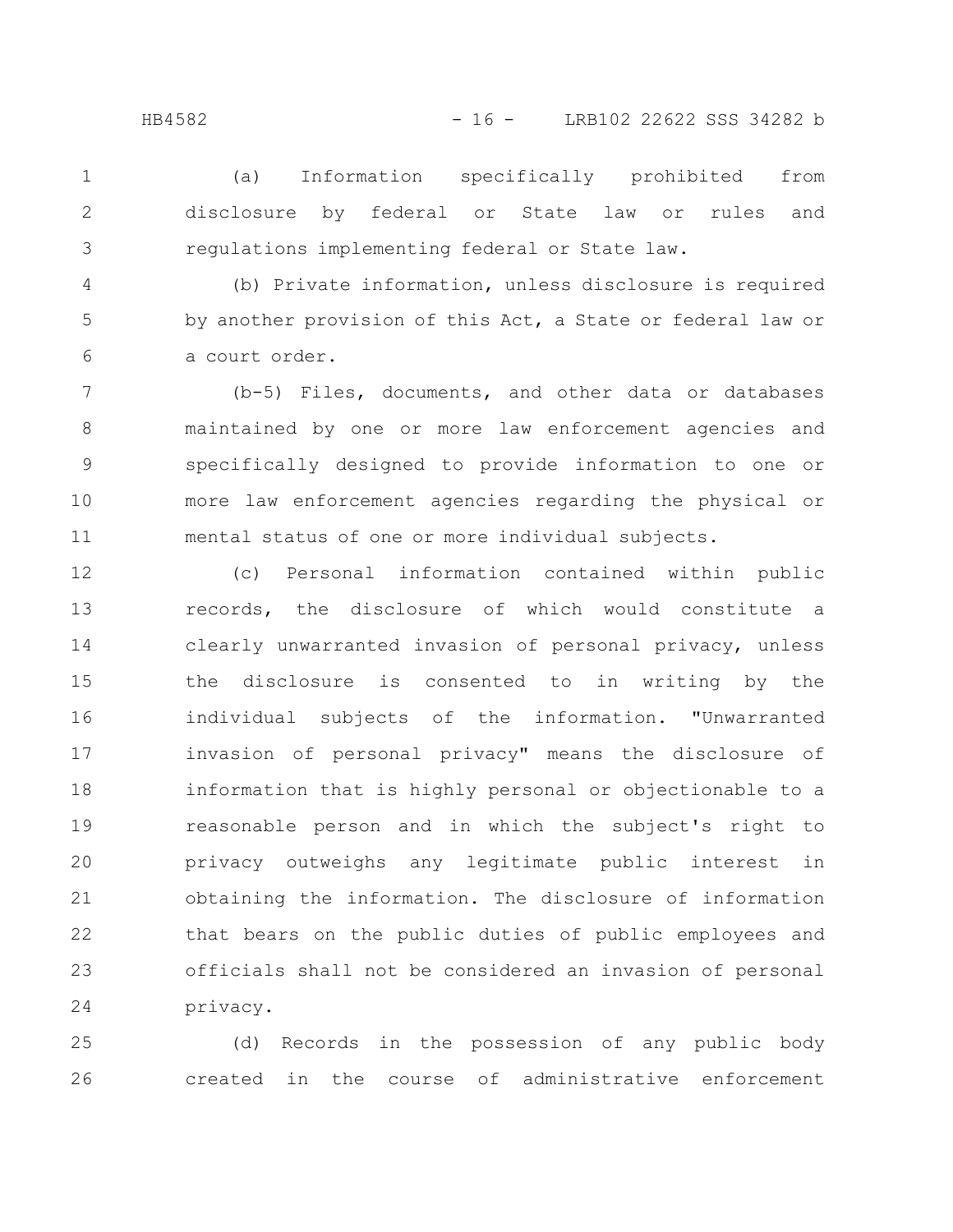(a) Information specifically prohibited from disclosure by federal or State law or rules and regulations implementing federal or State law.

3 4

5

6

1

2

(b) Private information, unless disclosure is required by another provision of this Act, a State or federal law or a court order.

(b-5) Files, documents, and other data or databases maintained by one or more law enforcement agencies and specifically designed to provide information to one or more law enforcement agencies regarding the physical or mental status of one or more individual subjects. 7 8 9 10 11

(c) Personal information contained within public records, the disclosure of which would constitute a clearly unwarranted invasion of personal privacy, unless the disclosure is consented to in writing by the individual subjects of the information. "Unwarranted invasion of personal privacy" means the disclosure of information that is highly personal or objectionable to a reasonable person and in which the subject's right to privacy outweighs any legitimate public interest in obtaining the information. The disclosure of information that bears on the public duties of public employees and officials shall not be considered an invasion of personal privacy. 12 13 14 15 16 17 18 19 20 21 22 23 24

(d) Records in the possession of any public body created in the course of administrative enforcement 25 26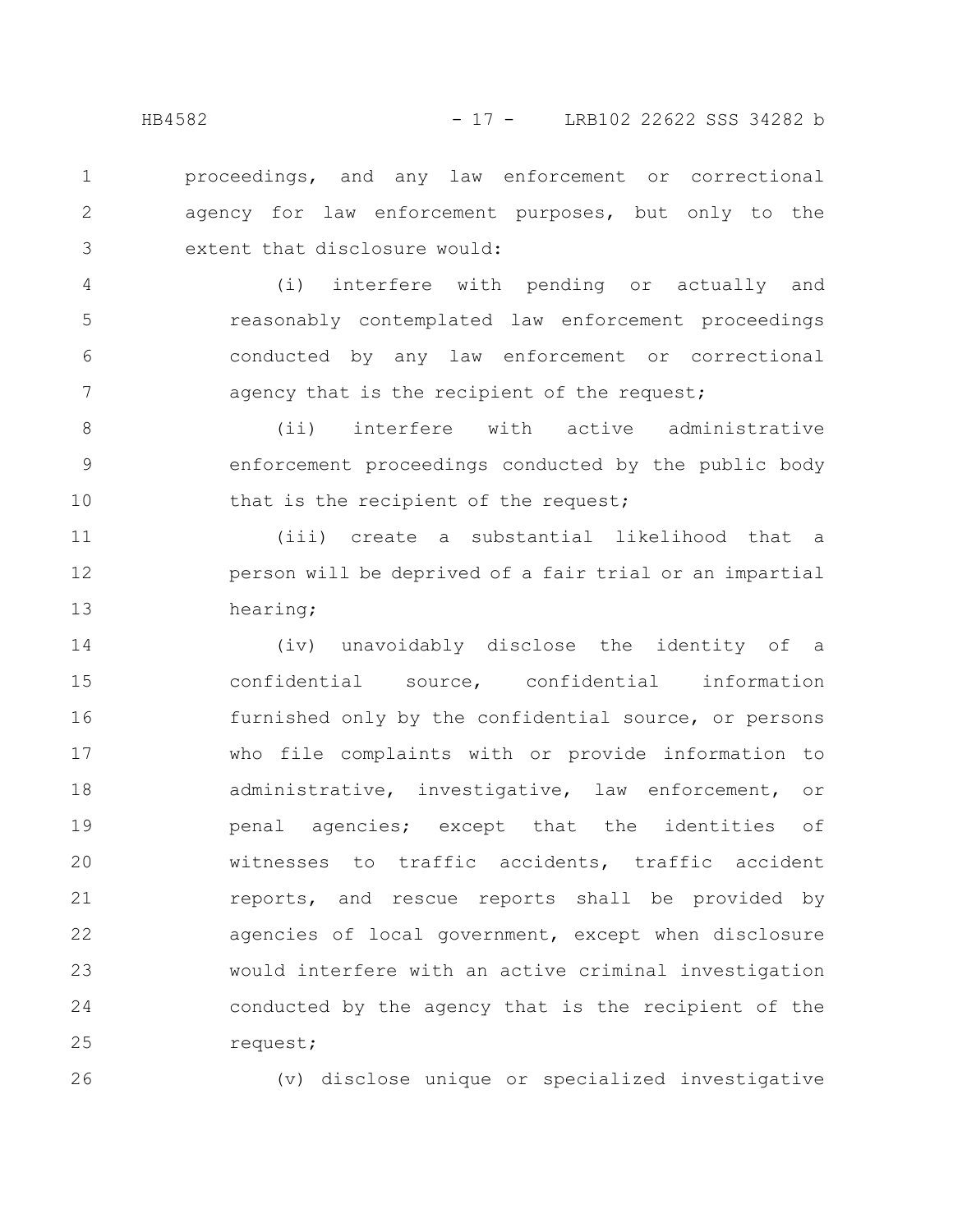proceedings, and any law enforcement or correctional agency for law enforcement purposes, but only to the extent that disclosure would: 1 2 3

(i) interfere with pending or actually and reasonably contemplated law enforcement proceedings conducted by any law enforcement or correctional agency that is the recipient of the request; 4 5 6 7

(ii) interfere with active administrative enforcement proceedings conducted by the public body that is the recipient of the request; 8 9 10

(iii) create a substantial likelihood that a person will be deprived of a fair trial or an impartial hearing; 11 12 13

(iv) unavoidably disclose the identity of a confidential source, confidential information furnished only by the confidential source, or persons who file complaints with or provide information to administrative, investigative, law enforcement, or penal agencies; except that the identities of witnesses to traffic accidents, traffic accident reports, and rescue reports shall be provided by agencies of local government, except when disclosure would interfere with an active criminal investigation conducted by the agency that is the recipient of the request; 14 15 16 17 18 19 20 21 22 23 24 25

26

(v) disclose unique or specialized investigative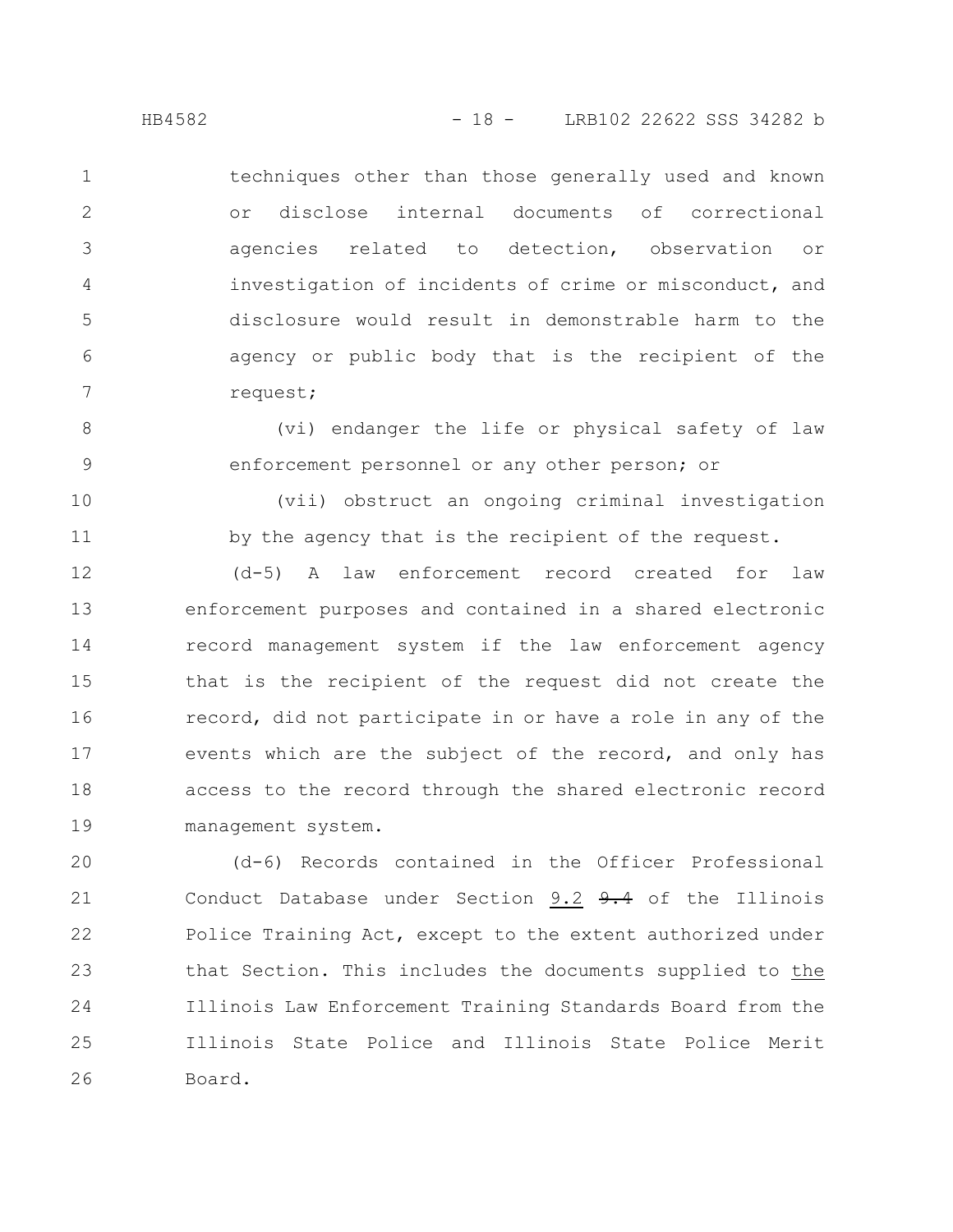8

9

10

11

techniques other than those generally used and known or disclose internal documents of correctional agencies related to detection, observation or investigation of incidents of crime or misconduct, and disclosure would result in demonstrable harm to the agency or public body that is the recipient of the request; 1 2 3 4 5 6 7

(vi) endanger the life or physical safety of law enforcement personnel or any other person; or

(vii) obstruct an ongoing criminal investigation by the agency that is the recipient of the request.

(d-5) A law enforcement record created for law enforcement purposes and contained in a shared electronic record management system if the law enforcement agency that is the recipient of the request did not create the record, did not participate in or have a role in any of the events which are the subject of the record, and only has access to the record through the shared electronic record management system. 12 13 14 15 16 17 18 19

(d-6) Records contained in the Officer Professional Conduct Database under Section 9.2 9.4 of the Illinois Police Training Act, except to the extent authorized under that Section. This includes the documents supplied to the Illinois Law Enforcement Training Standards Board from the Illinois State Police and Illinois State Police Merit Board. 20 21 22 23 24 25 26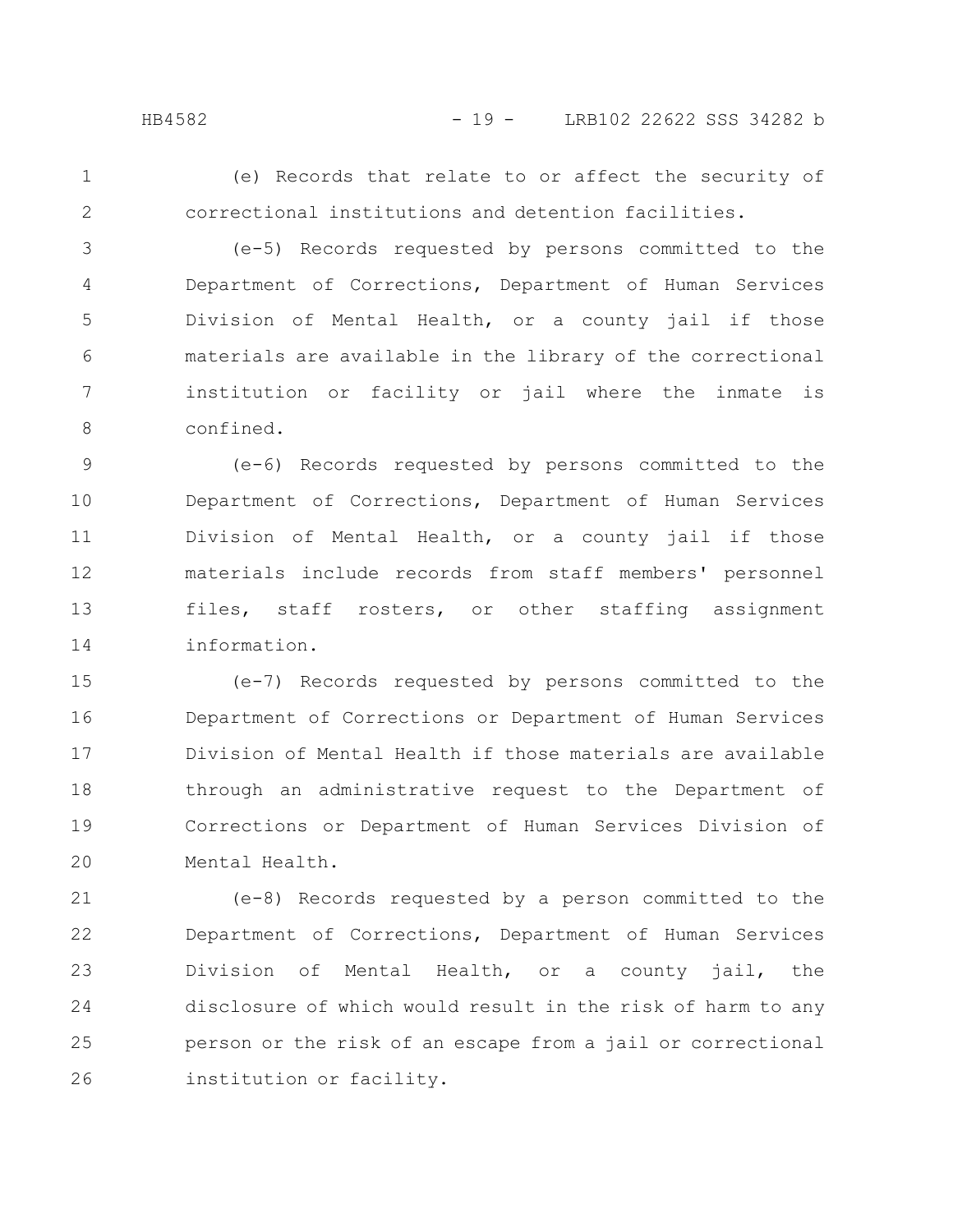1 2

(e) Records that relate to or affect the security of correctional institutions and detention facilities.

(e-5) Records requested by persons committed to the Department of Corrections, Department of Human Services Division of Mental Health, or a county jail if those materials are available in the library of the correctional institution or facility or jail where the inmate is confined. 3 4 5 6 7 8

(e-6) Records requested by persons committed to the Department of Corrections, Department of Human Services Division of Mental Health, or a county jail if those materials include records from staff members' personnel files, staff rosters, or other staffing assignment information. 9 10 11 12 13 14

(e-7) Records requested by persons committed to the Department of Corrections or Department of Human Services Division of Mental Health if those materials are available through an administrative request to the Department of Corrections or Department of Human Services Division of Mental Health. 15 16 17 18 19 20

(e-8) Records requested by a person committed to the Department of Corrections, Department of Human Services Division of Mental Health, or a county jail, the disclosure of which would result in the risk of harm to any person or the risk of an escape from a jail or correctional institution or facility. 21 22 23 24 25 26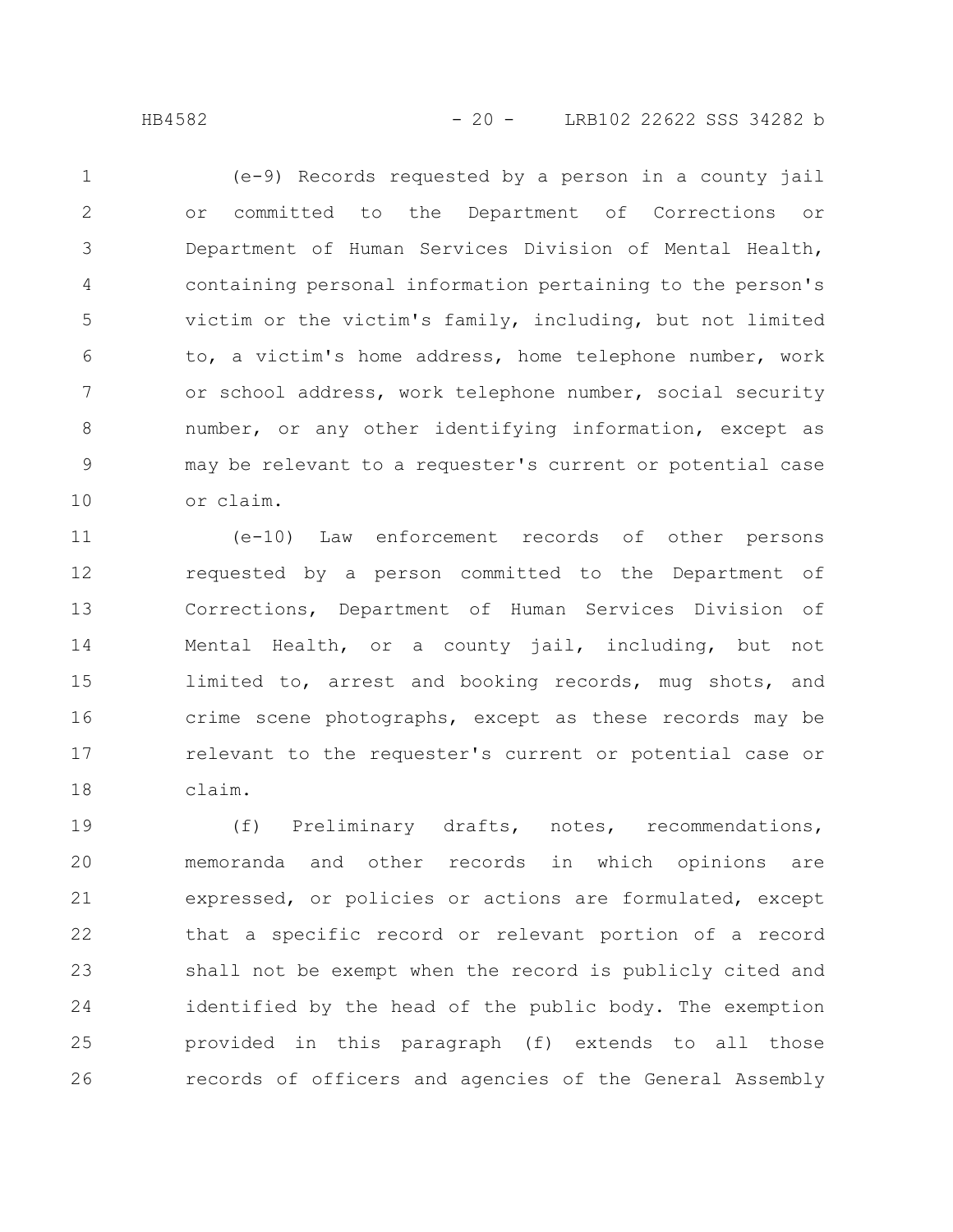(e-9) Records requested by a person in a county jail or committed to the Department of Corrections or Department of Human Services Division of Mental Health, containing personal information pertaining to the person's victim or the victim's family, including, but not limited to, a victim's home address, home telephone number, work or school address, work telephone number, social security number, or any other identifying information, except as may be relevant to a requester's current or potential case or claim. 1 2 3 4 5 6 7 8 9 10

(e-10) Law enforcement records of other persons requested by a person committed to the Department of Corrections, Department of Human Services Division of Mental Health, or a county jail, including, but not limited to, arrest and booking records, mug shots, and crime scene photographs, except as these records may be relevant to the requester's current or potential case or claim. 11 12 13 14 15 16 17 18

(f) Preliminary drafts, notes, recommendations, memoranda and other records in which opinions are expressed, or policies or actions are formulated, except that a specific record or relevant portion of a record shall not be exempt when the record is publicly cited and identified by the head of the public body. The exemption provided in this paragraph (f) extends to all those records of officers and agencies of the General Assembly 19 20 21 22 23 24 25 26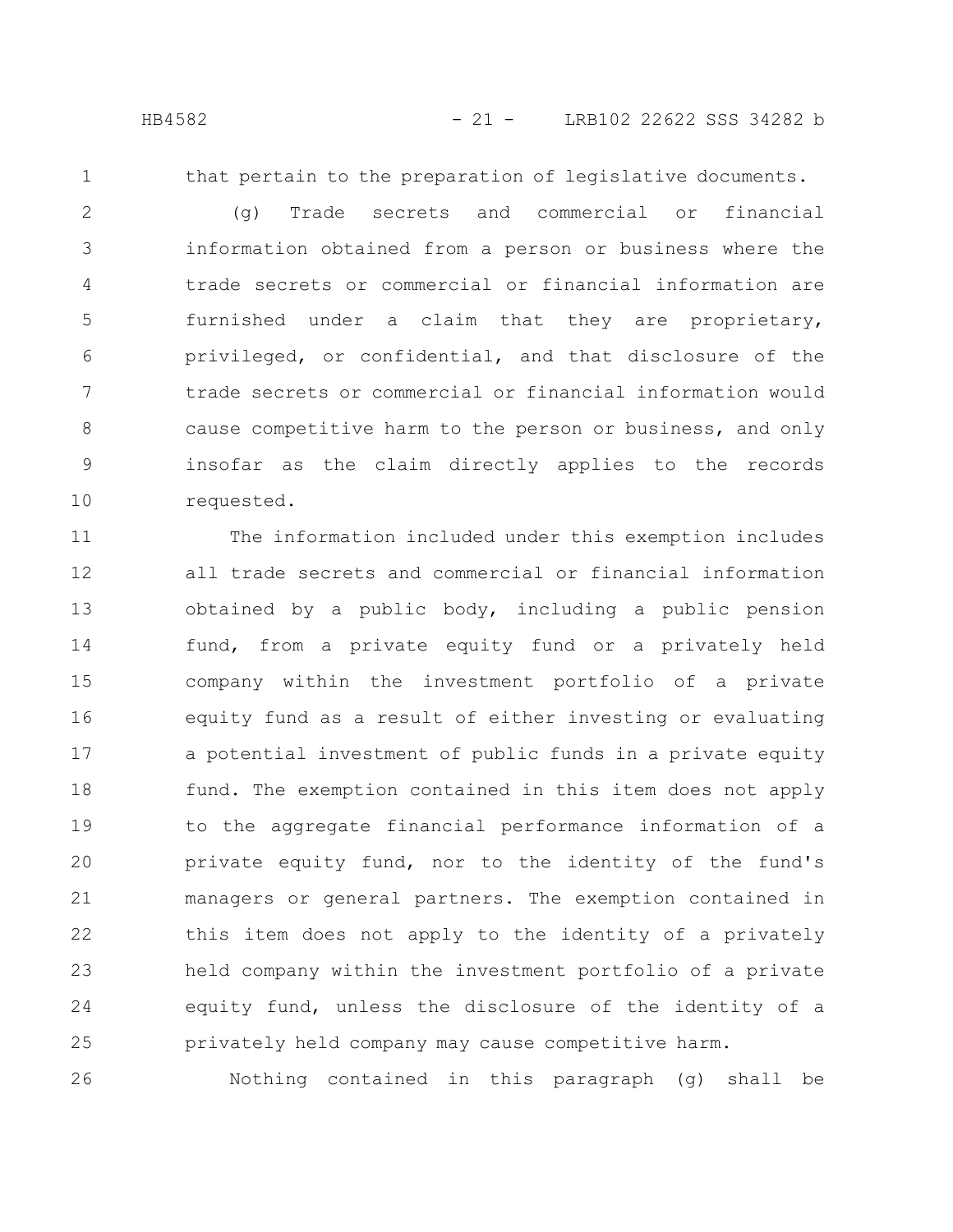1

that pertain to the preparation of legislative documents.

(g) Trade secrets and commercial or financial information obtained from a person or business where the trade secrets or commercial or financial information are furnished under a claim that they are proprietary, privileged, or confidential, and that disclosure of the trade secrets or commercial or financial information would cause competitive harm to the person or business, and only insofar as the claim directly applies to the records requested. 2 3 4 5 6 7 8 9 10

The information included under this exemption includes all trade secrets and commercial or financial information obtained by a public body, including a public pension fund, from a private equity fund or a privately held company within the investment portfolio of a private equity fund as a result of either investing or evaluating a potential investment of public funds in a private equity fund. The exemption contained in this item does not apply to the aggregate financial performance information of a private equity fund, nor to the identity of the fund's managers or general partners. The exemption contained in this item does not apply to the identity of a privately held company within the investment portfolio of a private equity fund, unless the disclosure of the identity of a privately held company may cause competitive harm. 11 12 13 14 15 16 17 18 19 20 21 22 23 24 25

Nothing contained in this paragraph (g) shall be 26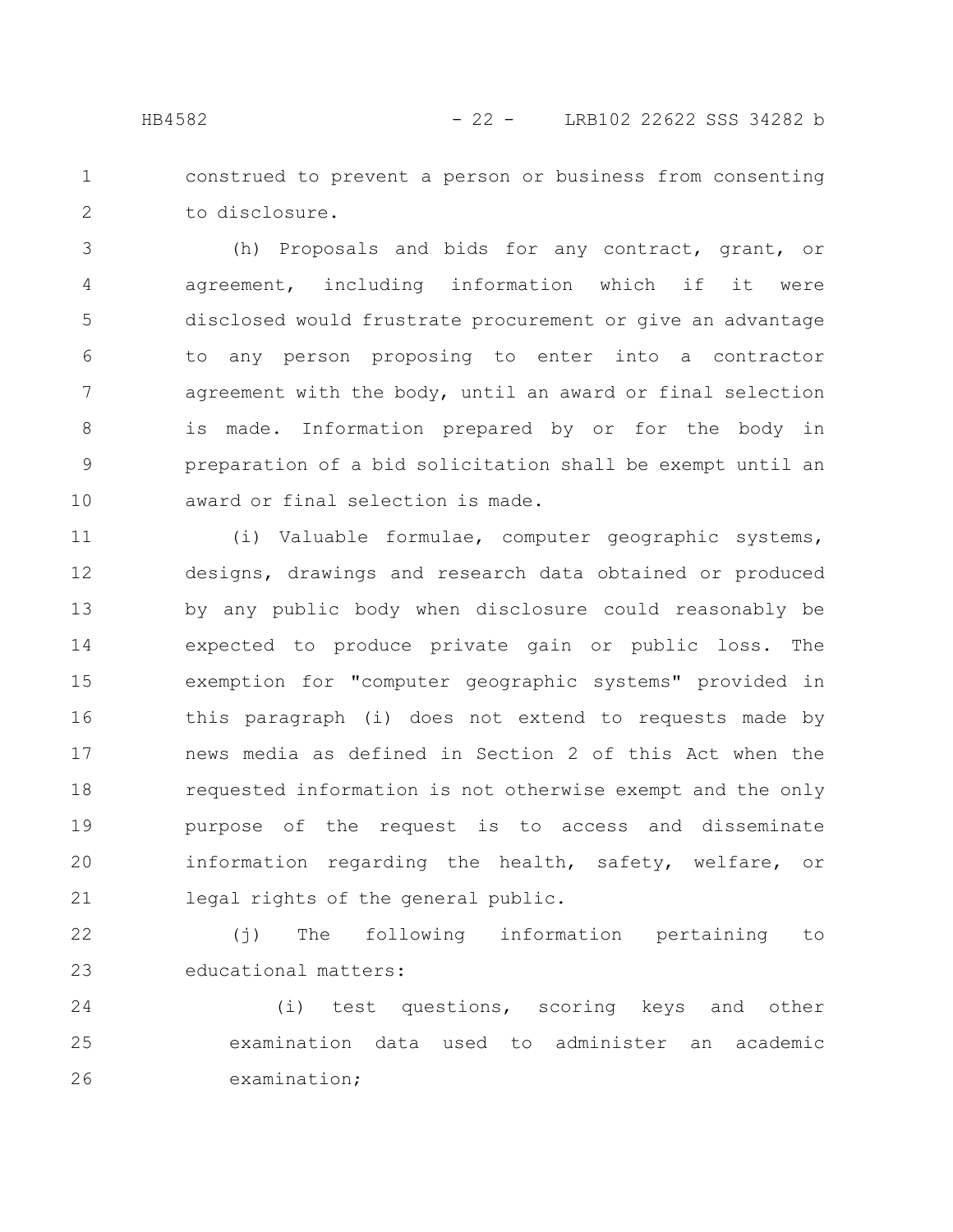construed to prevent a person or business from consenting

to disclosure.

(h) Proposals and bids for any contract, grant, or agreement, including information which if it were disclosed would frustrate procurement or give an advantage to any person proposing to enter into a contractor agreement with the body, until an award or final selection is made. Information prepared by or for the body in preparation of a bid solicitation shall be exempt until an award or final selection is made. 3 4 5 6 7 8 9 10

(i) Valuable formulae, computer geographic systems, designs, drawings and research data obtained or produced by any public body when disclosure could reasonably be expected to produce private gain or public loss. The exemption for "computer geographic systems" provided in this paragraph (i) does not extend to requests made by news media as defined in Section 2 of this Act when the requested information is not otherwise exempt and the only purpose of the request is to access and disseminate information regarding the health, safety, welfare, or legal rights of the general public. 11 12 13 14 15 16 17 18 19 20 21

(j) The following information pertaining to educational matters: 22 23

(i) test questions, scoring keys and other examination data used to administer an academic examination; 24 25 26

1

2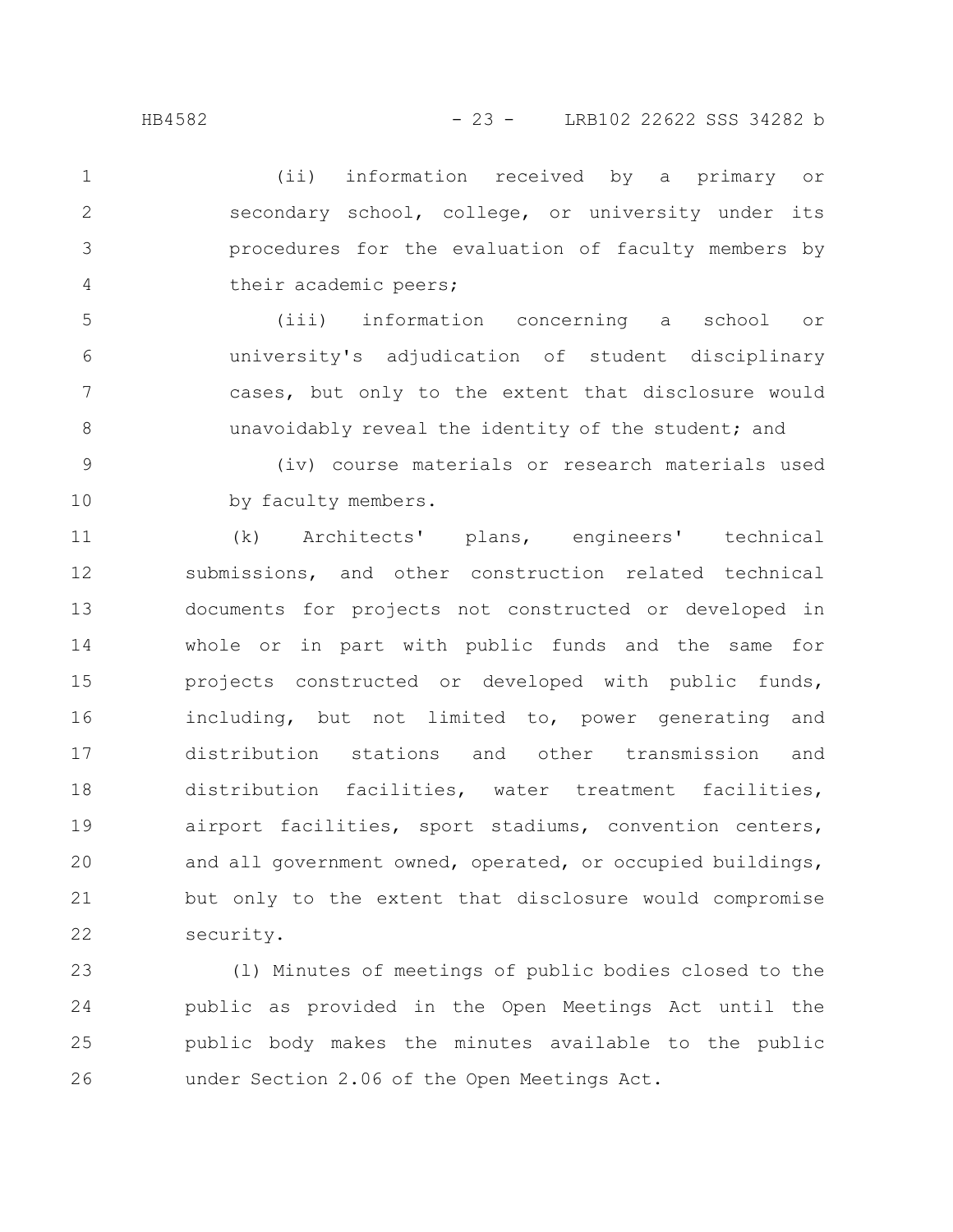(ii) information received by a primary or secondary school, college, or university under its procedures for the evaluation of faculty members by their academic peers; 1 2 3 4

(iii) information concerning a school or university's adjudication of student disciplinary cases, but only to the extent that disclosure would unavoidably reveal the identity of the student; and 5 6 7 8

(iv) course materials or research materials used by faculty members. 9 10

(k) Architects' plans, engineers' technical submissions, and other construction related technical documents for projects not constructed or developed in whole or in part with public funds and the same for projects constructed or developed with public funds, including, but not limited to, power generating and distribution stations and other transmission and distribution facilities, water treatment facilities, airport facilities, sport stadiums, convention centers, and all government owned, operated, or occupied buildings, but only to the extent that disclosure would compromise security. 11 12 13 14 15 16 17 18 19 20 21 22

(l) Minutes of meetings of public bodies closed to the public as provided in the Open Meetings Act until the public body makes the minutes available to the public under Section 2.06 of the Open Meetings Act. 23 24 25 26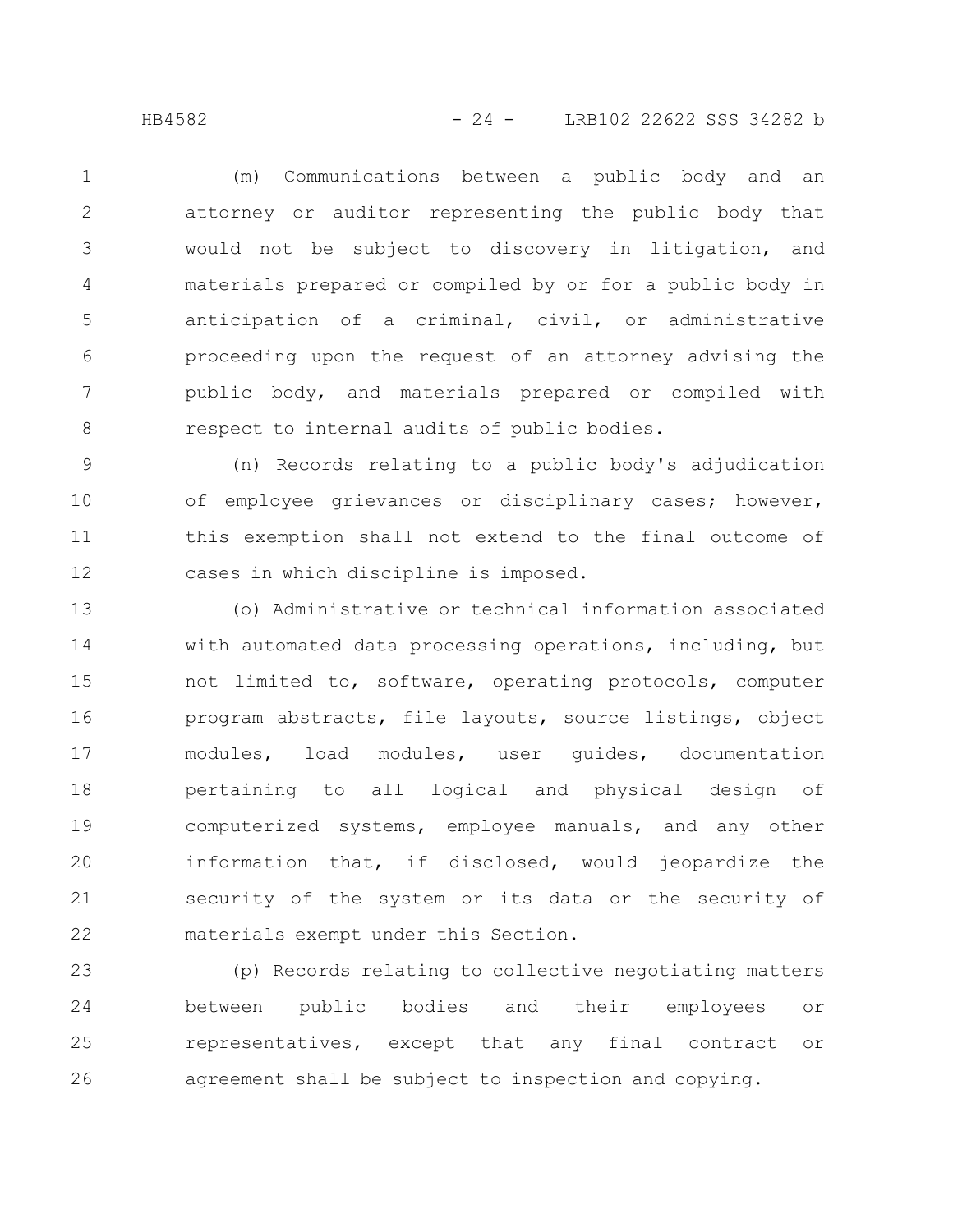(m) Communications between a public body and an attorney or auditor representing the public body that would not be subject to discovery in litigation, and materials prepared or compiled by or for a public body in anticipation of a criminal, civil, or administrative proceeding upon the request of an attorney advising the public body, and materials prepared or compiled with respect to internal audits of public bodies. 1 2 3 4 5 6 7 8

(n) Records relating to a public body's adjudication of employee grievances or disciplinary cases; however, this exemption shall not extend to the final outcome of cases in which discipline is imposed. 9 10 11 12

(o) Administrative or technical information associated with automated data processing operations, including, but not limited to, software, operating protocols, computer program abstracts, file layouts, source listings, object modules, load modules, user guides, documentation pertaining to all logical and physical design of computerized systems, employee manuals, and any other information that, if disclosed, would jeopardize the security of the system or its data or the security of materials exempt under this Section. 13 14 15 16 17 18 19 20 21 22

(p) Records relating to collective negotiating matters between public bodies and their employees or representatives, except that any final contract or agreement shall be subject to inspection and copying. 23 24 25 26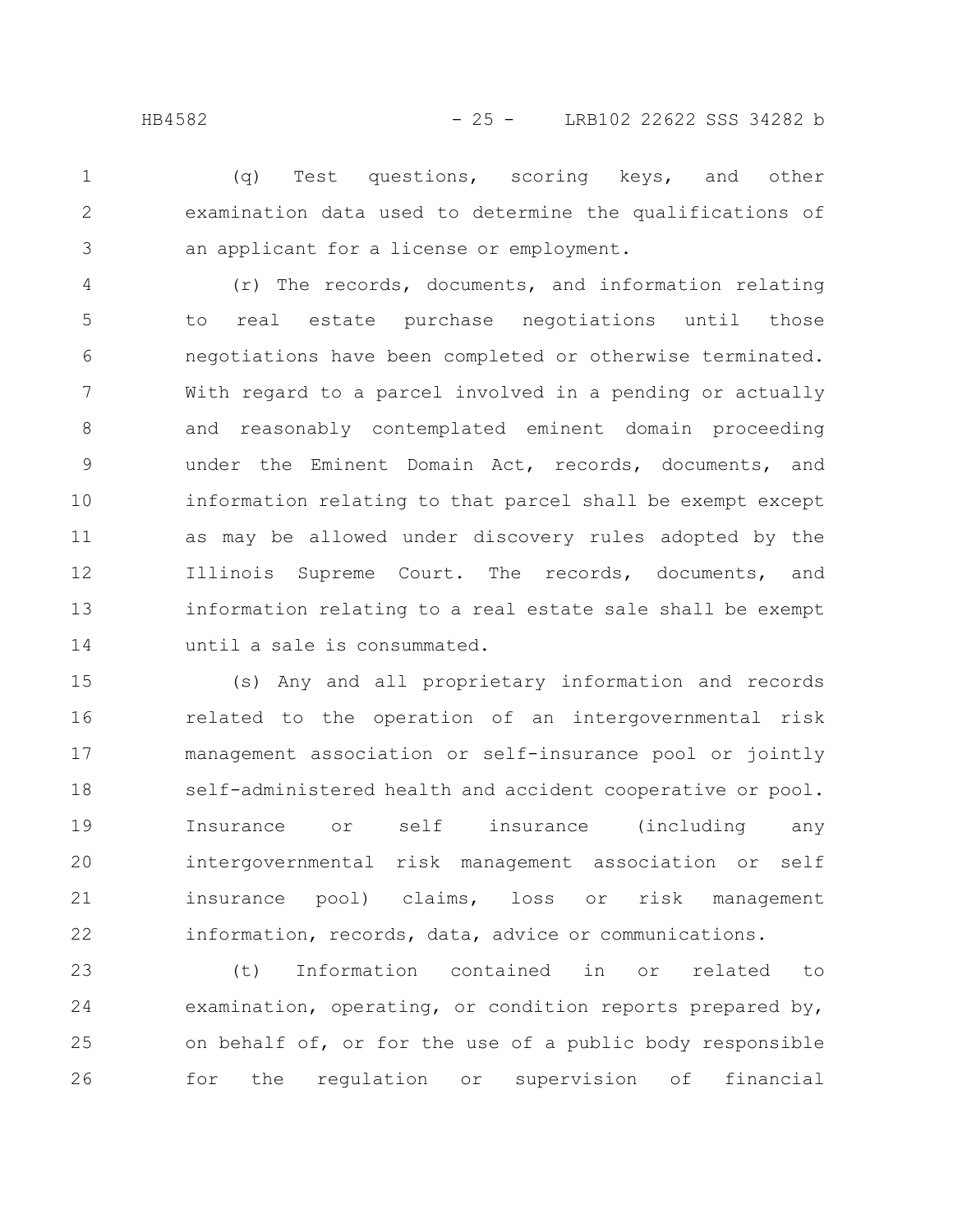(q) Test questions, scoring keys, and other examination data used to determine the qualifications of an applicant for a license or employment. 1 2 3

(r) The records, documents, and information relating to real estate purchase negotiations until those negotiations have been completed or otherwise terminated. With regard to a parcel involved in a pending or actually and reasonably contemplated eminent domain proceeding under the Eminent Domain Act, records, documents, and information relating to that parcel shall be exempt except as may be allowed under discovery rules adopted by the Illinois Supreme Court. The records, documents, and information relating to a real estate sale shall be exempt until a sale is consummated. 4 5 6 7 8 9 10 11 12 13 14

(s) Any and all proprietary information and records related to the operation of an intergovernmental risk management association or self-insurance pool or jointly self-administered health and accident cooperative or pool. Insurance or self insurance (including any intergovernmental risk management association or self insurance pool) claims, loss or risk management information, records, data, advice or communications. 15 16 17 18 19 20 21 22

(t) Information contained in or related to examination, operating, or condition reports prepared by, on behalf of, or for the use of a public body responsible for the regulation or supervision of financial 23 24 25 26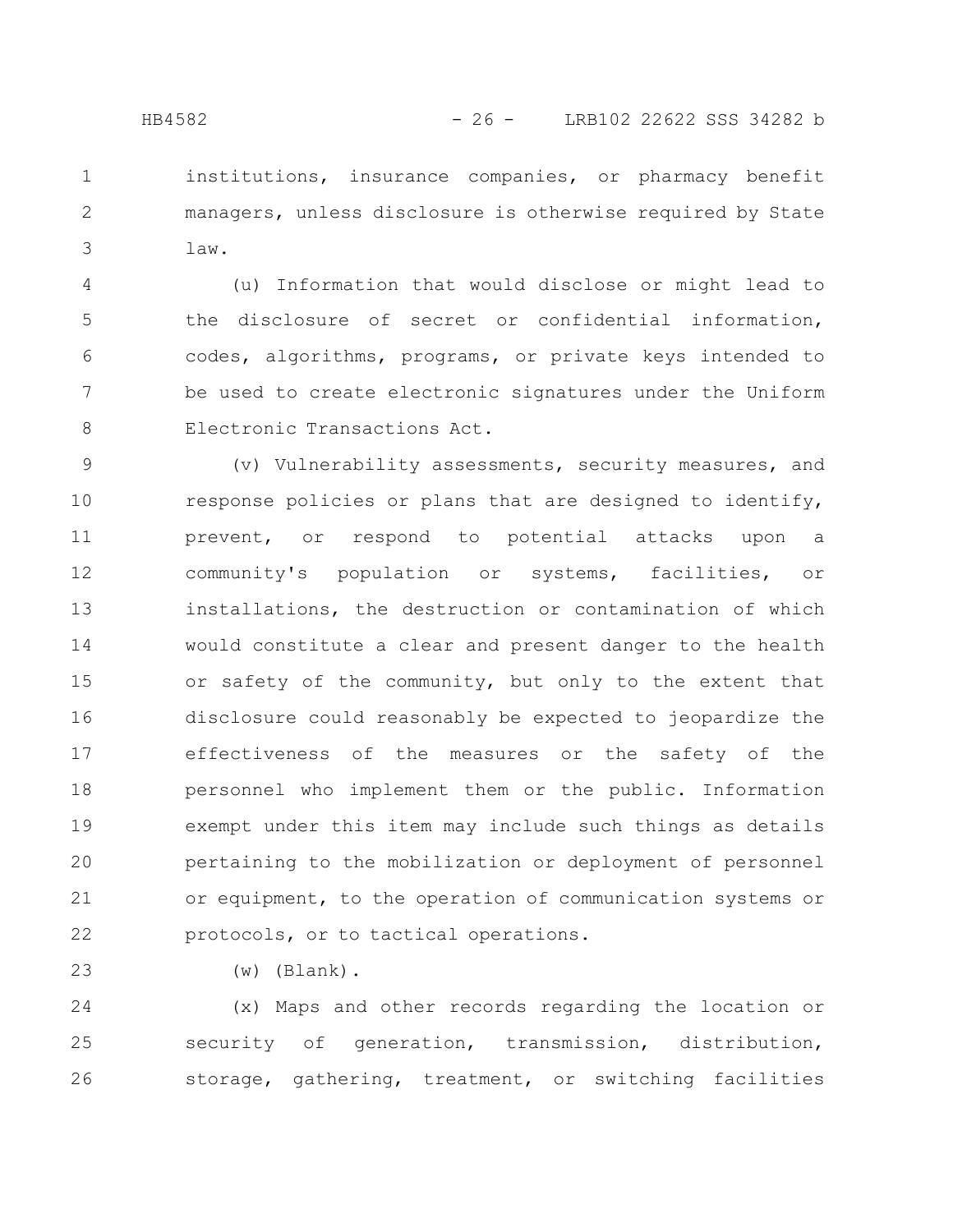institutions, insurance companies, or pharmacy benefit managers, unless disclosure is otherwise required by State law. 1 2 3

(u) Information that would disclose or might lead to the disclosure of secret or confidential information, codes, algorithms, programs, or private keys intended to be used to create electronic signatures under the Uniform Electronic Transactions Act. 4 5 6 7 8

(v) Vulnerability assessments, security measures, and response policies or plans that are designed to identify, prevent, or respond to potential attacks upon a community's population or systems, facilities, or installations, the destruction or contamination of which would constitute a clear and present danger to the health or safety of the community, but only to the extent that disclosure could reasonably be expected to jeopardize the effectiveness of the measures or the safety of the personnel who implement them or the public. Information exempt under this item may include such things as details pertaining to the mobilization or deployment of personnel or equipment, to the operation of communication systems or protocols, or to tactical operations. 9 10 11 12 13 14 15 16 17 18 19 20 21 22

(w) (Blank).

23

(x) Maps and other records regarding the location or security of generation, transmission, distribution, storage, gathering, treatment, or switching facilities 24 25 26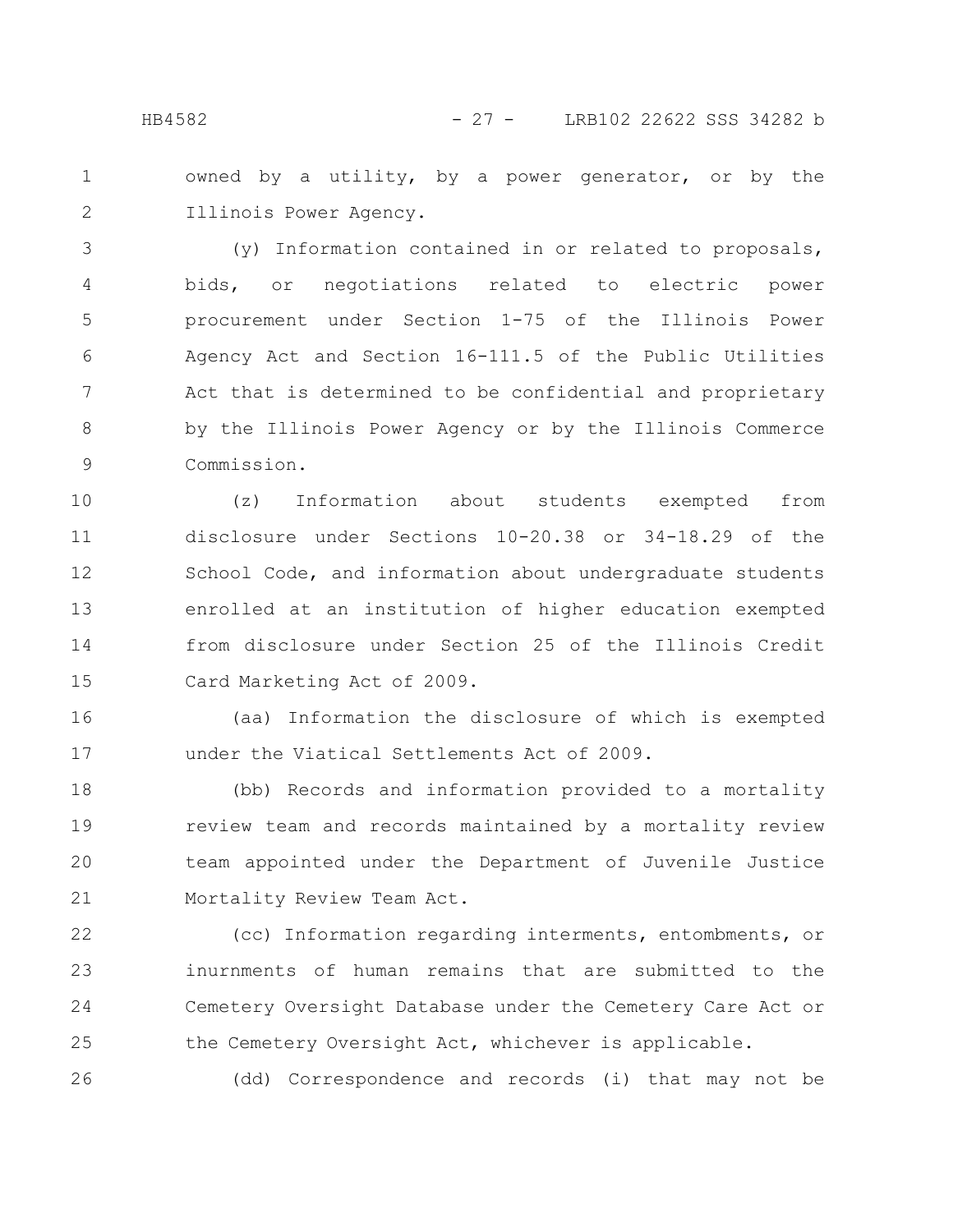owned by a utility, by a power generator, or by the Illinois Power Agency. 1 2

(y) Information contained in or related to proposals, bids, or negotiations related to electric power procurement under Section 1-75 of the Illinois Power Agency Act and Section 16-111.5 of the Public Utilities Act that is determined to be confidential and proprietary by the Illinois Power Agency or by the Illinois Commerce Commission. 3 4 5 6 7 8 9

(z) Information about students exempted from disclosure under Sections 10-20.38 or 34-18.29 of the School Code, and information about undergraduate students enrolled at an institution of higher education exempted from disclosure under Section 25 of the Illinois Credit Card Marketing Act of 2009. 10 11 12 13 14 15

(aa) Information the disclosure of which is exempted under the Viatical Settlements Act of 2009. 16 17

(bb) Records and information provided to a mortality review team and records maintained by a mortality review team appointed under the Department of Juvenile Justice Mortality Review Team Act. 18 19 20 21

(cc) Information regarding interments, entombments, or inurnments of human remains that are submitted to the Cemetery Oversight Database under the Cemetery Care Act or the Cemetery Oversight Act, whichever is applicable. 22 23 24 25

(dd) Correspondence and records (i) that may not be

26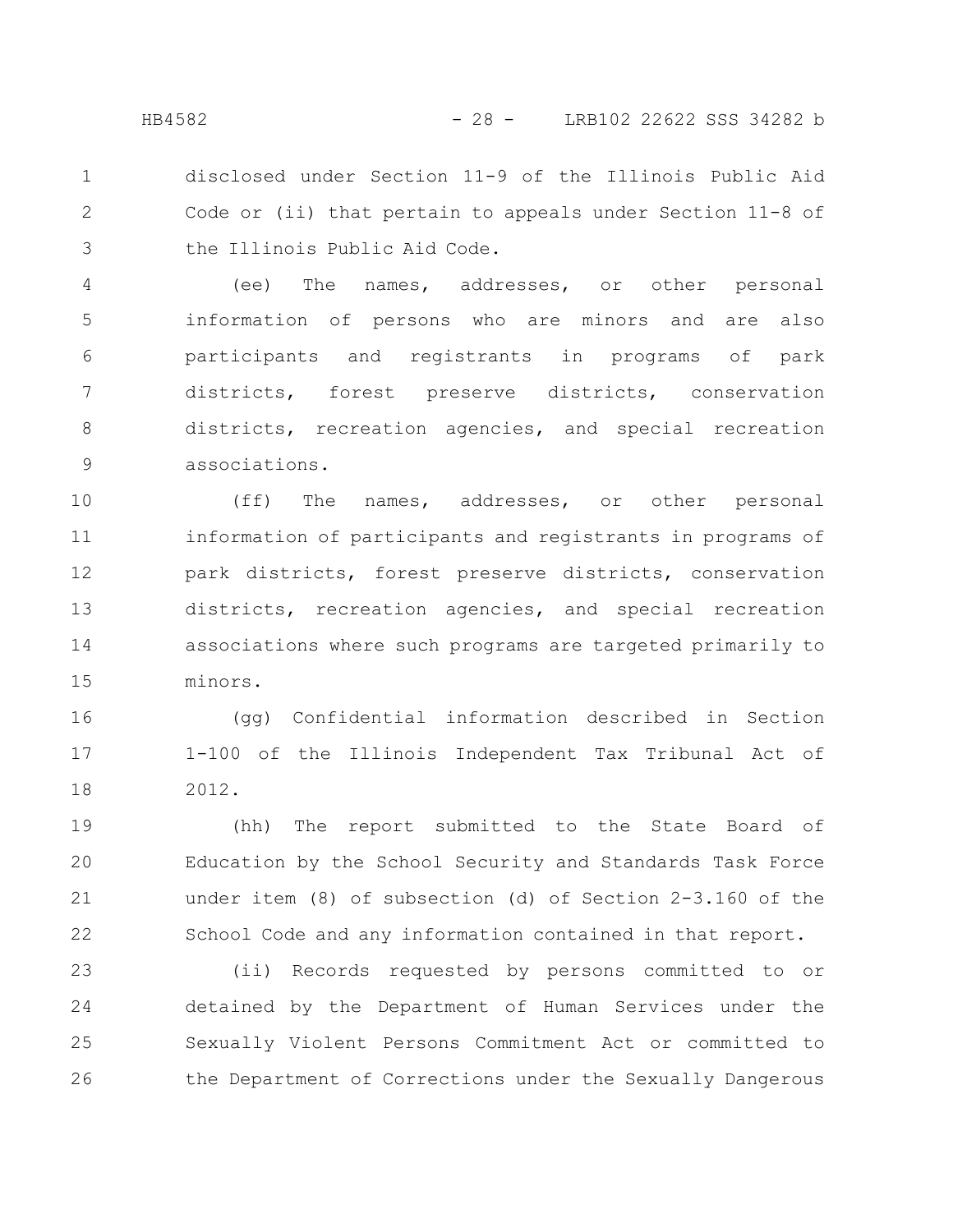disclosed under Section 11-9 of the Illinois Public Aid Code or (ii) that pertain to appeals under Section 11-8 of the Illinois Public Aid Code. 1 2 3

(ee) The names, addresses, or other personal information of persons who are minors and are also participants and registrants in programs of park districts, forest preserve districts, conservation districts, recreation agencies, and special recreation associations. 4 5 6 7 8 9

(ff) The names, addresses, or other personal information of participants and registrants in programs of park districts, forest preserve districts, conservation districts, recreation agencies, and special recreation associations where such programs are targeted primarily to minors. 10 11 12 13 14 15

(gg) Confidential information described in Section 1-100 of the Illinois Independent Tax Tribunal Act of 2012. 16 17 18

(hh) The report submitted to the State Board of Education by the School Security and Standards Task Force under item (8) of subsection (d) of Section 2-3.160 of the School Code and any information contained in that report. 19 20 21 22

(ii) Records requested by persons committed to or detained by the Department of Human Services under the Sexually Violent Persons Commitment Act or committed to the Department of Corrections under the Sexually Dangerous 23 24 25 26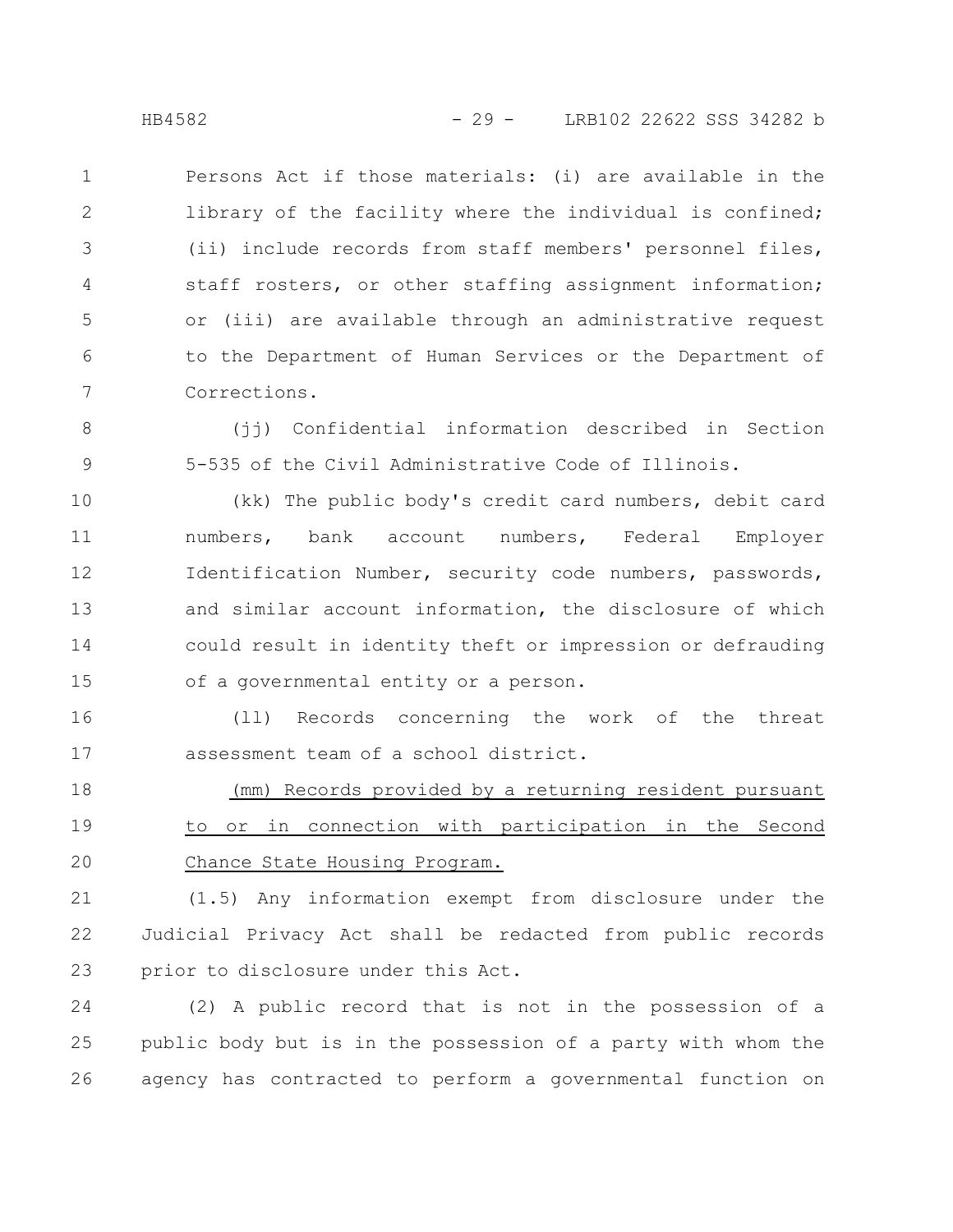Persons Act if those materials: (i) are available in the library of the facility where the individual is confined; (ii) include records from staff members' personnel files, staff rosters, or other staffing assignment information; or (iii) are available through an administrative request to the Department of Human Services or the Department of Corrections. 1 2 3 4 5 6 7

(jj) Confidential information described in Section 5-535 of the Civil Administrative Code of Illinois. 8 9

(kk) The public body's credit card numbers, debit card numbers, bank account numbers, Federal Employer Identification Number, security code numbers, passwords, and similar account information, the disclosure of which could result in identity theft or impression or defrauding of a governmental entity or a person. 10 11 12 13 14 15

(ll) Records concerning the work of the threat assessment team of a school district. 16 17

(mm) Records provided by a returning resident pursuant to or in connection with participation in the Second Chance State Housing Program. 18 19 20

(1.5) Any information exempt from disclosure under the Judicial Privacy Act shall be redacted from public records prior to disclosure under this Act. 21 22 23

(2) A public record that is not in the possession of a public body but is in the possession of a party with whom the agency has contracted to perform a governmental function on 24 25 26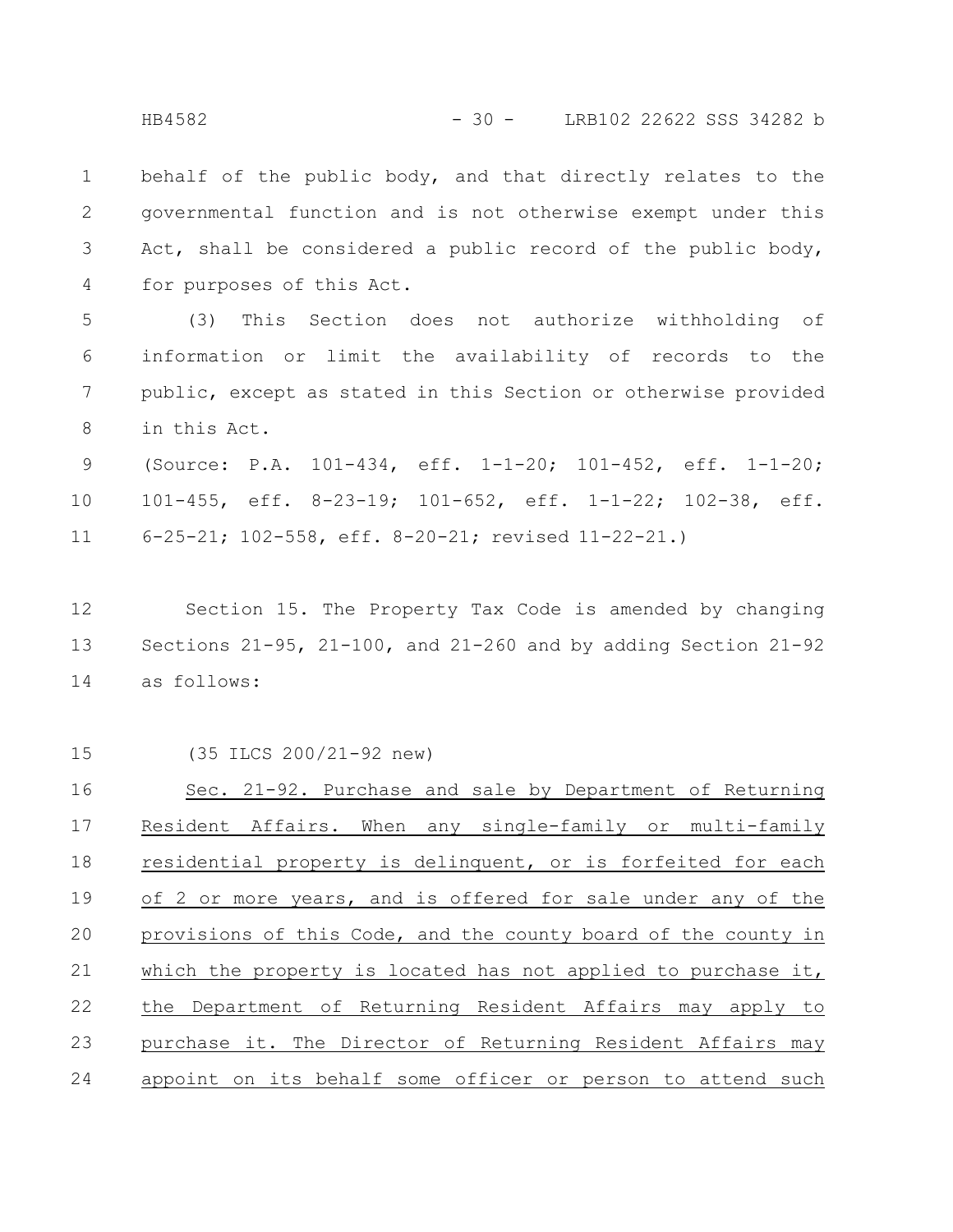behalf of the public body, and that directly relates to the governmental function and is not otherwise exempt under this Act, shall be considered a public record of the public body, for purposes of this Act. 1 2 3 4

(3) This Section does not authorize withholding of information or limit the availability of records to the public, except as stated in this Section or otherwise provided in this Act. 5 6 7 8

(Source: P.A. 101-434, eff. 1-1-20; 101-452, eff. 1-1-20; 101-455, eff. 8-23-19; 101-652, eff. 1-1-22; 102-38, eff. 6-25-21; 102-558, eff. 8-20-21; revised 11-22-21.) 9 10 11

Section 15. The Property Tax Code is amended by changing Sections 21-95, 21-100, and 21-260 and by adding Section 21-92 as follows: 12 13 14

(35 ILCS 200/21-92 new) Sec. 21-92. Purchase and sale by Department of Returning Resident Affairs. When any single-family or multi-family residential property is delinquent, or is forfeited for each of 2 or more years, and is offered for sale under any of the provisions of this Code, and the county board of the county in which the property is located has not applied to purchase it, the Department of Returning Resident Affairs may apply to purchase it. The Director of Returning Resident Affairs may appoint on its behalf some officer or person to attend such 15 16 17 18 19 20 21 22 23 24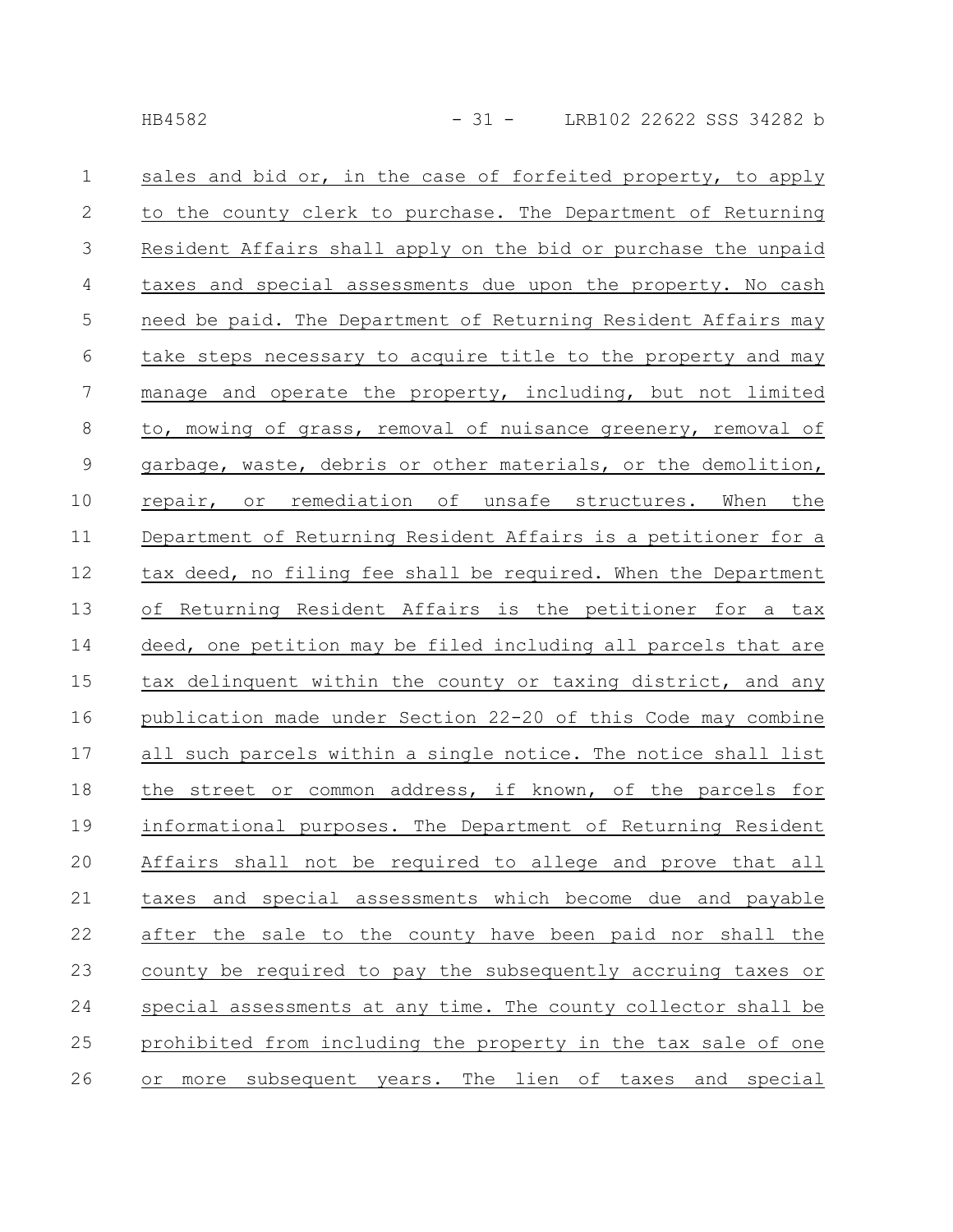| $\mathbf{1}$   | sales and bid or, in the case of forfeited property, to apply  |
|----------------|----------------------------------------------------------------|
| $\mathbf{2}$   | to the county clerk to purchase. The Department of Returning   |
| $\mathcal{S}$  | Resident Affairs shall apply on the bid or purchase the unpaid |
| 4              | taxes and special assessments due upon the property. No cash   |
| 5              | need be paid. The Department of Returning Resident Affairs may |
| $6\,$          | take steps necessary to acquire title to the property and may  |
| $\overline{7}$ | manage and operate the property, including, but not limited    |
| 8              | to, mowing of grass, removal of nuisance greenery, removal of  |
| $\mathsf 9$    | garbage, waste, debris or other materials, or the demolition,  |
| 10             | repair, or remediation of unsafe structures. When the          |
| 11             | Department of Returning Resident Affairs is a petitioner for a |
| 12             | tax deed, no filing fee shall be required. When the Department |
| 13             | of Returning Resident Affairs is the petitioner for a tax      |
| 14             | deed, one petition may be filed including all parcels that are |
| 15             | tax delinquent within the county or taxing district, and any   |
| 16             | publication made under Section 22-20 of this Code may combine  |
| 17             | all such parcels within a single notice. The notice shall list |
| 18             | the street or common address, if known, of the parcels for     |
| 19             | informational purposes. The Department of Returning Resident   |
| 20             | Affairs shall not be required to allege and prove that all     |
| 21             | taxes and special assessments which become due and payable     |
| 22             | after the sale to the county have been paid nor shall the      |
| 23             | county be required to pay the subsequently accruing taxes or   |
| 24             | special assessments at any time. The county collector shall be |
| 25             | prohibited from including the property in the tax sale of one  |
| 26             | or more subsequent years. The lien of taxes and special        |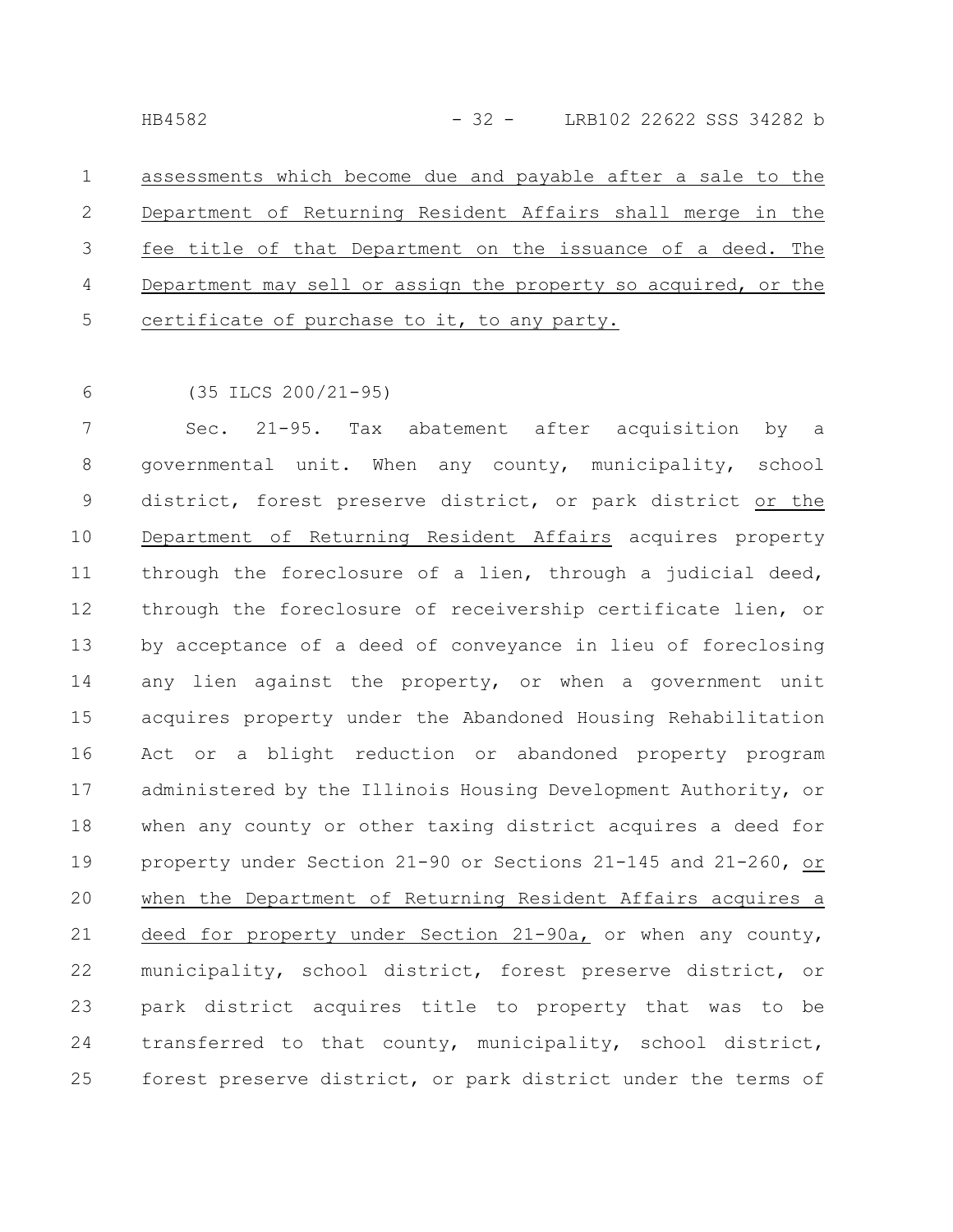assessments which become due and payable after a sale to the Department of Returning Resident Affairs shall merge in the fee title of that Department on the issuance of a deed. The Department may sell or assign the property so acquired, or the certificate of purchase to it, to any party. 1 2 3 4 5

(35 ILCS 200/21-95) 6

Sec. 21-95. Tax abatement after acquisition by a governmental unit. When any county, municipality, school district, forest preserve district, or park district or the Department of Returning Resident Affairs acquires property through the foreclosure of a lien, through a judicial deed, through the foreclosure of receivership certificate lien, or by acceptance of a deed of conveyance in lieu of foreclosing any lien against the property, or when a government unit acquires property under the Abandoned Housing Rehabilitation Act or a blight reduction or abandoned property program administered by the Illinois Housing Development Authority, or when any county or other taxing district acquires a deed for property under Section 21-90 or Sections 21-145 and 21-260, or when the Department of Returning Resident Affairs acquires a deed for property under Section 21-90a, or when any county, municipality, school district, forest preserve district, or park district acquires title to property that was to be transferred to that county, municipality, school district, forest preserve district, or park district under the terms of 7 8 9 10 11 12 13 14 15 16 17 18 19 20 21 22 23 24 25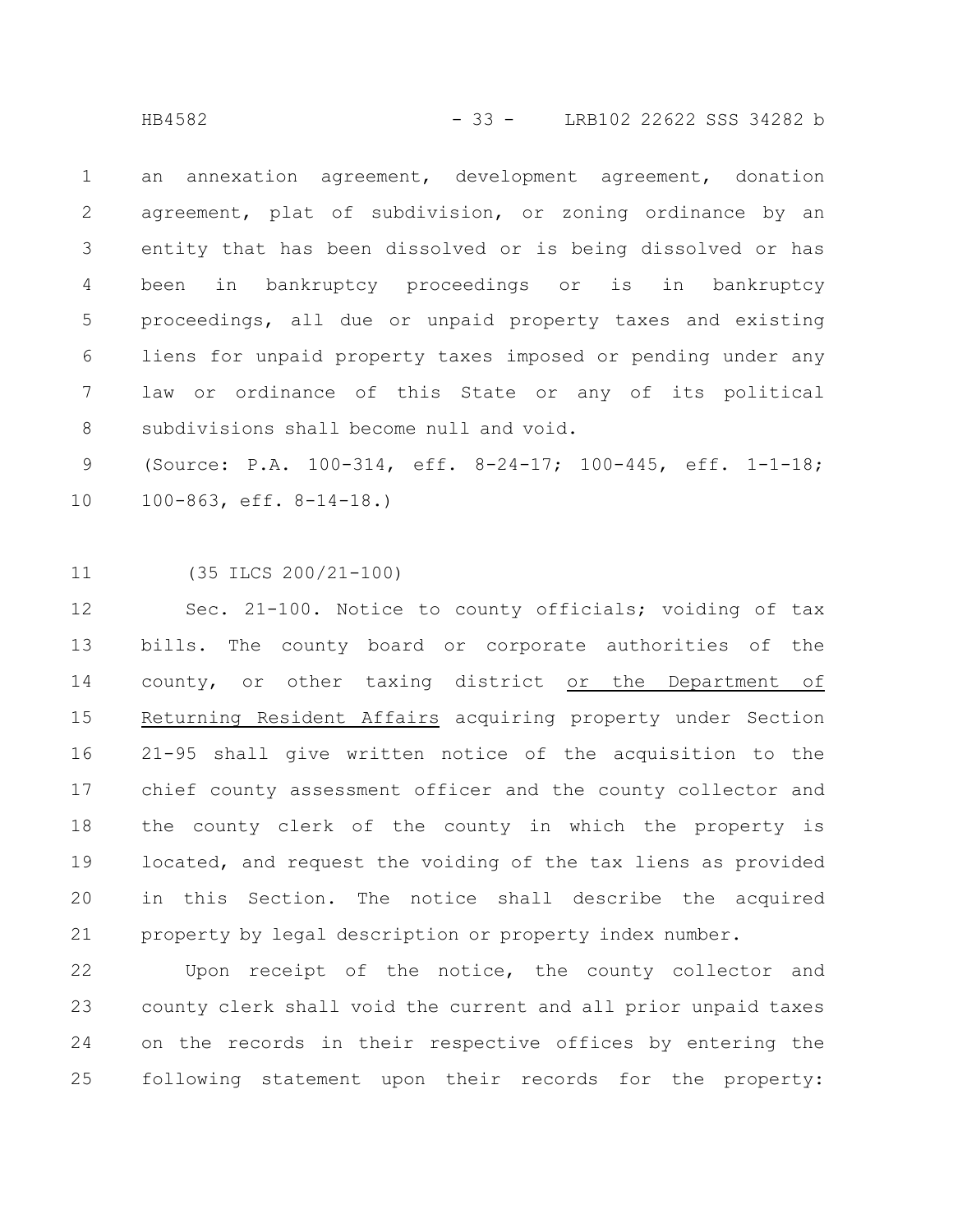an annexation agreement, development agreement, donation agreement, plat of subdivision, or zoning ordinance by an entity that has been dissolved or is being dissolved or has been in bankruptcy proceedings or is in bankruptcy proceedings, all due or unpaid property taxes and existing liens for unpaid property taxes imposed or pending under any law or ordinance of this State or any of its political subdivisions shall become null and void. 1 2 3 4 5 6 7 8

(Source: P.A. 100-314, eff. 8-24-17; 100-445, eff. 1-1-18; 100-863, eff. 8-14-18.) 9 10

(35 ILCS 200/21-100) 11

Sec. 21-100. Notice to county officials; voiding of tax bills. The county board or corporate authorities of the county, or other taxing district or the Department of Returning Resident Affairs acquiring property under Section 21-95 shall give written notice of the acquisition to the chief county assessment officer and the county collector and the county clerk of the county in which the property is located, and request the voiding of the tax liens as provided in this Section. The notice shall describe the acquired property by legal description or property index number. 12 13 14 15 16 17 18 19 20 21

Upon receipt of the notice, the county collector and county clerk shall void the current and all prior unpaid taxes on the records in their respective offices by entering the following statement upon their records for the property: 22 23 24 25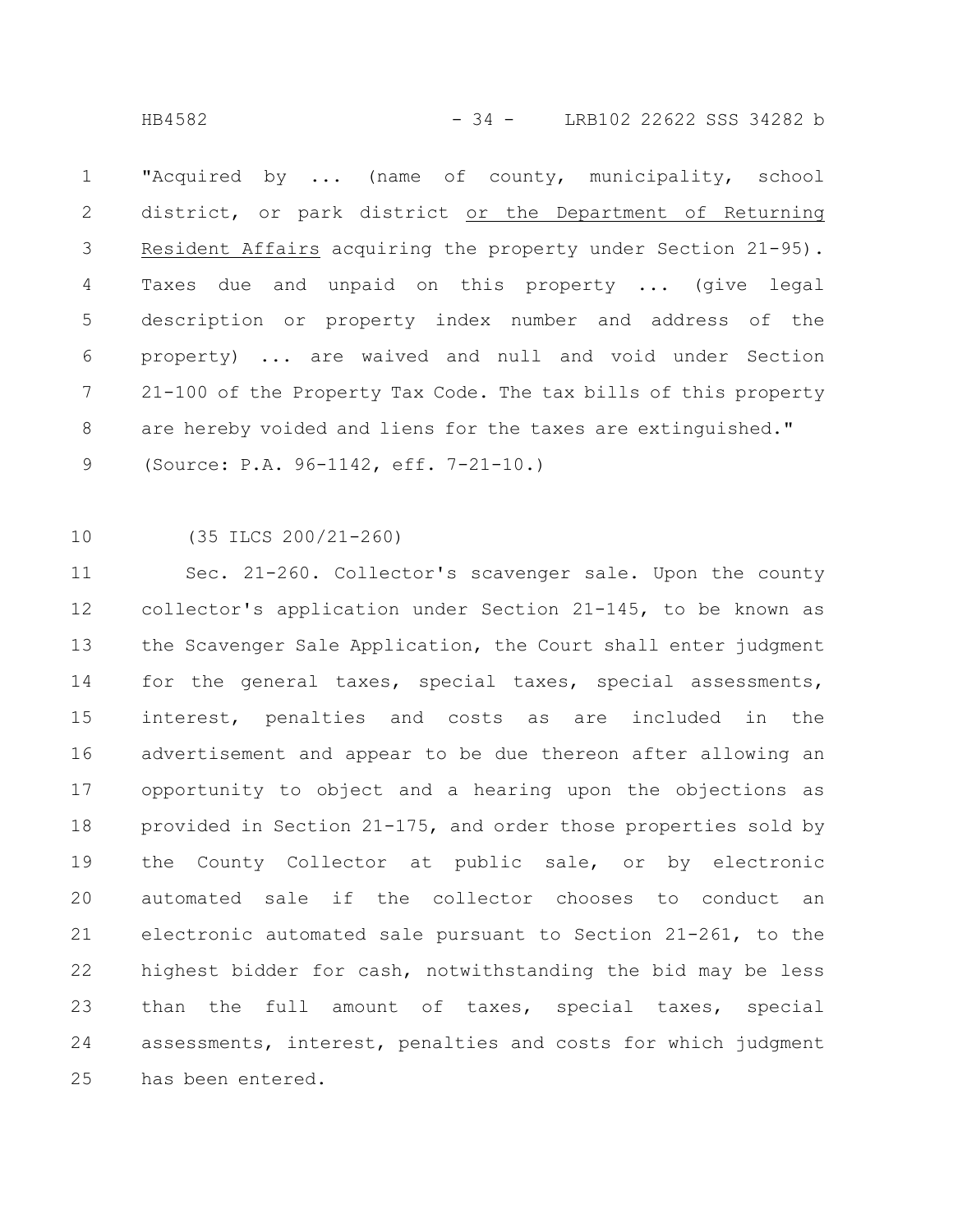HB4582 - 34 - LRB102 22622 SSS 34282 b

"Acquired by ... (name of county, municipality, school district, or park district or the Department of Returning Resident Affairs acquiring the property under Section 21-95). Taxes due and unpaid on this property ... (give legal description or property index number and address of the property) ... are waived and null and void under Section 21-100 of the Property Tax Code. The tax bills of this property are hereby voided and liens for the taxes are extinguished." (Source: P.A. 96-1142, eff. 7-21-10.) 1 2 3 4 5 6 7 8 9

(35 ILCS 200/21-260) 10

Sec. 21-260. Collector's scavenger sale. Upon the county collector's application under Section 21-145, to be known as the Scavenger Sale Application, the Court shall enter judgment for the general taxes, special taxes, special assessments, interest, penalties and costs as are included in the advertisement and appear to be due thereon after allowing an opportunity to object and a hearing upon the objections as provided in Section 21-175, and order those properties sold by the County Collector at public sale, or by electronic automated sale if the collector chooses to conduct an electronic automated sale pursuant to Section 21-261, to the highest bidder for cash, notwithstanding the bid may be less than the full amount of taxes, special taxes, special assessments, interest, penalties and costs for which judgment has been entered. 11 12 13 14 15 16 17 18 19 20 21 22 23 24 25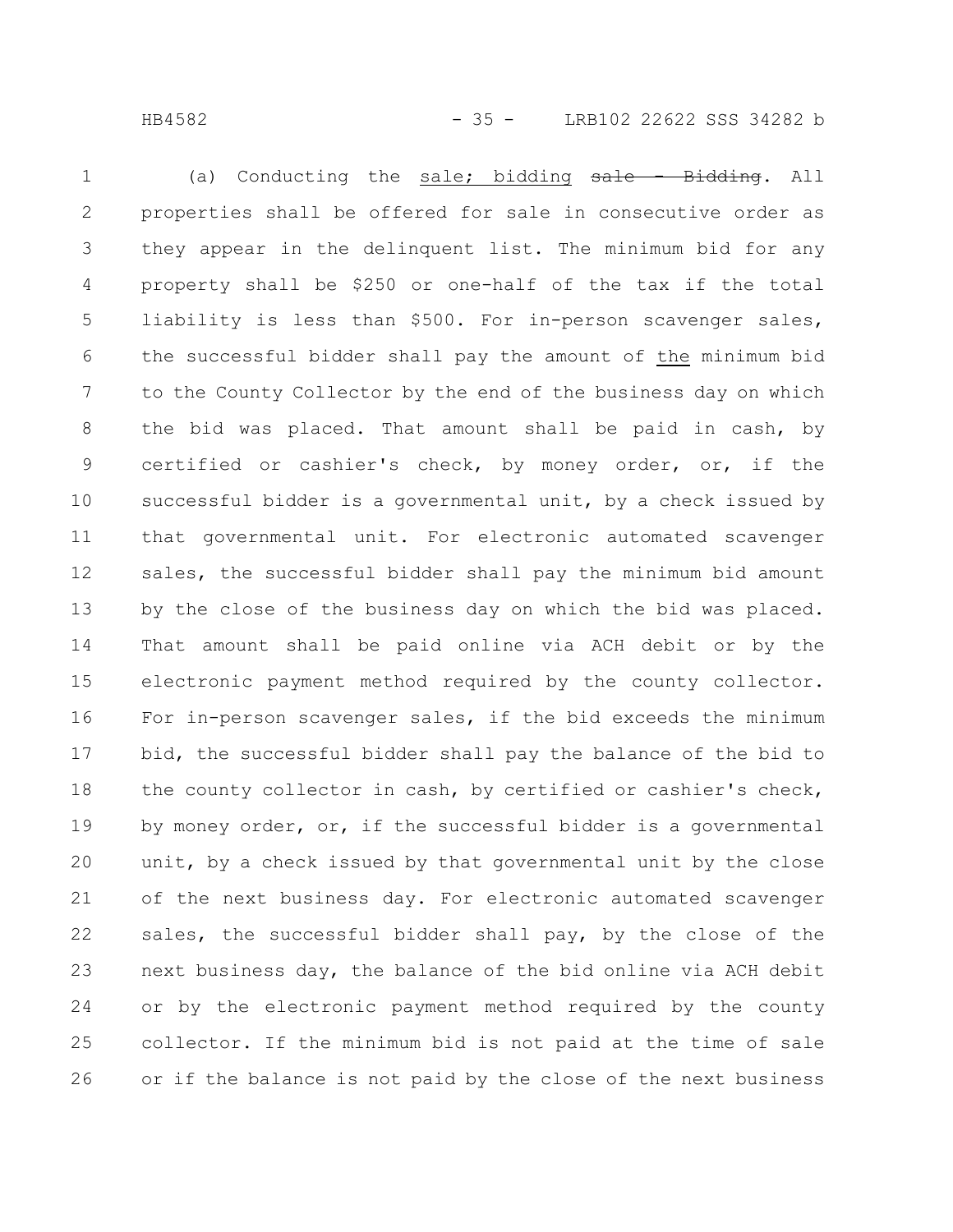(a) Conducting the sale; bidding sale - Bidding. All properties shall be offered for sale in consecutive order as they appear in the delinquent list. The minimum bid for any property shall be \$250 or one-half of the tax if the total liability is less than \$500. For in-person scavenger sales, the successful bidder shall pay the amount of the minimum bid to the County Collector by the end of the business day on which the bid was placed. That amount shall be paid in cash, by certified or cashier's check, by money order, or, if the successful bidder is a governmental unit, by a check issued by that governmental unit. For electronic automated scavenger sales, the successful bidder shall pay the minimum bid amount by the close of the business day on which the bid was placed. That amount shall be paid online via ACH debit or by the electronic payment method required by the county collector. For in-person scavenger sales, if the bid exceeds the minimum bid, the successful bidder shall pay the balance of the bid to the county collector in cash, by certified or cashier's check, by money order, or, if the successful bidder is a governmental unit, by a check issued by that governmental unit by the close of the next business day. For electronic automated scavenger sales, the successful bidder shall pay, by the close of the next business day, the balance of the bid online via ACH debit or by the electronic payment method required by the county collector. If the minimum bid is not paid at the time of sale or if the balance is not paid by the close of the next business 1 2 3 4 5 6 7 8 9 10 11 12 13 14 15 16 17 18 19 20 21 22 23 24 25 26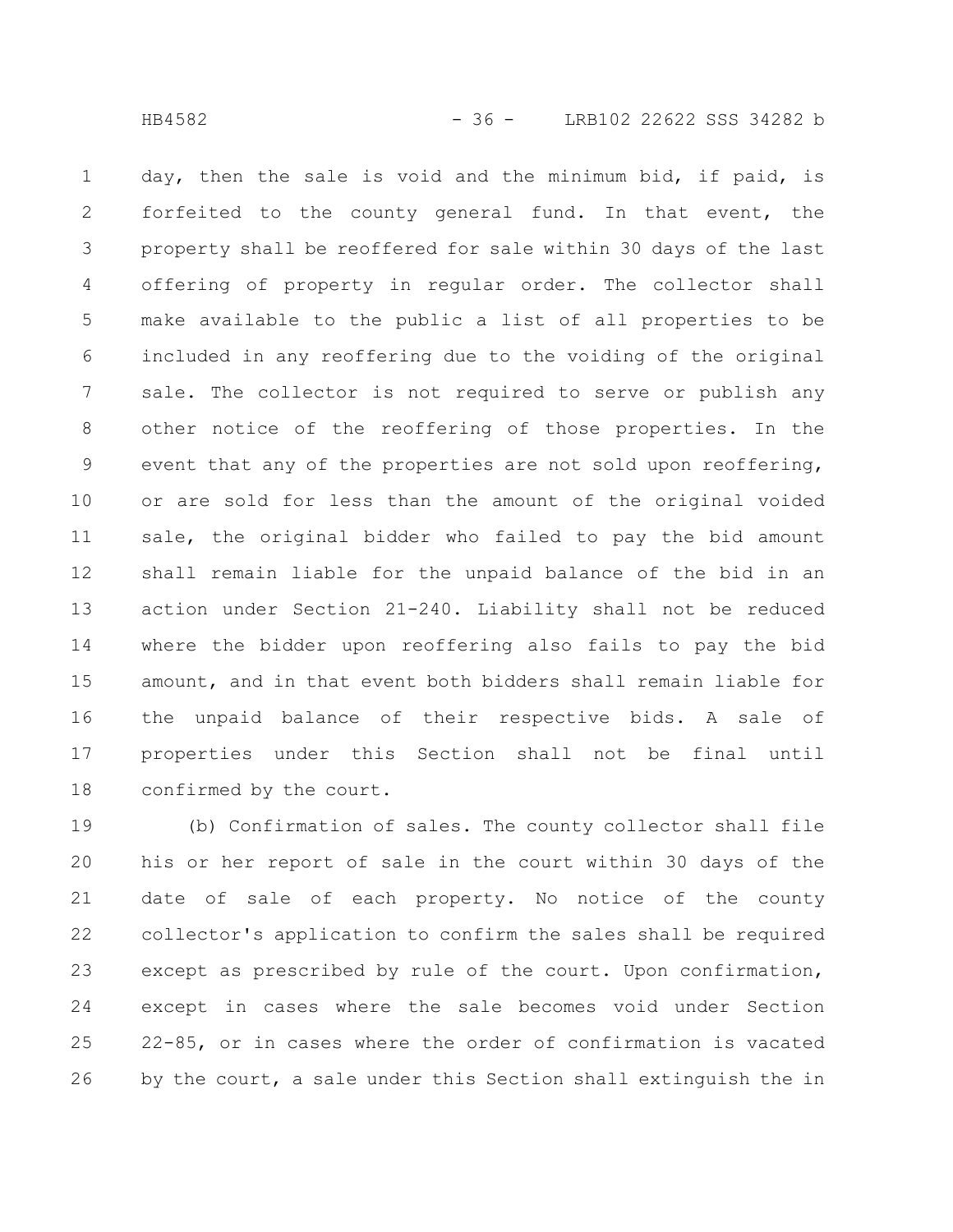day, then the sale is void and the minimum bid, if paid, is forfeited to the county general fund. In that event, the property shall be reoffered for sale within 30 days of the last offering of property in regular order. The collector shall make available to the public a list of all properties to be included in any reoffering due to the voiding of the original sale. The collector is not required to serve or publish any other notice of the reoffering of those properties. In the event that any of the properties are not sold upon reoffering, or are sold for less than the amount of the original voided sale, the original bidder who failed to pay the bid amount shall remain liable for the unpaid balance of the bid in an action under Section 21-240. Liability shall not be reduced where the bidder upon reoffering also fails to pay the bid amount, and in that event both bidders shall remain liable for the unpaid balance of their respective bids. A sale of properties under this Section shall not be final until confirmed by the court. 1 2 3 4 5 6 7 8 9 10 11 12 13 14 15 16 17 18

(b) Confirmation of sales. The county collector shall file his or her report of sale in the court within 30 days of the date of sale of each property. No notice of the county collector's application to confirm the sales shall be required except as prescribed by rule of the court. Upon confirmation, except in cases where the sale becomes void under Section 22-85, or in cases where the order of confirmation is vacated by the court, a sale under this Section shall extinguish the in 19 20 21 22 23 24 25 26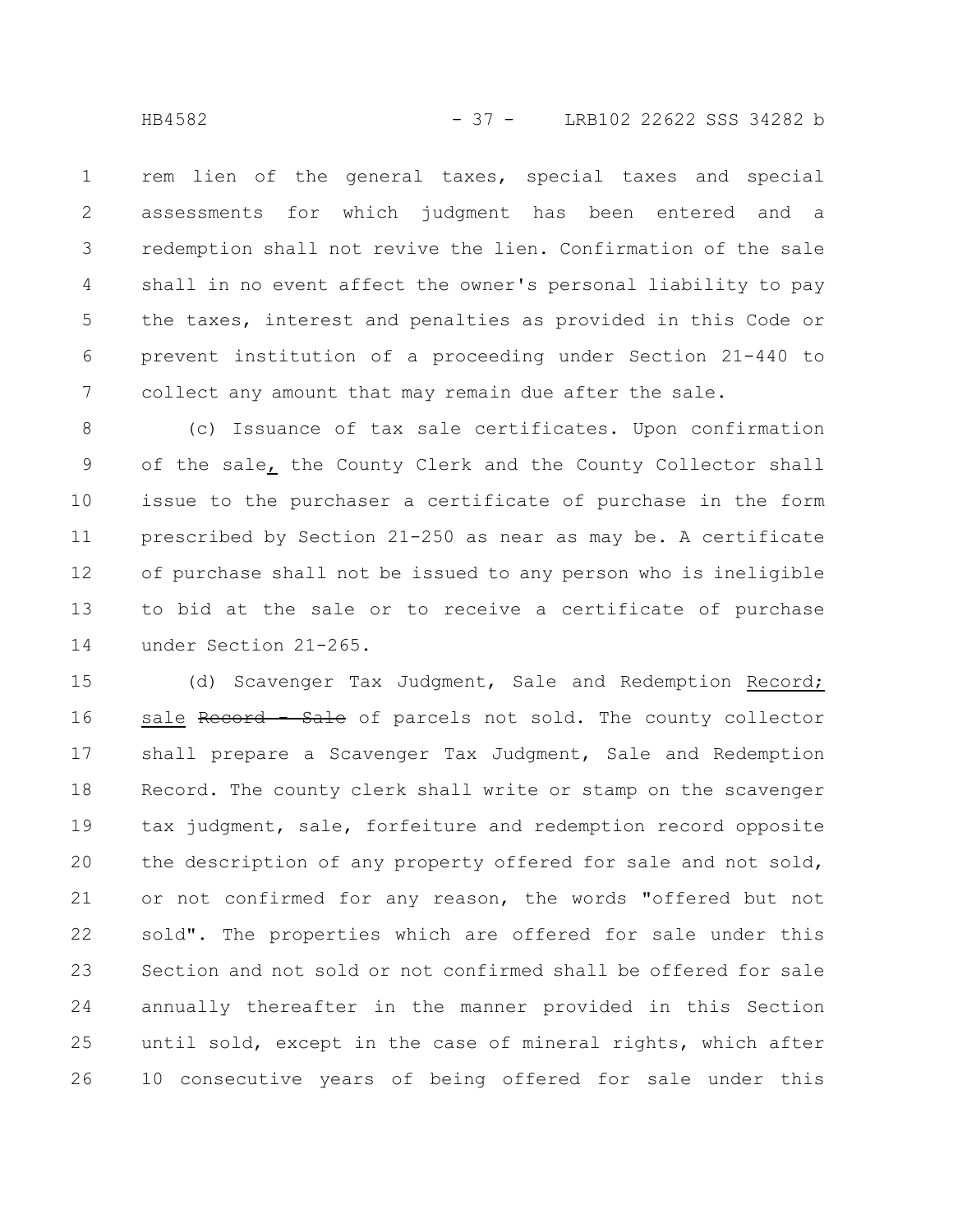rem lien of the general taxes, special taxes and special assessments for which judgment has been entered and a redemption shall not revive the lien. Confirmation of the sale shall in no event affect the owner's personal liability to pay the taxes, interest and penalties as provided in this Code or prevent institution of a proceeding under Section 21-440 to collect any amount that may remain due after the sale. 1 2 3 4 5 6 7

(c) Issuance of tax sale certificates. Upon confirmation of the sale, the County Clerk and the County Collector shall issue to the purchaser a certificate of purchase in the form prescribed by Section 21-250 as near as may be. A certificate of purchase shall not be issued to any person who is ineligible to bid at the sale or to receive a certificate of purchase under Section 21-265. 8 9 10 11 12 13 14

(d) Scavenger Tax Judgment, Sale and Redemption Record; sale Record - Sale of parcels not sold. The county collector shall prepare a Scavenger Tax Judgment, Sale and Redemption Record. The county clerk shall write or stamp on the scavenger tax judgment, sale, forfeiture and redemption record opposite the description of any property offered for sale and not sold, or not confirmed for any reason, the words "offered but not sold". The properties which are offered for sale under this Section and not sold or not confirmed shall be offered for sale annually thereafter in the manner provided in this Section until sold, except in the case of mineral rights, which after 10 consecutive years of being offered for sale under this 15 16 17 18 19 20 21 22 23 24 25 26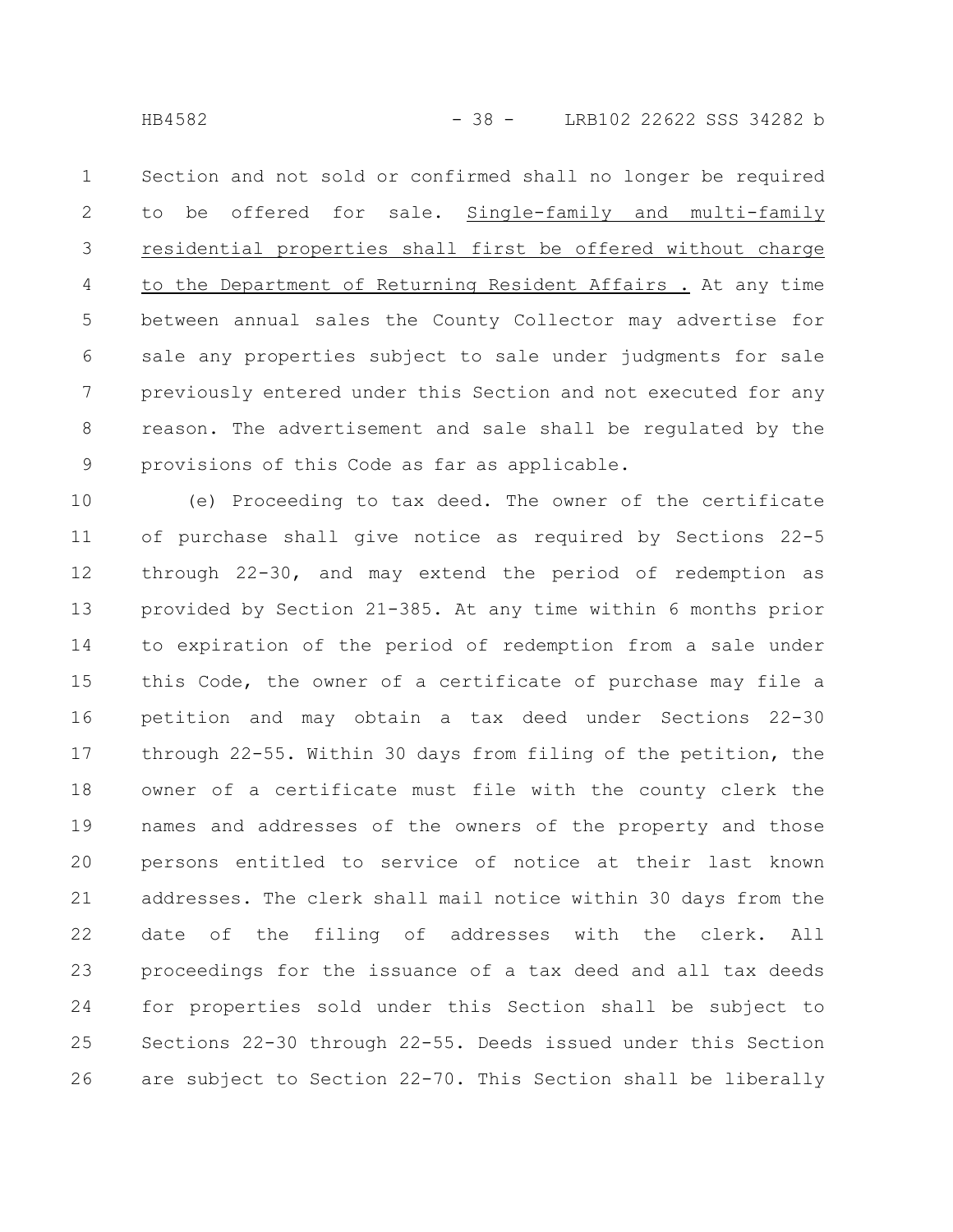Section and not sold or confirmed shall no longer be required to be offered for sale. Single-family and multi-family residential properties shall first be offered without charge to the Department of Returning Resident Affairs . At any time between annual sales the County Collector may advertise for sale any properties subject to sale under judgments for sale previously entered under this Section and not executed for any reason. The advertisement and sale shall be regulated by the provisions of this Code as far as applicable. 1 2 3 4 5 6 7 8 9

(e) Proceeding to tax deed. The owner of the certificate of purchase shall give notice as required by Sections 22-5 through 22-30, and may extend the period of redemption as provided by Section 21-385. At any time within 6 months prior to expiration of the period of redemption from a sale under this Code, the owner of a certificate of purchase may file a petition and may obtain a tax deed under Sections 22-30 through 22-55. Within 30 days from filing of the petition, the owner of a certificate must file with the county clerk the names and addresses of the owners of the property and those persons entitled to service of notice at their last known addresses. The clerk shall mail notice within 30 days from the date of the filing of addresses with the clerk. All proceedings for the issuance of a tax deed and all tax deeds for properties sold under this Section shall be subject to Sections 22-30 through 22-55. Deeds issued under this Section are subject to Section 22-70. This Section shall be liberally 10 11 12 13 14 15 16 17 18 19 20 21 22 23 24 25 26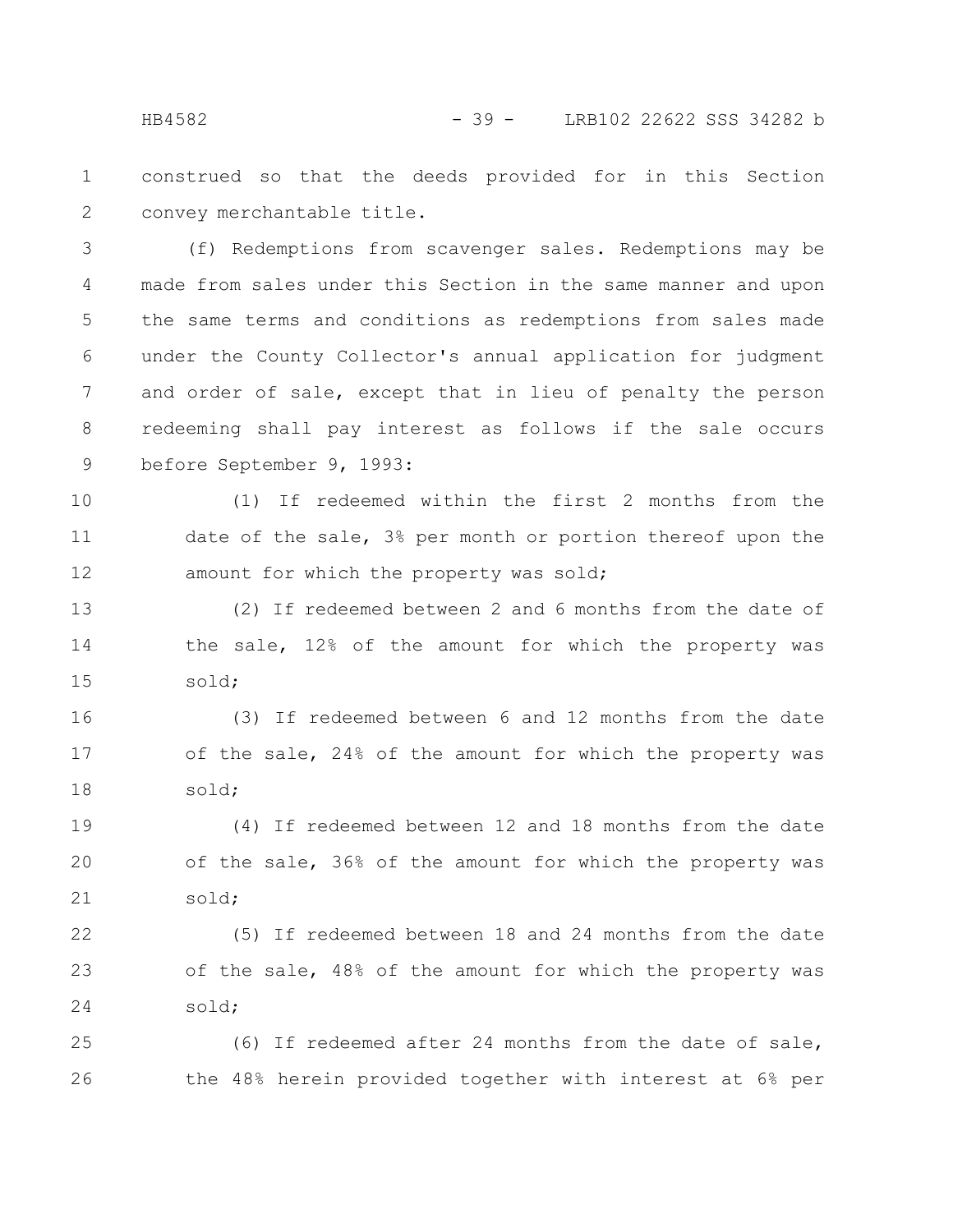construed so that the deeds provided for in this Section convey merchantable title. 1 2

(f) Redemptions from scavenger sales. Redemptions may be made from sales under this Section in the same manner and upon the same terms and conditions as redemptions from sales made under the County Collector's annual application for judgment and order of sale, except that in lieu of penalty the person redeeming shall pay interest as follows if the sale occurs before September 9, 1993: 3 4 5 6 7 8 9

(1) If redeemed within the first 2 months from the date of the sale, 3% per month or portion thereof upon the amount for which the property was sold; 10 11 12

(2) If redeemed between 2 and 6 months from the date of the sale, 12% of the amount for which the property was sold; 13 14 15

(3) If redeemed between 6 and 12 months from the date of the sale, 24% of the amount for which the property was sold; 16 17 18

(4) If redeemed between 12 and 18 months from the date of the sale, 36% of the amount for which the property was sold; 19 20 21

(5) If redeemed between 18 and 24 months from the date of the sale, 48% of the amount for which the property was sold; 22 23 24

(6) If redeemed after 24 months from the date of sale, the 48% herein provided together with interest at 6% per 25 26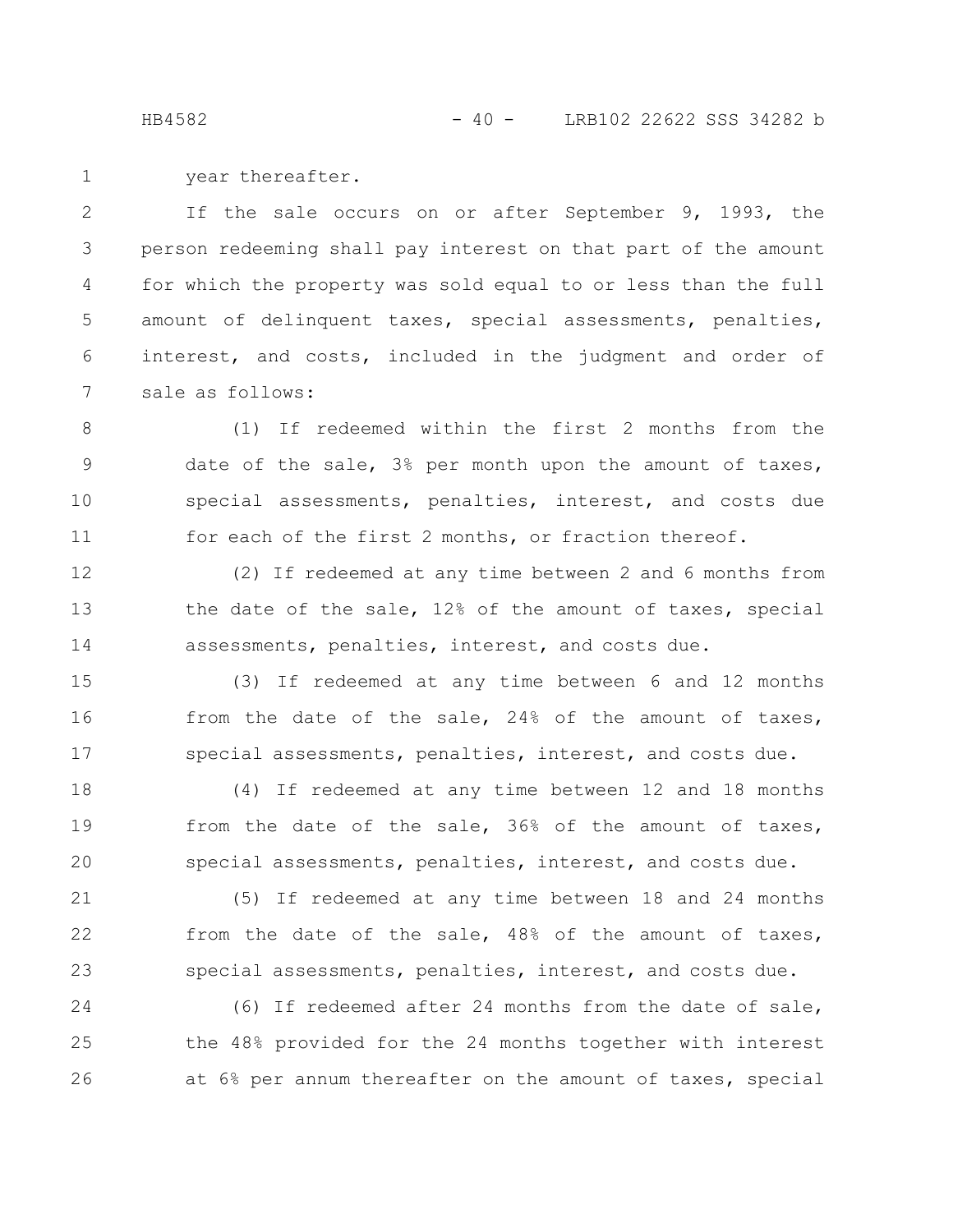HB4582 - 40 - LRB102 22622 SSS 34282 b

year thereafter. 1

If the sale occurs on or after September 9, 1993, the person redeeming shall pay interest on that part of the amount for which the property was sold equal to or less than the full amount of delinquent taxes, special assessments, penalties, interest, and costs, included in the judgment and order of sale as follows: 2 3 4 5 6 7

(1) If redeemed within the first 2 months from the date of the sale, 3% per month upon the amount of taxes, special assessments, penalties, interest, and costs due for each of the first 2 months, or fraction thereof. 8 9 10 11

(2) If redeemed at any time between 2 and 6 months from the date of the sale, 12% of the amount of taxes, special assessments, penalties, interest, and costs due. 12 13 14

(3) If redeemed at any time between 6 and 12 months from the date of the sale, 24% of the amount of taxes, special assessments, penalties, interest, and costs due. 15 16 17

(4) If redeemed at any time between 12 and 18 months from the date of the sale, 36% of the amount of taxes, special assessments, penalties, interest, and costs due. 18 19 20

(5) If redeemed at any time between 18 and 24 months from the date of the sale, 48% of the amount of taxes, special assessments, penalties, interest, and costs due. 21 22 23

(6) If redeemed after 24 months from the date of sale, the 48% provided for the 24 months together with interest at 6% per annum thereafter on the amount of taxes, special 24 25 26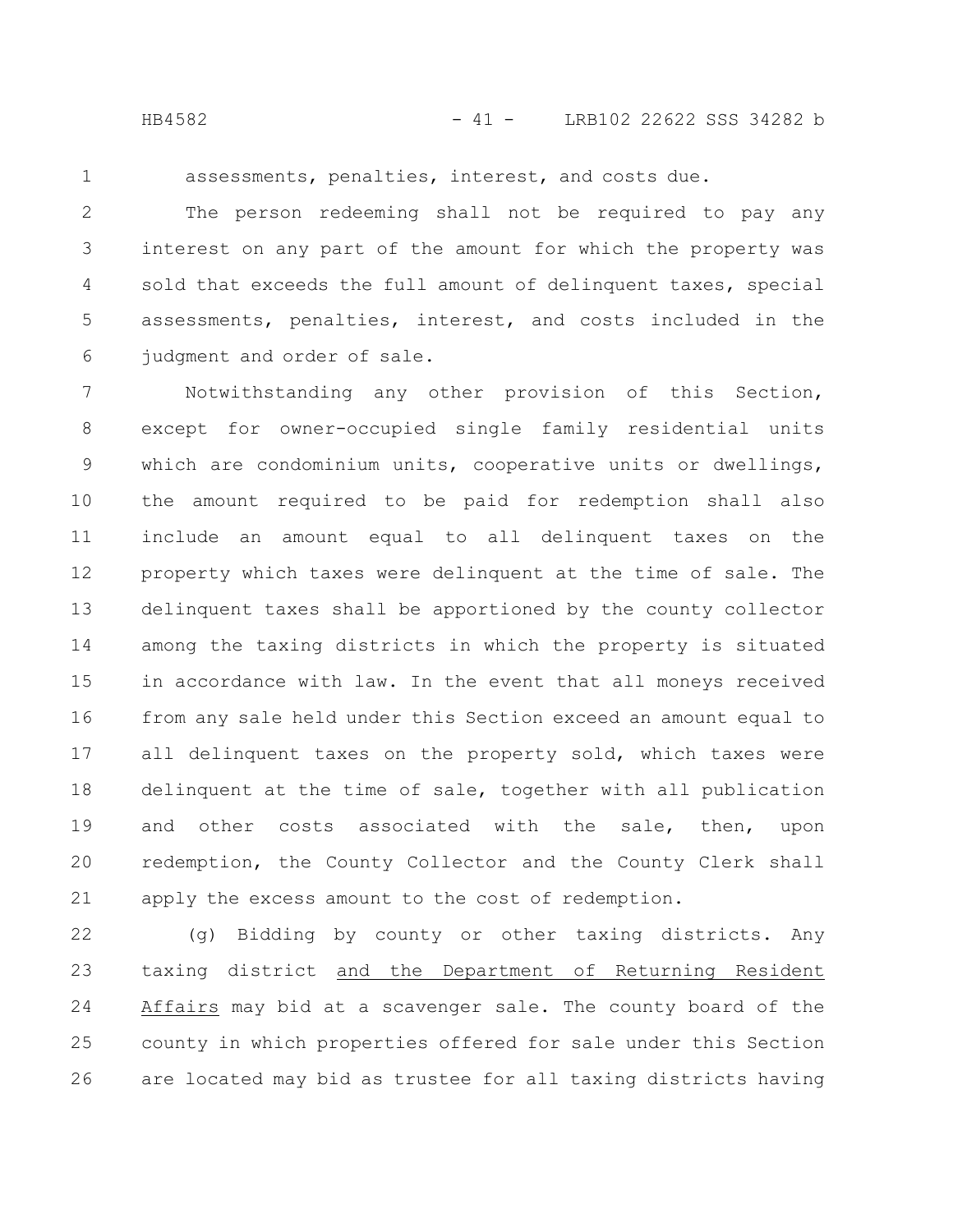1

assessments, penalties, interest, and costs due.

The person redeeming shall not be required to pay any interest on any part of the amount for which the property was sold that exceeds the full amount of delinquent taxes, special assessments, penalties, interest, and costs included in the judgment and order of sale. 2 3 4 5 6

Notwithstanding any other provision of this Section, except for owner-occupied single family residential units which are condominium units, cooperative units or dwellings, the amount required to be paid for redemption shall also include an amount equal to all delinquent taxes on the property which taxes were delinquent at the time of sale. The delinquent taxes shall be apportioned by the county collector among the taxing districts in which the property is situated in accordance with law. In the event that all moneys received from any sale held under this Section exceed an amount equal to all delinquent taxes on the property sold, which taxes were delinquent at the time of sale, together with all publication and other costs associated with the sale, then, upon redemption, the County Collector and the County Clerk shall apply the excess amount to the cost of redemption. 7 8 9 10 11 12 13 14 15 16 17 18 19 20 21

(g) Bidding by county or other taxing districts. Any taxing district and the Department of Returning Resident Affairs may bid at a scavenger sale. The county board of the county in which properties offered for sale under this Section are located may bid as trustee for all taxing districts having 22 23 24 25 26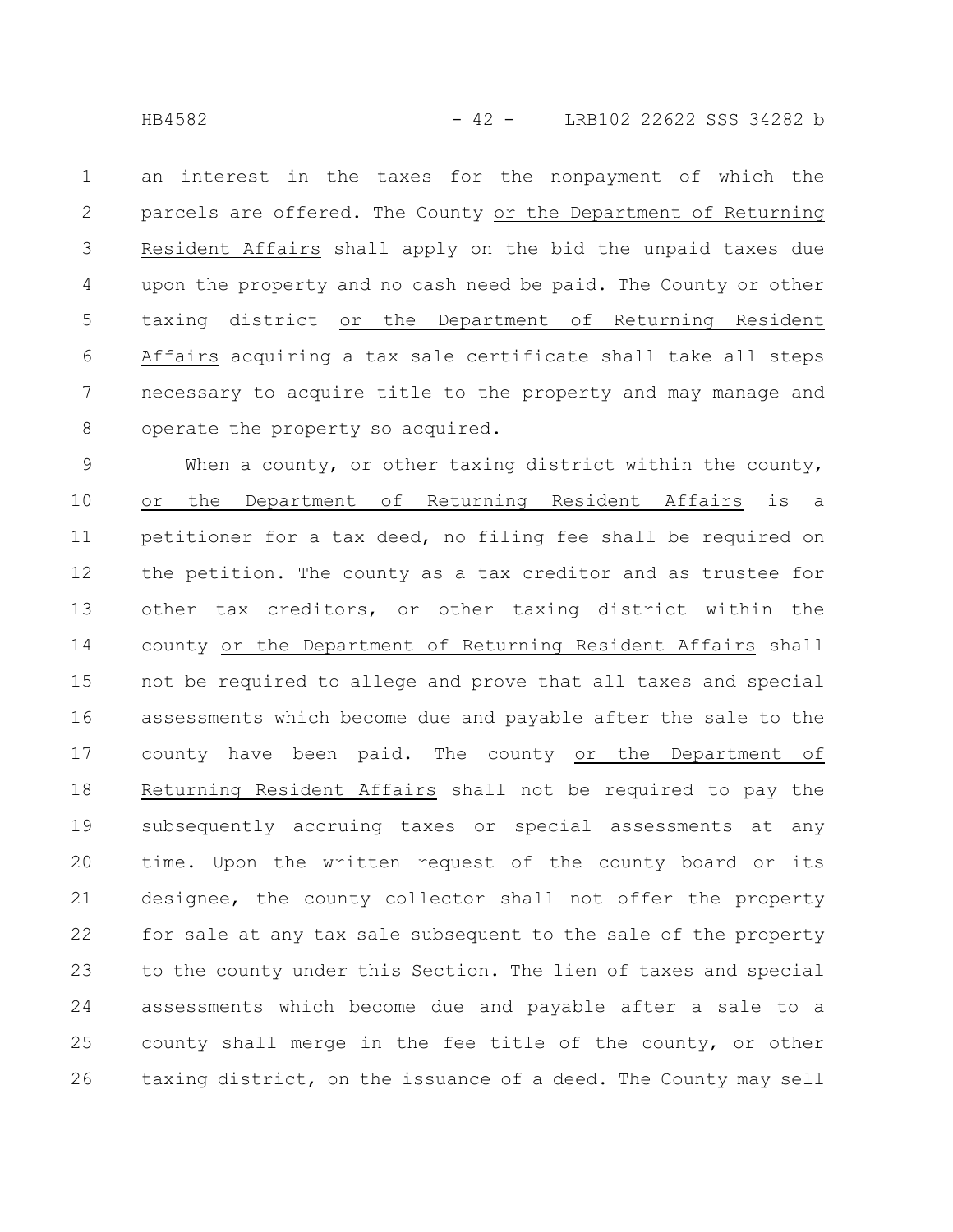HB4582 - 42 - LRB102 22622 SSS 34282 b

an interest in the taxes for the nonpayment of which the parcels are offered. The County or the Department of Returning Resident Affairs shall apply on the bid the unpaid taxes due upon the property and no cash need be paid. The County or other taxing district or the Department of Returning Resident Affairs acquiring a tax sale certificate shall take all steps necessary to acquire title to the property and may manage and operate the property so acquired. 1 2 3 4 5 6 7 8

When a county, or other taxing district within the county, or the Department of Returning Resident Affairs is a petitioner for a tax deed, no filing fee shall be required on the petition. The county as a tax creditor and as trustee for other tax creditors, or other taxing district within the county or the Department of Returning Resident Affairs shall not be required to allege and prove that all taxes and special assessments which become due and payable after the sale to the county have been paid. The county or the Department of Returning Resident Affairs shall not be required to pay the subsequently accruing taxes or special assessments at any time. Upon the written request of the county board or its designee, the county collector shall not offer the property for sale at any tax sale subsequent to the sale of the property to the county under this Section. The lien of taxes and special assessments which become due and payable after a sale to a county shall merge in the fee title of the county, or other taxing district, on the issuance of a deed. The County may sell 9 10 11 12 13 14 15 16 17 18 19 20 21 22 23 24 25 26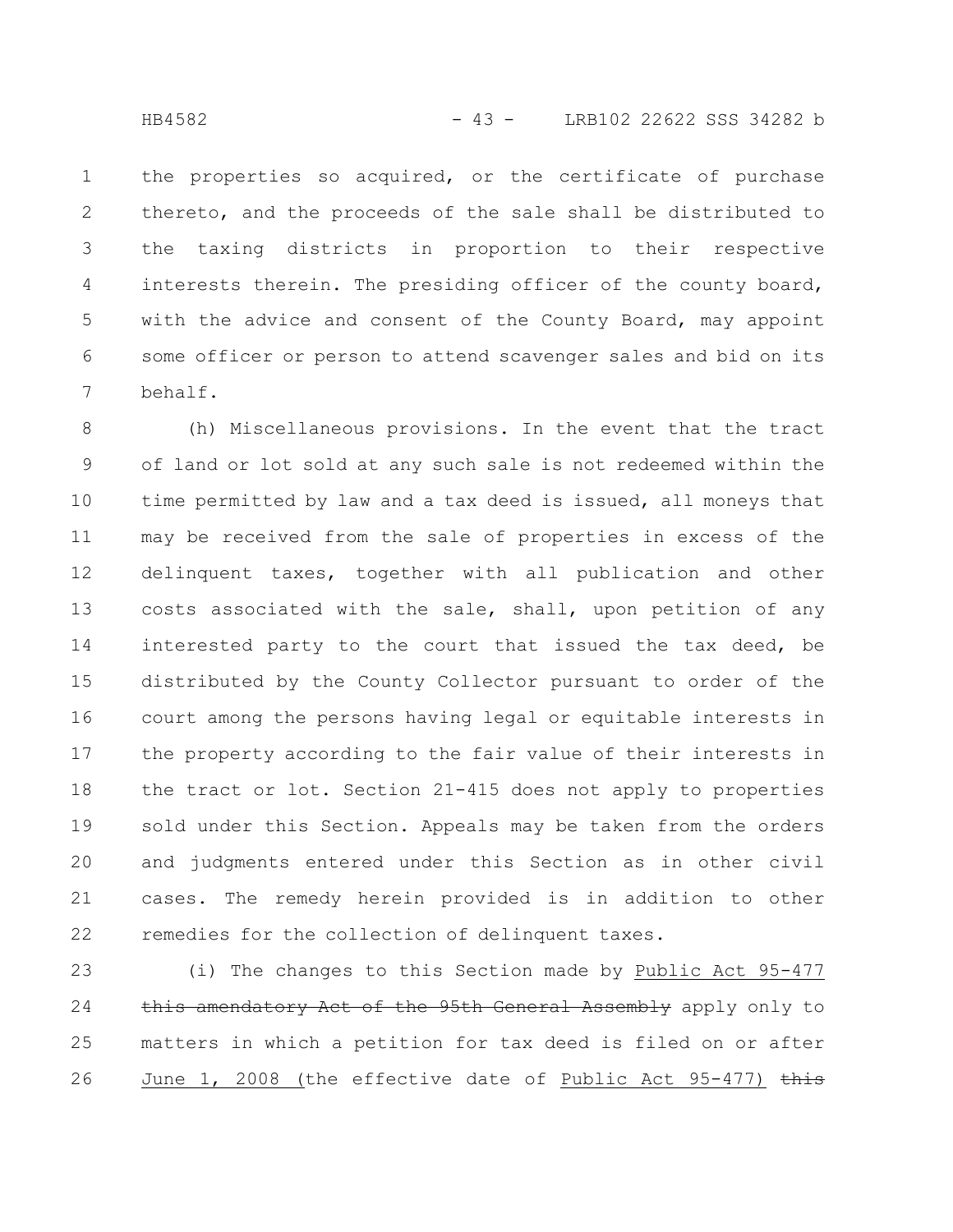the properties so acquired, or the certificate of purchase thereto, and the proceeds of the sale shall be distributed to the taxing districts in proportion to their respective interests therein. The presiding officer of the county board, with the advice and consent of the County Board, may appoint some officer or person to attend scavenger sales and bid on its behalf. 1 2 3 4 5 6 7

(h) Miscellaneous provisions. In the event that the tract of land or lot sold at any such sale is not redeemed within the time permitted by law and a tax deed is issued, all moneys that may be received from the sale of properties in excess of the delinquent taxes, together with all publication and other costs associated with the sale, shall, upon petition of any interested party to the court that issued the tax deed, be distributed by the County Collector pursuant to order of the court among the persons having legal or equitable interests in the property according to the fair value of their interests in the tract or lot. Section 21-415 does not apply to properties sold under this Section. Appeals may be taken from the orders and judgments entered under this Section as in other civil cases. The remedy herein provided is in addition to other remedies for the collection of delinquent taxes. 8 9 10 11 12 13 14 15 16 17 18 19 20 21 22

(i) The changes to this Section made by Public Act 95-477 this amendatory Act of the 95th General Assembly apply only to matters in which a petition for tax deed is filed on or after June 1, 2008 (the effective date of Public Act 95-477)  $\frac{1}{2}$ 23 24 25 26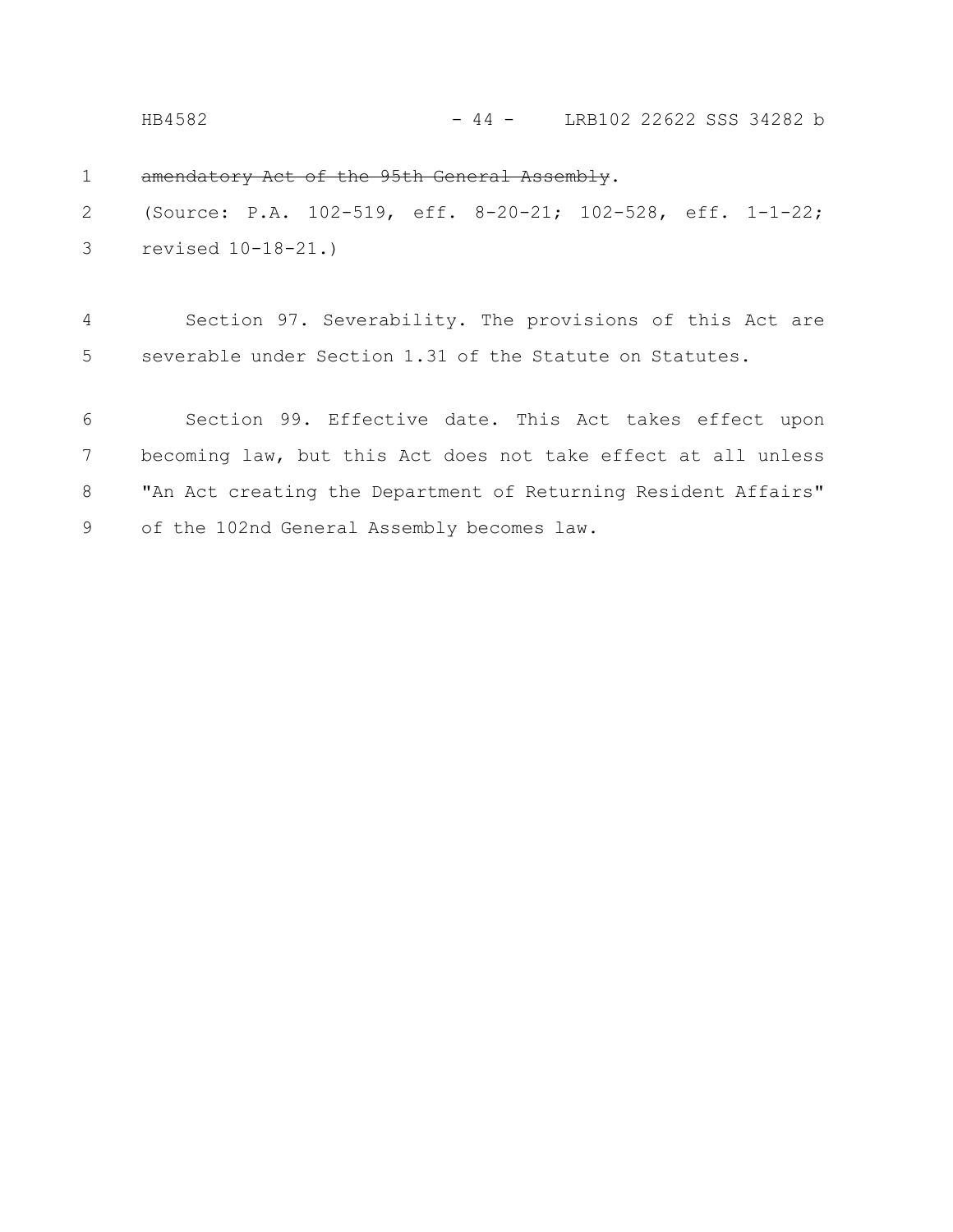HB4582 - 44 - LRB102 22622 SSS 34282 b

amendatory Act of the 95th General Assembly. 1

(Source: P.A. 102-519, eff. 8-20-21; 102-528, eff. 1-1-22; revised 10-18-21.) 2 3

Section 97. Severability. The provisions of this Act are severable under Section 1.31 of the Statute on Statutes. 4 5

Section 99. Effective date. This Act takes effect upon becoming law, but this Act does not take effect at all unless "An Act creating the Department of Returning Resident Affairs" of the 102nd General Assembly becomes law. 6 7 8 9